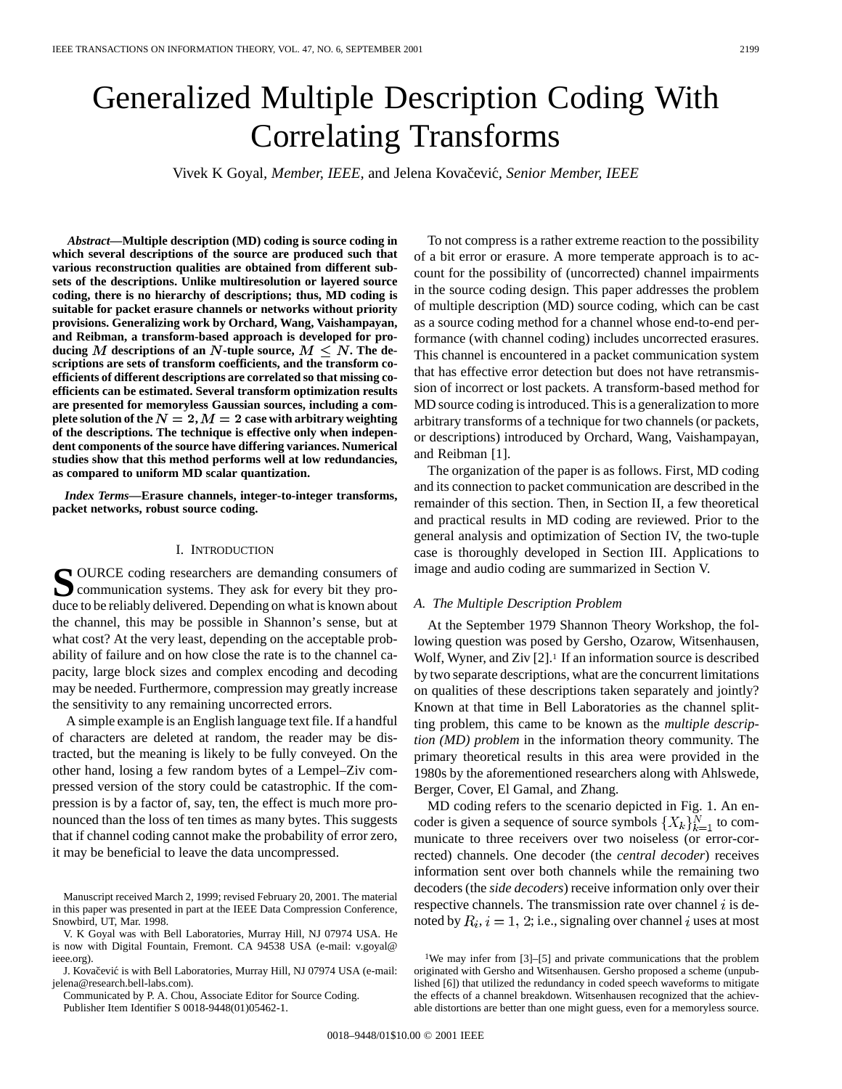# Generalized Multiple Description Coding With Correlating Transforms

Vivek K Goyal, Member, IEEE, and Jelena Kovačević, Senior Member, IEEE

*Abstract—***Multiple description (MD) coding is source coding in which several descriptions of the source are produced such that various reconstruction qualities are obtained from different subsets of the descriptions. Unlike multiresolution or layered source coding, there is no hierarchy of descriptions; thus, MD coding is suitable for packet erasure channels or networks without priority provisions. Generalizing work by Orchard, Wang, Vaishampayan, and Reibman, a transform-based approach is developed for pro**ducing M descriptions of an N-tuple source,  $M \leq N$ . The de**scriptions are sets of transform coefficients, and the transform coefficients of different descriptions are correlated so that missing coefficients can be estimated. Several transform optimization results are presented for memoryless Gaussian sources, including a complete solution of the**  $N = 2$ ,  $M = 2$  case with arbitrary weighting **of the descriptions. The technique is effective only when independent components of the source have differing variances. Numerical studies show that this method performs well at low redundancies, as compared to uniform MD scalar quantization.**

*Index Terms—***Erasure channels, integer-to-integer transforms, packet networks, robust source coding.**

#### I. INTRODUCTION

SOURCE coding researchers are demanding consumers of<br>communication systems. They ask for every bit they produce to be reliably delivered. Depending on what is known about the channel, this may be possible in Shannon's sense, but at what cost? At the very least, depending on the acceptable probability of failure and on how close the rate is to the channel capacity, large block sizes and complex encoding and decoding may be needed. Furthermore, compression may greatly increase the sensitivity to any remaining uncorrected errors.

A simple example is an English language text file. If a handful of characters are deleted at random, the reader may be distracted, but the meaning is likely to be fully conveyed. On the other hand, losing a few random bytes of a Lempel–Ziv compressed version of the story could be catastrophic. If the compression is by a factor of, say, ten, the effect is much more pronounced than the loss of ten times as many bytes. This suggests that if channel coding cannot make the probability of error zero, it may be beneficial to leave the data uncompressed.

J. Kovačević is with Bell Laboratories, Murray Hill, NJ 07974 USA (e-mail: jelena@research.bell-labs.com).

Communicated by P. A. Chou, Associate Editor for Source Coding. Publisher Item Identifier S 0018-9448(01)05462-1.

To not compress is a rather extreme reaction to the possibility of a bit error or erasure. A more temperate approach is to account for the possibility of (uncorrected) channel impairments in the source coding design. This paper addresses the problem of multiple description (MD) source coding, which can be cast as a source coding method for a channel whose end-to-end performance (with channel coding) includes uncorrected erasures. This channel is encountered in a packet communication system that has effective error detection but does not have retransmission of incorrect or lost packets. A transform-based method for MD source coding is introduced. This is a generalization to more arbitrary transforms of a technique for two channels (or packets, or descriptions) introduced by Orchard, Wang, Vaishampayan, and Reibman [1].

The organization of the paper is as follows. First, MD coding and its connection to packet communication are described in the remainder of this section. Then, in Section II, a few theoretical and practical results in MD coding are reviewed. Prior to the general analysis and optimization of Section IV, the two-tuple case is thoroughly developed in Section III. Applications to image and audio coding are summarized in Section V.

## *A. The Multiple Description Problem*

At the September 1979 Shannon Theory Workshop, the following question was posed by Gersho, Ozarow, Witsenhausen, Wolf, Wyner, and Ziv [2].<sup>1</sup> If an information source is described by two separate descriptions, what are the concurrent limitations on qualities of these descriptions taken separately and jointly? Known at that time in Bell Laboratories as the channel splitting problem, this came to be known as the *multiple description (MD) problem* in the information theory community. The primary theoretical results in this area were provided in the 1980s by the aforementioned researchers along with Ahlswede, Berger, Cover, El Gamal, and Zhang.

MD coding refers to the scenario depicted in Fig. 1. An encoder is given a sequence of source symbols  $\{X_k\}_{k=1}^N$  to communicate to three receivers over two noiseless (or error-corrected) channels. One decoder (the *central decoder*) receives information sent over both channels while the remaining two decoders (the *side decoders*) receive information only over their respective channels. The transmission rate over channel  $i$  is denoted by  $R_i$ ,  $i = 1, 2$ ; i.e., signaling over channel i uses at most

Manuscript received March 2, 1999; revised February 20, 2001. The material in this paper was presented in part at the IEEE Data Compression Conference, Snowbird, UT, Mar. 1998.

V. K Goyal was with Bell Laboratories, Murray Hill, NJ 07974 USA. He is now with Digital Fountain, Fremont. CA 94538 USA (e-mail: v.goyal@ ieee.org).

<sup>&</sup>lt;sup>1</sup>We may infer from [3]–[5] and private communications that the problem originated with Gersho and Witsenhausen. Gersho proposed a scheme (unpublished [6]) that utilized the redundancy in coded speech waveforms to mitigate the effects of a channel breakdown. Witsenhausen recognized that the achievable distortions are better than one might guess, even for a memoryless source.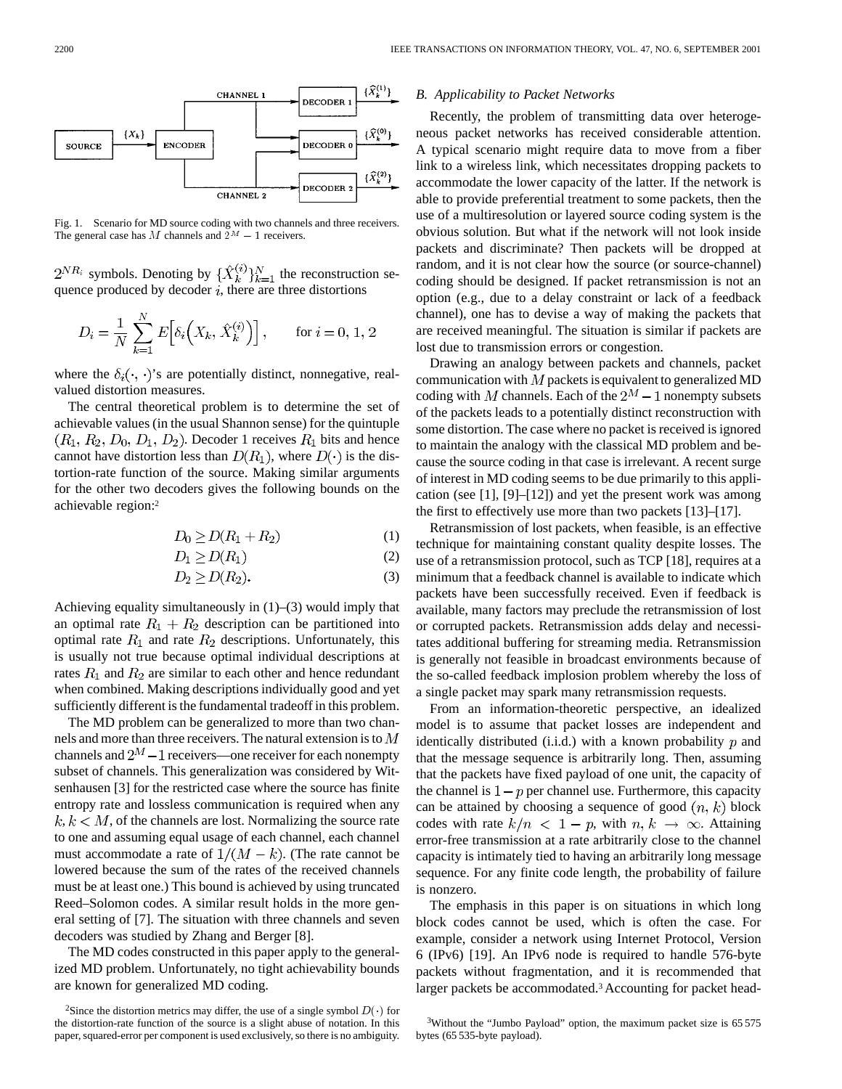

Fig. 1. Scenario for MD source coding with two channels and three receivers.

 $2^{NR_i}$  symbols. Denoting by  $\{\hat{X}_k^{(i)}\}_{k=1}^N$  the reconstruction sequence produced by decoder  $i$ , there are three distortions

$$
D_i = \frac{1}{N} \sum_{k=1}^{N} E\Big[\delta_i\Big(X_k, \hat{X}_k^{(i)}\Big)\Big], \quad \text{for } i = 0, 1, 2
$$

where the  $\delta_i(\cdot, \cdot)$ 's are potentially distinct, nonnegative, realvalued distortion measures.

The central theoretical problem is to determine the set of achievable values (in the usual Shannon sense) for the quintuple  $(R_1, R_2, D_0, D_1, D_2)$ . Decoder 1 receives  $R_1$  bits and hence cannot have distortion less than  $D(R_1)$ , where  $D(\cdot)$  is the distortion-rate function of the source. Making similar arguments for the other two decoders gives the following bounds on the achievable region:2

$$
D_0 \ge D(R_1 + R_2) \tag{1}
$$

$$
D_1 \ge D(R_1) \tag{2}
$$

$$
D_2 \ge D(R_2). \tag{3}
$$

Achieving equality simultaneously in (1)–(3) would imply that an optimal rate  $R_1 + R_2$  description can be partitioned into optimal rate  $R_1$  and rate  $R_2$  descriptions. Unfortunately, this is usually not true because optimal individual descriptions at rates  $R_1$  and  $R_2$  are similar to each other and hence redundant when combined. Making descriptions individually good and yet sufficiently different is the fundamental tradeoff in this problem.

The MD problem can be generalized to more than two channels and more than three receivers. The natural extension is to  $M$ channels and  $2^M - 1$  receivers—one receiver for each nonempty subset of channels. This generalization was considered by Witsenhausen [3] for the restricted case where the source has finite entropy rate and lossless communication is required when any  $k, k < M$ , of the channels are lost. Normalizing the source rate to one and assuming equal usage of each channel, each channel must accommodate a rate of  $1/(M - k)$ . (The rate cannot be lowered because the sum of the rates of the received channels must be at least one.) This bound is achieved by using truncated Reed–Solomon codes. A similar result holds in the more general setting of [7]. The situation with three channels and seven decoders was studied by Zhang and Berger [8].

The MD codes constructed in this paper apply to the generalized MD problem. Unfortunately, no tight achievability bounds are known for generalized MD coding.

#### *B. Applicability to Packet Networks*

Recently, the problem of transmitting data over heterogeneous packet networks has received considerable attention. A typical scenario might require data to move from a fiber link to a wireless link, which necessitates dropping packets to accommodate the lower capacity of the latter. If the network is able to provide preferential treatment to some packets, then the use of a multiresolution or layered source coding system is the obvious solution. But what if the network will not look inside packets and discriminate? Then packets will be dropped at random, and it is not clear how the source (or source-channel) coding should be designed. If packet retransmission is not an option (e.g., due to a delay constraint or lack of a feedback channel), one has to devise a way of making the packets that are received meaningful. The situation is similar if packets are lost due to transmission errors or congestion.

Drawing an analogy between packets and channels, packet communication with  $M$  packets is equivalent to generalized MD coding with M channels. Each of the  $2^M - 1$  nonempty subsets of the packets leads to a potentially distinct reconstruction with some distortion. The case where no packet is received is ignored to maintain the analogy with the classical MD problem and because the source coding in that case is irrelevant. A recent surge of interest in MD coding seems to be due primarily to this application (see [1], [9]–[12]) and yet the present work was among the first to effectively use more than two packets [13]–[17].

Retransmission of lost packets, when feasible, is an effective technique for maintaining constant quality despite losses. The use of a retransmission protocol, such as TCP [18], requires at a minimum that a feedback channel is available to indicate which packets have been successfully received. Even if feedback is available, many factors may preclude the retransmission of lost or corrupted packets. Retransmission adds delay and necessitates additional buffering for streaming media. Retransmission is generally not feasible in broadcast environments because of the so-called feedback implosion problem whereby the loss of a single packet may spark many retransmission requests.

From an information-theoretic perspective, an idealized model is to assume that packet losses are independent and identically distributed (i.i.d.) with a known probability  $p$  and that the message sequence is arbitrarily long. Then, assuming that the packets have fixed payload of one unit, the capacity of the channel is  $1-p$  per channel use. Furthermore, this capacity can be attained by choosing a sequence of good  $(n, k)$  block codes with rate  $k/n < 1 - p$ , with  $n, k \rightarrow \infty$ . Attaining error-free transmission at a rate arbitrarily close to the channel capacity is intimately tied to having an arbitrarily long message sequence. For any finite code length, the probability of failure is nonzero.

The emphasis in this paper is on situations in which long block codes cannot be used, which is often the case. For example, consider a network using Internet Protocol, Version 6 (IPv6) [19]. An IPv6 node is required to handle 576-byte packets without fragmentation, and it is recommended that larger packets be accommodated.3 Accounting for packet head-

<sup>&</sup>lt;sup>2</sup>Since the distortion metrics may differ, the use of a single symbol  $D(\cdot)$  for the distortion-rate function of the source is a slight abuse of notation. In this paper, squared-error per component is used exclusively, so there is no ambiguity.

<sup>3</sup>Without the "Jumbo Payload" option, the maximum packet size is 65 575 bytes (65 535-byte payload).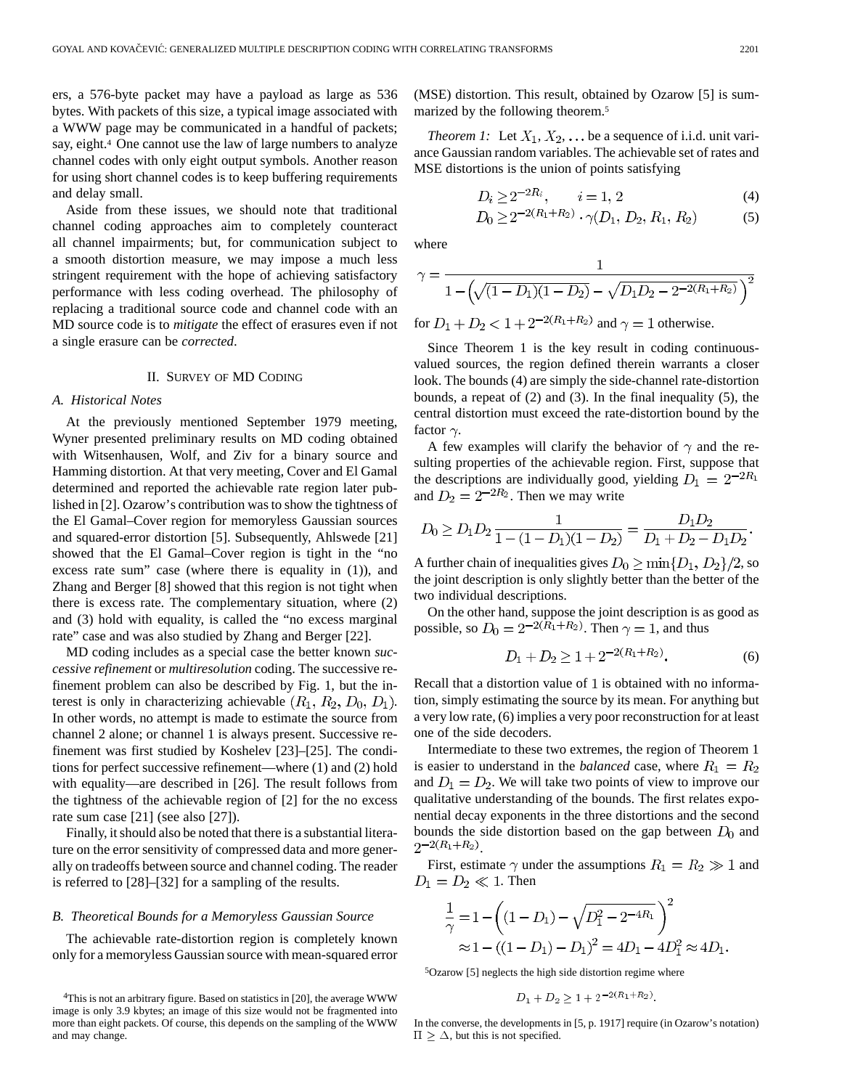ers, a 576-byte packet may have a payload as large as 536 bytes. With packets of this size, a typical image associated with a WWW page may be communicated in a handful of packets; say, eight.<sup>4</sup> One cannot use the law of large numbers to analyze channel codes with only eight output symbols. Another reason for using short channel codes is to keep buffering requirements and delay small.

Aside from these issues, we should note that traditional channel coding approaches aim to completely counteract all channel impairments; but, for communication subject to a smooth distortion measure, we may impose a much less stringent requirement with the hope of achieving satisfactory performance with less coding overhead. The philosophy of replacing a traditional source code and channel code with an MD source code is to *mitigate* the effect of erasures even if not a single erasure can be *corrected*.

#### II. SURVEY OF MD CODING

#### *A. Historical Notes*

At the previously mentioned September 1979 meeting, Wyner presented preliminary results on MD coding obtained with Witsenhausen, Wolf, and Ziv for a binary source and Hamming distortion. At that very meeting, Cover and El Gamal determined and reported the achievable rate region later published in [2]. Ozarow's contribution was to show the tightness of the El Gamal–Cover region for memoryless Gaussian sources and squared-error distortion [5]. Subsequently, Ahlswede [21] showed that the El Gamal–Cover region is tight in the "no excess rate sum" case (where there is equality in (1)), and Zhang and Berger [8] showed that this region is not tight when there is excess rate. The complementary situation, where (2) and (3) hold with equality, is called the "no excess marginal rate" case and was also studied by Zhang and Berger [22].

MD coding includes as a special case the better known *successive refinement* or *multiresolution* coding. The successive refinement problem can also be described by Fig. 1, but the interest is only in characterizing achievable  $(R_1, R_2, D_0, D_1)$ . In other words, no attempt is made to estimate the source from channel 2 alone; or channel 1 is always present. Successive refinement was first studied by Koshelev [23]–[25]. The conditions for perfect successive refinement—where (1) and (2) hold with equality—are described in [26]. The result follows from the tightness of the achievable region of [2] for the no excess rate sum case [21] (see also [27]).

Finally, it should also be noted that there is a substantial literature on the error sensitivity of compressed data and more generally on tradeoffs between source and channel coding. The reader is referred to [28]–[32] for a sampling of the results.

#### *B. Theoretical Bounds for a Memoryless Gaussian Source*

The achievable rate-distortion region is completely known only for a memoryless Gaussian source with mean-squared error (MSE) distortion. This result, obtained by Ozarow [5] is summarized by the following theorem.5

*Theorem 1:* Let  $X_1, X_2, \ldots$  be a sequence of i.i.d. unit variance Gaussian random variables. The achievable set of rates and MSE distortions is the union of points satisfying

$$
D_i \ge 2^{-2R_i}, \qquad i = 1, 2 \tag{4}
$$

$$
D_0 \ge 2^{-2(R_1 + R_2)} \cdot \gamma(D_1, D_2, R_1, R_2)
$$
 (5)

where

Ĵ

$$
\gamma = \frac{1}{1 - \left(\sqrt{(1 - D_1)(1 - D_2)} - \sqrt{D_1 D_2 - 2^{-2(R_1 + R_2)}}\right)^2}
$$

 $\mathbf{1}$ 

for  $D_1 + D_2 < 1 + 2^{-2(R_1 + R_2)}$  and  $\gamma = 1$  otherwise.

Since Theorem 1 is the key result in coding continuousvalued sources, the region defined therein warrants a closer look. The bounds (4) are simply the side-channel rate-distortion bounds, a repeat of (2) and (3). In the final inequality (5), the central distortion must exceed the rate-distortion bound by the factor  $\gamma$ .

A few examples will clarify the behavior of  $\gamma$  and the resulting properties of the achievable region. First, suppose that the descriptions are individually good, yielding  $D_1 = 2^{-2R_1}$ and  $D_2 = 2^{-2R_2}$ . Then we may write

$$
D_0 \ge D_1 D_2 \frac{1}{1 - (1 - D_1)(1 - D_2)} = \frac{D_1 D_2}{D_1 + D_2 - D_1 D_2}.
$$

A further chain of inequalities gives  $D_0 \ge \min\{D_1, D_2\}/2$ , so the joint description is only slightly better than the better of the two individual descriptions.

On the other hand, suppose the joint description is as good as possible, so  $D_0 = 2^{-2(R_1 + R_2)}$ . Then  $\gamma = 1$ , and thus

$$
D_1 + D_2 \ge 1 + 2^{-2(R_1 + R_2)}.\tag{6}
$$

Recall that a distortion value of 1 is obtained with no information, simply estimating the source by its mean. For anything but a very low rate, (6) implies a very poor reconstruction for at least one of the side decoders.

Intermediate to these two extremes, the region of Theorem 1 is easier to understand in the *balanced* case, where  $R_1 = R_2$ and  $D_1 = D_2$ . We will take two points of view to improve our qualitative understanding of the bounds. The first relates exponential decay exponents in the three distortions and the second bounds the side distortion based on the gap between  $D_0$  and  $2^{-2(R_1+R_2)}$ .

First, estimate  $\gamma$  under the assumptions  $R_1 = R_2 \gg 1$  and  $D_1 = D_2 \ll 1$ . Then

$$
\frac{1}{\gamma} = 1 - \left( (1 - D_1) - \sqrt{D_1^2 - 2^{-4R_1}} \right)^2
$$
  
 
$$
\approx 1 - \left( (1 - D_1) - D_1 \right)^2 = 4D_1 - 4D_1^2 \approx 4D_1.
$$

5Ozarow [5] neglects the high side distortion regime where

$$
D_1 + D_2 \ge 1 + 2^{-2(R_1 + R_2)}.
$$

In the converse, the developments in [5, p. 1917] require (in Ozarow's notation)  $\Pi \geq \Delta$ , but this is not specified.

<sup>4</sup>This is not an arbitrary figure. Based on statistics in [20], the average WWW image is only 3.9 kbytes; an image of this size would not be fragmented into more than eight packets. Of course, this depends on the sampling of the WWW and may change.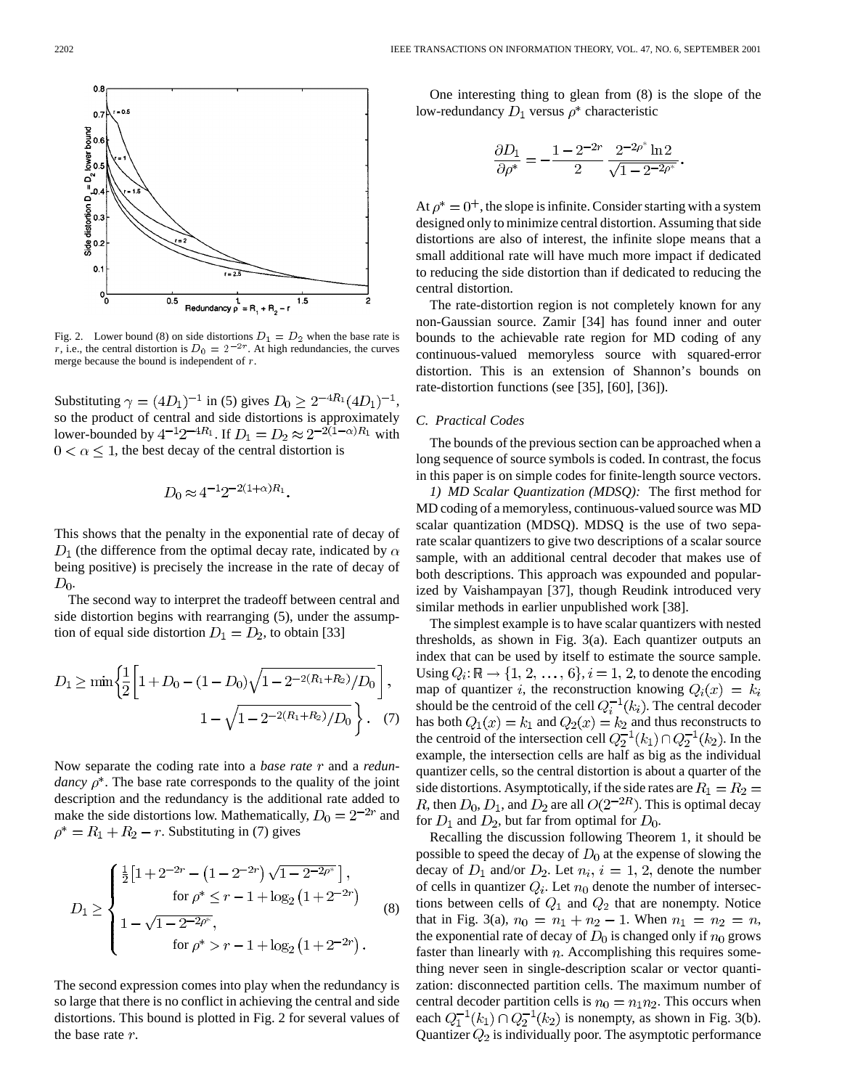

Fig. 2. Lower bound (8) on side distortions  $D_1 = D_2$  when the base rate is r, i.e., the central distortion is  $D_0 = 2^{-2r}$ . At high redundancies, the curves merge because the bound is independent of r.

Substituting  $\gamma = (4D_1)^{-1}$  in (5) gives  $D_0 \ge 2^{-4R_1} (4D_1)^{-1}$ , so the product of central and side distortions is approximately lower-bounded by  $4^{-1}2^{-4R_1}$ . If  $D_1 = D_2 \approx 2^{-2(1-\alpha)R_1}$  with  $0 < \alpha \leq 1$ , the best decay of the central distortion is

$$
D_0 \approx 4^{-1} 2^{-2(1+\alpha)R_1}
$$

This shows that the penalty in the exponential rate of decay of  $D_1$  (the difference from the optimal decay rate, indicated by  $\alpha$ being positive) is precisely the increase in the rate of decay of  $D_0$ .

The second way to interpret the tradeoff between central and side distortion begins with rearranging  $(5)$ , under the assumption of equal side distortion  $D_1 = D_2$ , to obtain [33]

$$
D_1 \ge \min\left\{\frac{1}{2}\left[1 + D_0 - (1 - D_0)\sqrt{1 - 2^{-2(R_1 + R_2)}/D_0}\right],\right.\
$$

$$
1 - \sqrt{1 - 2^{-2(R_1 + R_2)}/D_0}\right\}.
$$
 (7)

Now separate the coding rate into a *base rate* r and a *redundancy*  $\rho^*$ . The base rate corresponds to the quality of the joint description and the redundancy is the additional rate added to make the side distortions low. Mathematically,  $D_0 = 2^{-2r}$  and  $\rho^* = R_1 + R_2 - r$ . Substituting in (7) gives

$$
D_1 \ge \begin{cases} \frac{1}{2} \left[ 1 + 2^{-2r} - \left( 1 - 2^{-2r} \right) \sqrt{1 - 2^{-2\rho^*}} \right], & \text{for } \rho^* \le r - 1 + \log_2 \left( 1 + 2^{-2r} \right) \\ 1 - \sqrt{1 - 2^{-2\rho^*}}, & \text{for } \rho^* > r - 1 + \log_2 \left( 1 + 2^{-2r} \right). \end{cases} \tag{8}
$$

The second expression comes into play when the redundancy is so large that there is no conflict in achieving the central and side distortions. This bound is plotted in Fig. 2 for several values of the base rate  $r$ .

One interesting thing to glean from (8) is the slope of the low-redundancy  $D_1$  versus  $\rho^*$  characteristic

$$
\frac{\partial D_1}{\partial \rho^*} = -\frac{1 - 2^{-2r}}{2} \frac{2^{-2\rho^*} \ln 2}{\sqrt{1 - 2^{-2\rho^*}}}.
$$

At  $\rho^* = 0^+$ , the slope is infinite. Consider starting with a system designed only to minimize central distortion. Assuming that side distortions are also of interest, the infinite slope means that a small additional rate will have much more impact if dedicated to reducing the side distortion than if dedicated to reducing the central distortion.

The rate-distortion region is not completely known for any non-Gaussian source. Zamir [34] has found inner and outer bounds to the achievable rate region for MD coding of any continuous-valued memoryless source with squared-error distortion. This is an extension of Shannon's bounds on rate-distortion functions (see [35], [60], [36]).

#### *C. Practical Codes*

The bounds of the previous section can be approached when a long sequence of source symbols is coded. In contrast, the focus in this paper is on simple codes for finite-length source vectors.

*1) MD Scalar Quantization (MDSQ):* The first method for MD coding of a memoryless, continuous-valued source was MD scalar quantization (MDSQ). MDSQ is the use of two separate scalar quantizers to give two descriptions of a scalar source sample, with an additional central decoder that makes use of both descriptions. This approach was expounded and popularized by Vaishampayan [37], though Reudink introduced very similar methods in earlier unpublished work [38].

The simplest example is to have scalar quantizers with nested thresholds, as shown in Fig. 3(a). Each quantizer outputs an index that can be used by itself to estimate the source sample. Using  $Q_i: \mathbb{R} \to \{1, 2, \ldots, 6\}, i = 1, 2$ , to denote the encoding map of quantizer i, the reconstruction knowing  $Q_i(x) = k_i$ should be the centroid of the cell  $Q_i^{-1}(k_i)$ . The central decoder has both  $Q_1(x) = k_1$  and  $Q_2(x) = k_2$  and thus reconstructs to the centroid of the intersection cell  $Q_2^{-1}(k_1) \cap Q_2^{-1}(k_2)$ . In the example, the intersection cells are half as big as the individual quantizer cells, so the central distortion is about a quarter of the side distortions. Asymptotically, if the side rates are  $R_1 = R_2 =$ R, then  $D_0$ ,  $D_1$ , and  $D_2$  are all  $O(2^{-2R})$ . This is optimal decay for  $D_1$  and  $D_2$ , but far from optimal for  $D_0$ .

Recalling the discussion following Theorem 1, it should be possible to speed the decay of  $D_0$  at the expense of slowing the decay of  $D_1$  and/or  $D_2$ . Let  $n_i$ ,  $i = 1, 2$ , denote the number of cells in quantizer  $Q_i$ . Let  $n_0$  denote the number of intersections between cells of  $Q_1$  and  $Q_2$  that are nonempty. Notice that in Fig. 3(a),  $n_0 = n_1 + n_2 - 1$ . When  $n_1 = n_2 = n$ , the exponential rate of decay of  $D_0$  is changed only if  $n_0$  grows faster than linearly with  $n$ . Accomplishing this requires something never seen in single-description scalar or vector quantization: disconnected partition cells. The maximum number of central decoder partition cells is  $n_0 = n_1 n_2$ . This occurs when each  $Q_1^{-1}(k_1) \cap Q_2^{-1}(k_2)$  is nonempty, as shown in Fig. 3(b). Quantizer  $Q_2$  is individually poor. The asymptotic performance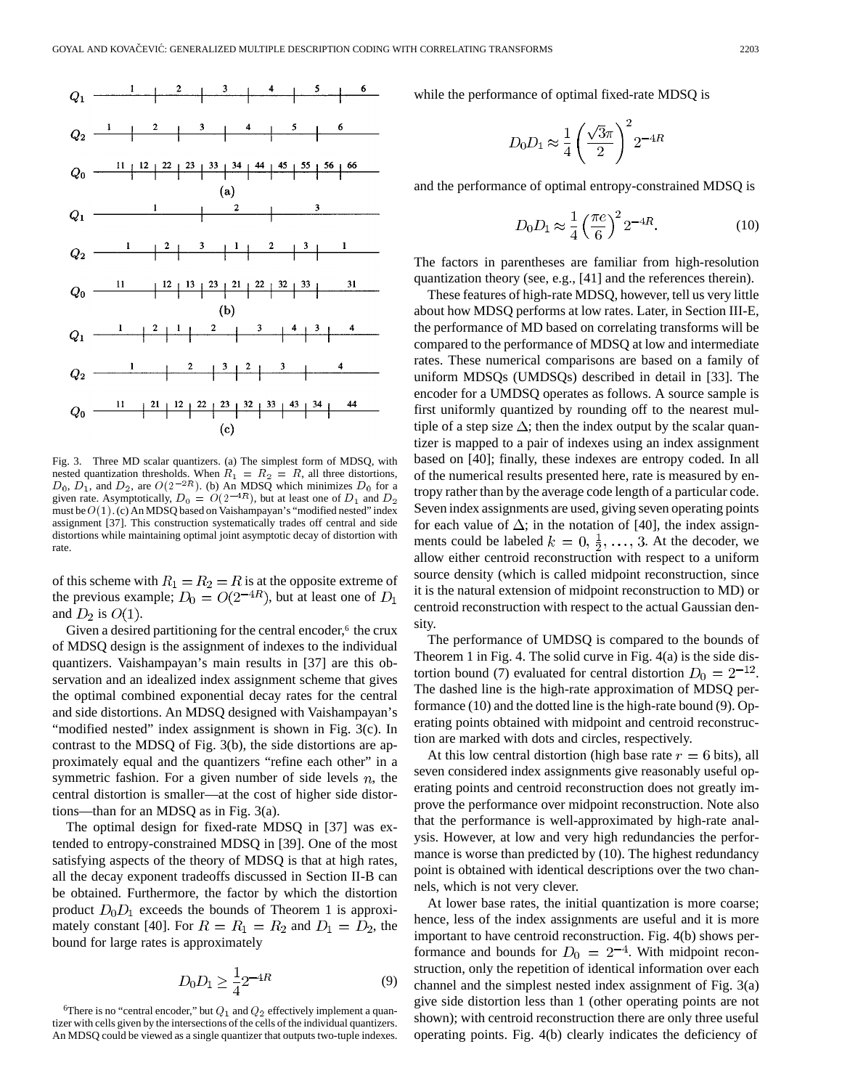

Fig. 3. Three MD scalar quantizers. (a) The simplest form of MDSQ, with nested quantization thresholds. When  $R_1 = R_2 = R$ , all three distortions,  $D_0$ ,  $D_1$ , and  $D_2$ , are  $O(2^{-2R})$ . (b) An MDSQ which minimizes  $D_0$  for a given rate. Asymptotically,  $D_0 = O(2^{-4R})$ , but at least one of  $D_1$  and D must be  $O(1)$ . (c) An MDSQ based on Vaishampayan's "modified nested" index assignment [37]. This construction systematically trades off central and side distortions while maintaining optimal joint asymptotic decay of distortion with rate.

of this scheme with  $R_1 = R_2 = R$  is at the opposite extreme of the previous example;  $D_0 = O(2^{-4R})$ , but at least one of  $D_1$ and  $D_2$  is  $O(1)$ .

Given a desired partitioning for the central encoder,<sup>6</sup> the crux of MDSQ design is the assignment of indexes to the individual quantizers. Vaishampayan's main results in [37] are this observation and an idealized index assignment scheme that gives the optimal combined exponential decay rates for the central and side distortions. An MDSQ designed with Vaishampayan's "modified nested" index assignment is shown in Fig. 3(c). In contrast to the MDSQ of Fig. 3(b), the side distortions are approximately equal and the quantizers "refine each other" in a symmetric fashion. For a given number of side levels  $n$ , the central distortion is smaller—at the cost of higher side distortions—than for an MDSQ as in Fig. 3(a).

The optimal design for fixed-rate MDSQ in [37] was extended to entropy-constrained MDSQ in [39]. One of the most satisfying aspects of the theory of MDSQ is that at high rates, all the decay exponent tradeoffs discussed in Section II-B can be obtained. Furthermore, the factor by which the distortion product  $D_0D_1$  exceeds the bounds of Theorem 1 is approximately constant [40]. For  $R = R_1 = R_2$  and  $D_1 = D_2$ , the bound for large rates is approximately

$$
D_0 D_1 \ge \frac{1}{4} 2^{-4R} \tag{9}
$$

<sup>6</sup>There is no "central encoder," but  $Q_1$  and  $Q_2$  effectively implement a quantizer with cells given by the intersections of the cells of the individual quantizers. An MDSQ could be viewed as a single quantizer that outputs two-tuple indexes. while the performance of optimal fixed-rate MDSQ is

$$
D_0 D_1 \approx \frac{1}{4} \left( \frac{\sqrt{3}\pi}{2} \right)^2 2^{-4R}
$$

and the performance of optimal entropy-constrained MDSQ is

$$
D_0 D_1 \approx \frac{1}{4} \left(\frac{\pi e}{6}\right)^2 2^{-4R}.\tag{10}
$$

The factors in parentheses are familiar from high-resolution quantization theory (see, e.g., [41] and the references therein).

These features of high-rate MDSQ, however, tell us very little about how MDSQ performs at low rates. Later, in Section III-E, the performance of MD based on correlating transforms will be compared to the performance of MDSQ at low and intermediate rates. These numerical comparisons are based on a family of uniform MDSQs (UMDSQs) described in detail in [33]. The encoder for a UMDSQ operates as follows. A source sample is first uniformly quantized by rounding off to the nearest multiple of a step size  $\Delta$ ; then the index output by the scalar quantizer is mapped to a pair of indexes using an index assignment based on [40]; finally, these indexes are entropy coded. In all of the numerical results presented here, rate is measured by entropy rather than by the average code length of a particular code. Seven index assignments are used, giving seven operating points for each value of  $\Delta$ ; in the notation of [40], the index assignments could be labeled  $k = 0, \frac{1}{2}, \ldots, 3$ . At the decoder, we allow either centroid reconstruction with respect to a uniform source density (which is called midpoint reconstruction, since it is the natural extension of midpoint reconstruction to MD) or centroid reconstruction with respect to the actual Gaussian density.

The performance of UMDSQ is compared to the bounds of Theorem 1 in Fig. 4. The solid curve in Fig. 4(a) is the side distortion bound (7) evaluated for central distortion  $D_0 = 2^{-12}$ . The dashed line is the high-rate approximation of MDSQ performance (10) and the dotted line is the high-rate bound (9). Operating points obtained with midpoint and centroid reconstruction are marked with dots and circles, respectively.

At this low central distortion (high base rate  $r = 6$  bits), all seven considered index assignments give reasonably useful operating points and centroid reconstruction does not greatly improve the performance over midpoint reconstruction. Note also that the performance is well-approximated by high-rate analysis. However, at low and very high redundancies the performance is worse than predicted by (10). The highest redundancy point is obtained with identical descriptions over the two channels, which is not very clever.

At lower base rates, the initial quantization is more coarse; hence, less of the index assignments are useful and it is more important to have centroid reconstruction. Fig. 4(b) shows performance and bounds for  $D_0 = 2^{-4}$ . With midpoint reconstruction, only the repetition of identical information over each channel and the simplest nested index assignment of Fig. 3(a) give side distortion less than 1 (other operating points are not shown); with centroid reconstruction there are only three useful operating points. Fig. 4(b) clearly indicates the deficiency of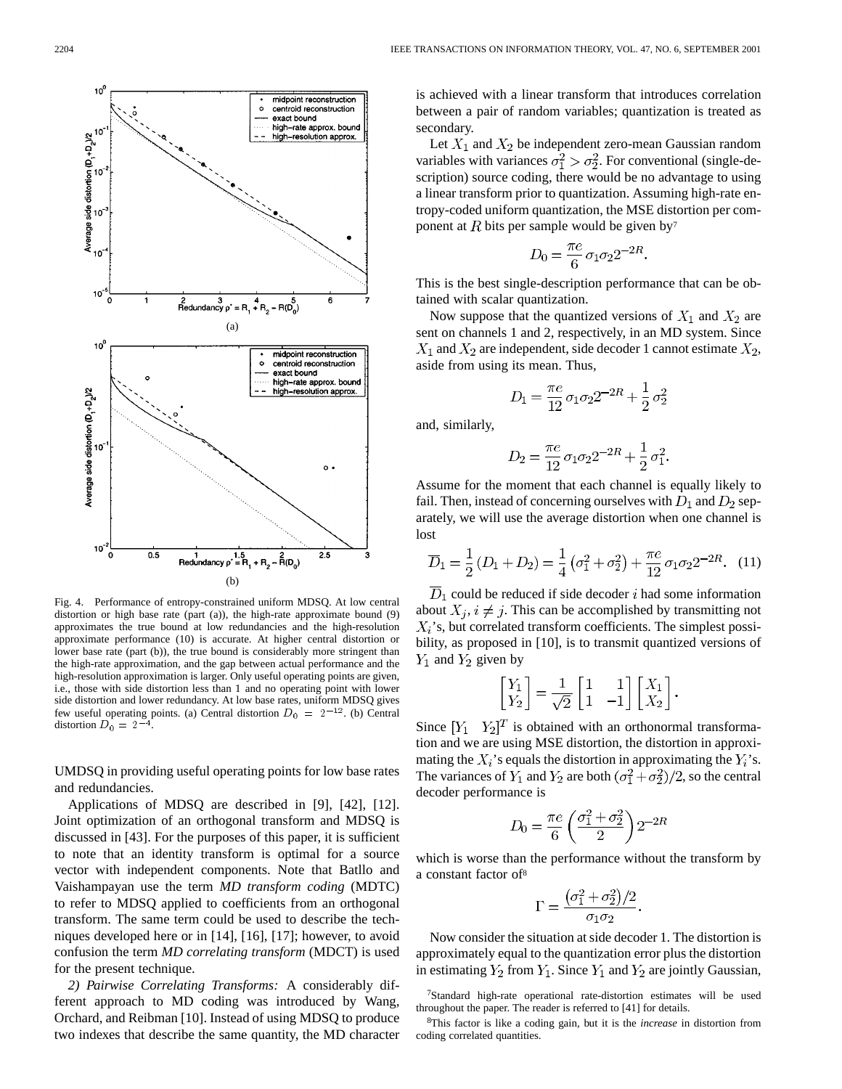

Fig. 4. Performance of entropy-constrained uniform MDSQ. At low central distortion or high base rate (part (a)), the high-rate approximate bound (9) approximates the true bound at low redundancies and the high-resolution approximate performance (10) is accurate. At higher central distortion or lower base rate (part (b)), the true bound is considerably more stringent than the high-rate approximation, and the gap between actual performance and the high-resolution approximation is larger. Only useful operating points are given, i.e., those with side distortion less than 1 and no operating point with lower side distortion and lower redundancy. At low base rates, uniform MDSQ gives few useful operating points. (a) Central distortion  $D_0 = 2^{-12}$ . (b) Central distortion  $D_0 = 2$ <sup>-1</sup>

UMDSQ in providing useful operating points for low base rates and redundancies.

Applications of MDSQ are described in [9], [42], [12]. Joint optimization of an orthogonal transform and MDSQ is discussed in [43]. For the purposes of this paper, it is sufficient to note that an identity transform is optimal for a source vector with independent components. Note that Batllo and Vaishampayan use the term *MD transform coding* (MDTC) to refer to MDSQ applied to coefficients from an orthogonal transform. The same term could be used to describe the techniques developed here or in [14], [16], [17]; however, to avoid confusion the term *MD correlating transform* (MDCT) is used for the present technique.

*2) Pairwise Correlating Transforms:* A considerably different approach to MD coding was introduced by Wang, Orchard, and Reibman [10]. Instead of using MDSQ to produce two indexes that describe the same quantity, the MD character is achieved with a linear transform that introduces correlation between a pair of random variables; quantization is treated as secondary.

Let  $X_1$  and  $X_2$  be independent zero-mean Gaussian random variables with variances  $\sigma_1^2 > \sigma_2^2$ . For conventional (single-description) source coding, there would be no advantage to using a linear transform prior to quantization. Assuming high-rate entropy-coded uniform quantization, the MSE distortion per component at  $R$  bits per sample would be given by<sup>7</sup>

$$
D_0 = \frac{\pi e}{6} \sigma_1 \sigma_2 2^{-2R}
$$

This is the best single-description performance that can be obtained with scalar quantization.

Now suppose that the quantized versions of  $X_1$  and  $X_2$  are sent on channels 1 and 2, respectively, in an MD system. Since  $X_1$  and  $X_2$  are independent, side decoder 1 cannot estimate  $X_2$ , aside from using its mean. Thus,

$$
D_1 = \frac{\pi e}{12} \sigma_1 \sigma_2 2^{-2R} + \frac{1}{2} \sigma_2^2
$$

and, similarly,

$$
D_2 = \frac{\pi e}{12} \sigma_1 \sigma_2 2^{-2R} + \frac{1}{2} \sigma_1^2.
$$

Assume for the moment that each channel is equally likely to fail. Then, instead of concerning ourselves with  $D_1$  and  $D_2$  separately, we will use the average distortion when one channel is lost

$$
\overline{D}_1 = \frac{1}{2}(D_1 + D_2) = \frac{1}{4}(\sigma_1^2 + \sigma_2^2) + \frac{\pi e}{12}\sigma_1\sigma_2 2^{-2R}.
$$
 (11)

 $D_1$  could be reduced if side decoder i had some information about  $X_j$ ,  $i \neq j$ . This can be accomplished by transmitting not  $X_i$ 's, but correlated transform coefficients. The simplest possibility, as proposed in [10], is to transmit quantized versions of  $Y_1$  and  $Y_2$  given by

$$
\begin{bmatrix} Y_1 \\ Y_2 \end{bmatrix} = \frac{1}{\sqrt{2}} \begin{bmatrix} 1 & 1 \\ 1 & -1 \end{bmatrix} \begin{bmatrix} X_1 \\ X_2 \end{bmatrix}.
$$

Since  $[Y_1 \ Y_2]^T$  is obtained with an orthonormal transformation and we are using MSE distortion, the distortion in approximating the  $X_i$ 's equals the distortion in approximating the  $Y_i$ 's. The variances of  $Y_1$  and  $Y_2$  are both  $(\sigma_1^2 + \sigma_2^2)/2$ , so the central decoder performance is

$$
D_0 = \frac{\pi e}{6} \left( \frac{\sigma_1^2 + \sigma_2^2}{2} \right) 2^{-2R}
$$

which is worse than the performance without the transform by a constant factor of8

$$
\Gamma = \frac{(\sigma_1^2 + \sigma_2^2)/2}{\sigma_1 \sigma_2}
$$

Now consider the situation at side decoder 1. The distortion is approximately equal to the quantization error plus the distortion in estimating  $Y_2$  from  $Y_1$ . Since  $Y_1$  and  $Y_2$  are jointly Gaussian,

7Standard high-rate operational rate-distortion estimates will be used throughout the paper. The reader is referred to [41] for details.

8This factor is like a coding gain, but it is the *increase* in distortion from coding correlated quantities.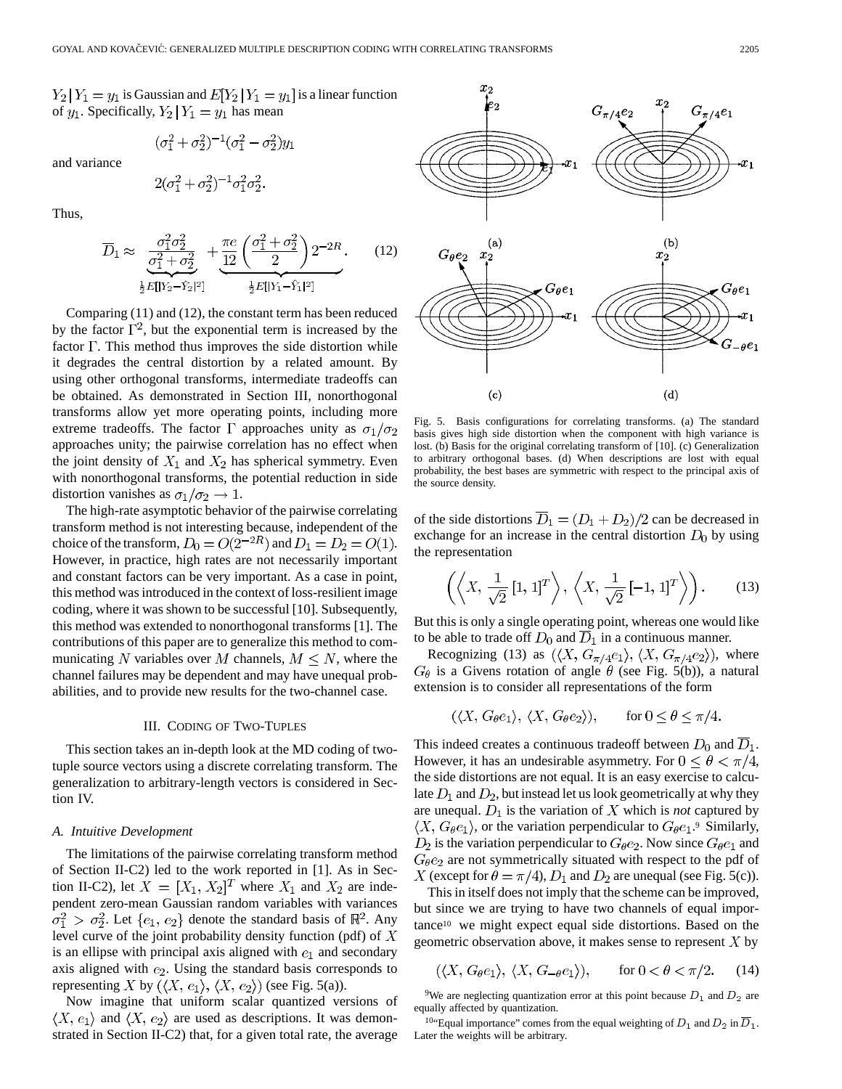$$
(\sigma_1^2 + \sigma_2^2)^{-1}(\sigma_1^2 - \sigma_2^2)y_1
$$

and variance

$$
2(\sigma_1^2 + \sigma_2^2)^{-1} \sigma_1^2 \sigma_2^2.
$$

Thus,

$$
\overline{D}_1 \approx \underbrace{\frac{\sigma_1^2 \sigma_2^2}{\sigma_1^2 + \sigma_2^2}}_{\frac{1}{2}E[|Y_2 - \hat{Y}_2|^2]} + \underbrace{\frac{\pi e}{12} \left(\frac{\sigma_1^2 + \sigma_2^2}{2}\right) 2^{-2R}}_{\frac{1}{2}E[|Y_1 - \hat{Y}_1|^2]}.
$$
 (12)

Comparing (11) and (12), the constant term has been reduced by the factor  $\Gamma^2$ , but the exponential term is increased by the factor  $\Gamma$ . This method thus improves the side distortion while it degrades the central distortion by a related amount. By using other orthogonal transforms, intermediate tradeoffs can be obtained. As demonstrated in Section III, nonorthogonal transforms allow yet more operating points, including more extreme tradeoffs. The factor  $\Gamma$  approaches unity as  $\sigma_1/\sigma_2$ approaches unity; the pairwise correlation has no effect when the joint density of  $X_1$  and  $X_2$  has spherical symmetry. Even with nonorthogonal transforms, the potential reduction in side distortion vanishes as  $\sigma_1/\sigma_2 \rightarrow 1$ .

The high-rate asymptotic behavior of the pairwise correlating transform method is not interesting because, independent of the choice of the transform,  $D_0 = O(2^{-2R})$  and  $D_1 = D_2 = O(1)$ . However, in practice, high rates are not necessarily important and constant factors can be very important. As a case in point, this method was introduced in the context of loss-resilient image coding, where it was shown to be successful [10]. Subsequently, this method was extended to nonorthogonal transforms [1]. The contributions of this paper are to generalize this method to communicating N variables over M channels,  $M \leq N$ , where the channel failures may be dependent and may have unequal probabilities, and to provide new results for the two-channel case.

# III. CODING OF TWO-TUPLES

This section takes an in-depth look at the MD coding of twotuple source vectors using a discrete correlating transform. The generalization to arbitrary-length vectors is considered in Section IV.

#### *A. Intuitive Development*

The limitations of the pairwise correlating transform method of Section II-C2) led to the work reported in [1]. As in Section II-C2), let  $X = [X_1, X_2]^T$  where  $X_1$  and  $X_2$  are independent zero-mean Gaussian random variables with variances  $\sigma_1^2 > \sigma_2^2$ . Let  $\{e_1, e_2\}$  denote the standard basis of  $\mathbb{R}^2$ . Any level curve of the joint probability density function (pdf) of  $X$ is an ellipse with principal axis aligned with  $e_1$  and secondary axis aligned with  $e_2$ . Using the standard basis corresponds to representing X by  $(\langle X, e_1 \rangle, \langle X, e_2 \rangle)$  (see Fig. 5(a)).

Now imagine that uniform scalar quantized versions of  $\langle X, e_1 \rangle$  and  $\langle X, e_2 \rangle$  are used as descriptions. It was demonstrated in Section II-C2) that, for a given total rate, the average



Fig. 5. Basis configurations for correlating transforms. (a) The standard basis gives high side distortion when the component with high variance is lost. (b) Basis for the original correlating transform of [10]. (c) Generalization to arbitrary orthogonal bases. (d) When descriptions are lost with equal probability, the best bases are symmetric with respect to the principal axis of the source density.

of the side distortions  $D_1 = (D_1 + D_2)/2$  can be decreased in exchange for an increase in the central distortion  $D_0$  by using the representation

$$
\left(\left\langle X, \frac{1}{\sqrt{2}}\left[1,1\right]^T\right\rangle, \left\langle X, \frac{1}{\sqrt{2}}\left[-1,1\right]^T\right\rangle\right). \tag{13}
$$

But this is only a single operating point, whereas one would like to be able to trade off  $D_0$  and  $\overline{D}_1$  in a continuous manner.

Recognizing (13) as  $(\langle X, G_{\pi/4}e_1 \rangle, \langle X, G_{\pi/4}e_2 \rangle)$ , where  $G_{\theta}$  is a Givens rotation of angle  $\theta$  (see Fig. 5(b)), a natural extension is to consider all representations of the form

$$
(\langle X, G_{\theta}e_1 \rangle, \langle X, G_{\theta}e_2 \rangle), \quad \text{for } 0 \le \theta \le \pi/4.
$$

This indeed creates a continuous tradeoff between  $D_0$  and  $\overline{D}_1$ . However, it has an undesirable asymmetry. For  $0 \le \theta < \pi/4$ , the side distortions are not equal. It is an easy exercise to calculate  $D_1$  and  $D_2$ , but instead let us look geometrically at why they are unequal.  $D_1$  is the variation of X which is *not* captured by  $\langle X, G_{\theta}e_1 \rangle$ , or the variation perpendicular to  $G_{\theta}e_1$ .<sup>9</sup> Similarly,  $D_2$  is the variation perpendicular to  $G_{\theta}e_2$ . Now since  $G_{\theta}e_1$  and  $G_{\theta}e_2$  are not symmetrically situated with respect to the pdf of X (except for  $\theta = \pi/4$ ),  $D_1$  and  $D_2$  are unequal (see Fig. 5(c)).

This in itself does not imply that the scheme can be improved, but since we are trying to have two channels of equal importance10 we might expect equal side distortions. Based on the geometric observation above, it makes sense to represent  $X$  by

$$
(\langle X, G_{\theta}e_1 \rangle, \langle X, G_{-\theta}e_1 \rangle), \quad \text{for } 0 < \theta < \pi/2. \tag{14}
$$

<sup>9</sup>We are neglecting quantization error at this point because  $D_1$  and  $D_2$  are equally affected by quantization.

<sup>10</sup>"Equal importance" comes from the equal weighting of  $D_1$  and  $D_2$  in  $\overline{D}_1$ . Later the weights will be arbitrary.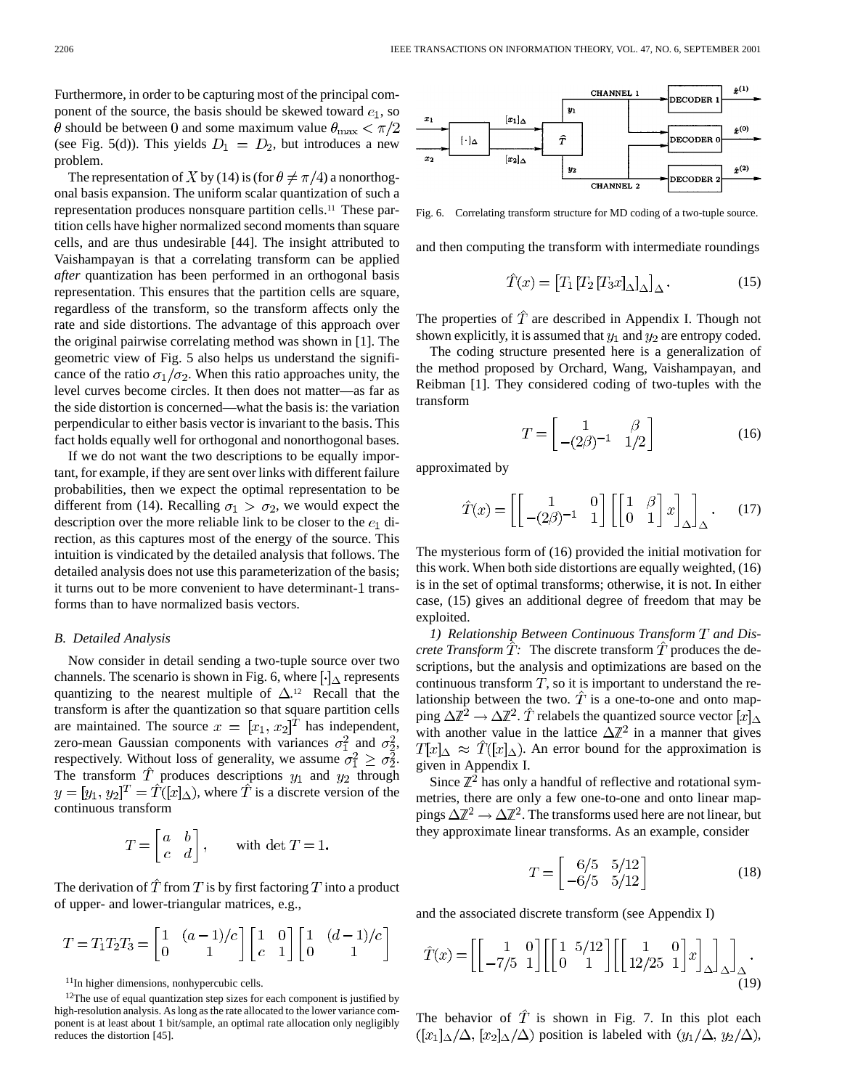Furthermore, in order to be capturing most of the principal component of the source, the basis should be skewed toward  $e_1$ , so  $\theta$  should be between 0 and some maximum value  $\theta_{\text{max}} < \pi/2$ (see Fig. 5(d)). This yields  $D_1 = D_2$ , but introduces a new problem.

The representation of X by (14) is (for  $\theta \neq \pi/4$ ) a nonorthogonal basis expansion. The uniform scalar quantization of such a representation produces nonsquare partition cells.11 These partition cells have higher normalized second moments than square cells, and are thus undesirable [44]. The insight attributed to Vaishampayan is that a correlating transform can be applied *after* quantization has been performed in an orthogonal basis representation. This ensures that the partition cells are square, regardless of the transform, so the transform affects only the rate and side distortions. The advantage of this approach over the original pairwise correlating method was shown in [1]. The geometric view of Fig. 5 also helps us understand the significance of the ratio  $\sigma_1/\sigma_2$ . When this ratio approaches unity, the level curves become circles. It then does not matter—as far as the side distortion is concerned—what the basis is: the variation perpendicular to either basis vector is invariant to the basis. This fact holds equally well for orthogonal and nonorthogonal bases.

If we do not want the two descriptions to be equally important, for example, if they are sent over links with different failure probabilities, then we expect the optimal representation to be different from (14). Recalling  $\sigma_1 > \sigma_2$ , we would expect the description over the more reliable link to be closer to the  $e_1$  direction, as this captures most of the energy of the source. This intuition is vindicated by the detailed analysis that follows. The detailed analysis does not use this parameterization of the basis; it turns out to be more convenient to have determinant-1 transforms than to have normalized basis vectors.

#### *B. Detailed Analysis*

Now consider in detail sending a two-tuple source over two channels. The scenario is shown in Fig. 6, where  $\lceil \cdot \rceil$  represents quantizing to the nearest multiple of  $\Delta$ .<sup>12</sup> Recall that the transform is after the quantization so that square partition cells are maintained. The source  $x = [x_1, x_2]^T$  has independent, zero-mean Gaussian components with variances  $\sigma_1^2$  and  $\sigma_2^2$ , respectively. Without loss of generality, we assume  $\sigma_1^2 \geq \sigma_2^2$ . The transform T produces descriptions  $y_1$  and  $y_2$  through  $y = [y_1, y_2]^T = \hat{T}([x]_{\Delta})$ , where  $\hat{T}$  is a discrete version of the continuous transform

$$
T = \begin{bmatrix} a & b \\ c & d \end{bmatrix}, \qquad \text{with } \det T = 1.
$$

The derivation of  $\hat{T}$  from T is by first factoring T into a product of upper- and lower-triangular matrices, e.g.,

$$
T = T_1 T_2 T_3 = \begin{bmatrix} 1 & (a-1)/c \\ 0 & 1 \end{bmatrix} \begin{bmatrix} 1 & 0 \\ c & 1 \end{bmatrix} \begin{bmatrix} 1 & (d-1)/c \\ 0 & 1 \end{bmatrix}
$$

11In higher dimensions, nonhypercubic cells.

<sup>12</sup>The use of equal quantization step sizes for each component is justified by high-resolution analysis. As long as the rate allocated to the lower variance component is at least about 1 bit/sample, an optimal rate allocation only negligibly reduces the distortion [45].



Fig. 6. Correlating transform structure for MD coding of a two-tuple source.

and then computing the transform with intermediate roundings

$$
\hat{T}(x) = [T_1 [T_2 [T_3 x]_{\Delta}]_{\Delta}.
$$
\n(15)

The properties of  $\hat{T}$  are described in Appendix I. Though not shown explicitly, it is assumed that  $y_1$  and  $y_2$  are entropy coded.

The coding structure presented here is a generalization of the method proposed by Orchard, Wang, Vaishampayan, and Reibman [1]. They considered coding of two-tuples with the transform

$$
T = \begin{bmatrix} 1 & \beta \\ -(2\beta)^{-1} & 1/2 \end{bmatrix} \tag{16}
$$

approximated by

$$
\hat{T}(x) = \left[ \begin{bmatrix} 1 & 0 \\ -(2\beta)^{-1} & 1 \end{bmatrix} \begin{bmatrix} 1 & \beta \\ 0 & 1 \end{bmatrix} x \right]_{\Delta}.
$$
 (17)

The mysterious form of (16) provided the initial motivation for this work. When both side distortions are equally weighted, (16) is in the set of optimal transforms; otherwise, it is not. In either case, (15) gives an additional degree of freedom that may be exploited.

1) Relationship Between Continuous Transform T and Dis*crete Transform*  $\hat{T}$ : The discrete transform  $\hat{T}$  produces the descriptions, but the analysis and optimizations are based on the continuous transform  $T$ , so it is important to understand the relationship between the two.  $\hat{T}$  is a one-to-one and onto mapping  $\Delta \mathbb{Z}^2 \to \Delta \mathbb{Z}^2$ . T relabels the quantized source vector  $[x]_{\Delta}$ with another value in the lattice  $\Delta \mathbb{Z}^2$  in a manner that gives  $T[x]_{\Delta} \approx \hat{T}([x]_{\Delta})$ . An error bound for the approximation is given in Appendix I.

Since  $\mathbb{Z}^2$  has only a handful of reflective and rotational symmetries, there are only a few one-to-one and onto linear mappings  $\Delta \mathbb{Z}^2 \to \Delta \mathbb{Z}^2$ . The transforms used here are not linear, but they approximate linear transforms. As an example, consider

$$
T = \begin{bmatrix} 6/5 & 5/12 \\ -6/5 & 5/12 \end{bmatrix}
$$
 (18)

and the associated discrete transform (see Appendix I)

$$
\hat{T}(x) = \left[ \begin{bmatrix} 1 & 0 \\ -7/5 & 1 \end{bmatrix} \begin{bmatrix} 1 & 5/12 \\ 0 & 1 \end{bmatrix} \begin{bmatrix} 1 & 0 \\ 12/25 & 1 \end{bmatrix} x \right]_{\Delta} \bigg]_{\Delta}.
$$
\n(19)

The behavior of  $\hat{T}$  is shown in Fig. 7. In this plot each  $([x_1]_{\Delta}/\Delta, [x_2]_{\Delta}/\Delta)$  position is labeled with  $(y_1/\Delta, y_2/\Delta)$ ,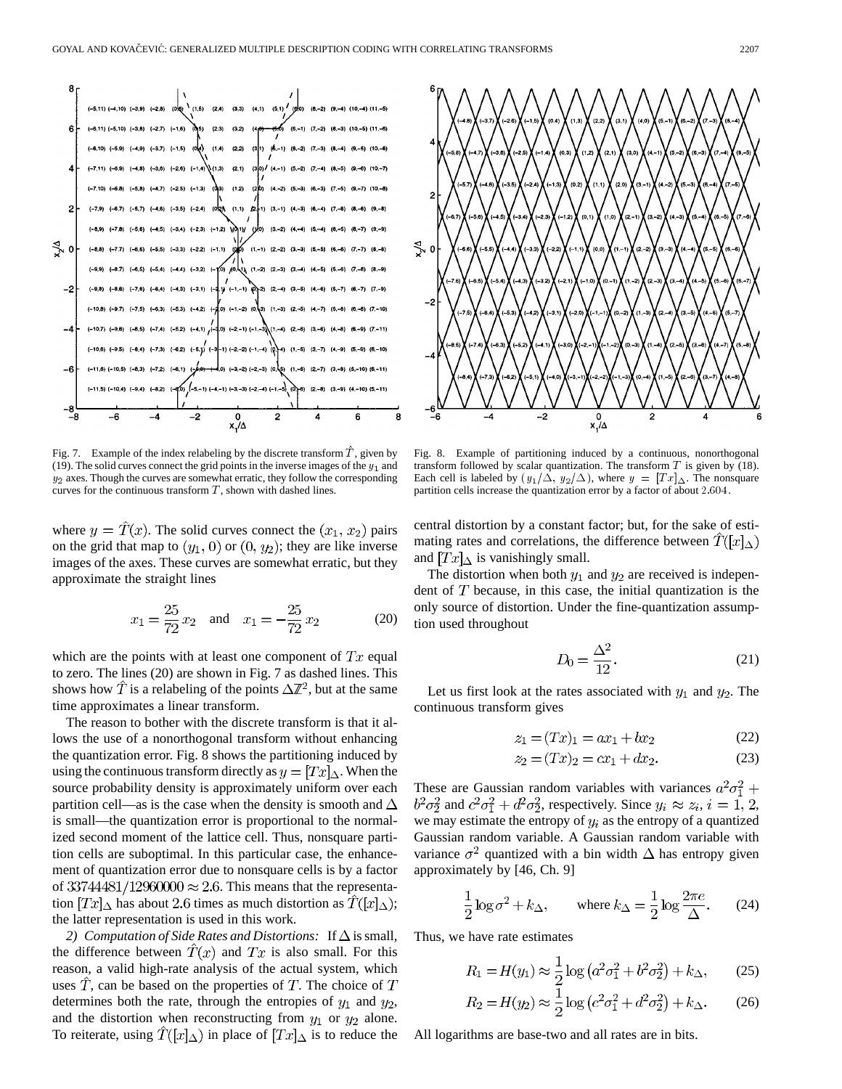

Fig. 7. Example of the index relabeling by the discrete transform  $\hat{T}$ , given by (19). The solid curves connect the grid points in the inverse images of the  $y_1$  and  $y_2$  axes. Though the curves are somewhat erratic, they follow the corresponding curves for the continuous transform  $T$ , shown with dashed lines.

where  $y = \hat{T}(x)$ . The solid curves connect the  $(x_1, x_2)$  pairs on the grid that map to  $(y_1, 0)$  or  $(0, y_2)$ ; they are like inverse images of the axes. These curves are somewhat erratic, but they approximate the straight lines

$$
x_1 = \frac{25}{72} x_2 \quad \text{and} \quad x_1 = -\frac{25}{72} x_2 \tag{20}
$$

which are the points with at least one component of  $Tx$  equal to zero. The lines (20) are shown in Fig. 7 as dashed lines. This shows how  $\hat{T}$  is a relabeling of the points  $\Delta \mathbb{Z}^2$ , but at the same time approximates a linear transform.

The reason to bother with the discrete transform is that it allows the use of a nonorthogonal transform without enhancing the quantization error. Fig. 8 shows the partitioning induced by using the continuous transform directly as  $y = [Tx]_{\Delta}$ . When the source probability density is approximately uniform over each partition cell—as is the case when the density is smooth and  $\Delta$ is small—the quantization error is proportional to the normalized second moment of the lattice cell. Thus, nonsquare partition cells are suboptimal. In this particular case, the enhancement of quantization error due to nonsquare cells is by a factor of  $33744481/12960000 \approx 2.6$ . This means that the representation  $Tr_{\Delta}$  has about 2.6 times as much distortion as  $T([x]_{\Delta})$ ; the latter representation is used in this work.

2) Computation of Side Rates and Distortions: If  $\Delta$  is small, the difference between  $\hat{T}(x)$  and  $Tx$  is also small. For this reason, a valid high-rate analysis of the actual system, which uses  $\tilde{T}$ , can be based on the properties of  $T$ . The choice of  $T$ determines both the rate, through the entropies of  $y_1$  and  $y_2$ , and the distortion when reconstructing from  $y_1$  or  $y_2$  alone. To reiterate, using  $\hat{T}([x]_{\Delta})$  in place of  $[Tx]_{\Delta}$  is to reduce the



Fig. 8. Example of partitioning induced by a continuous, nonorthogonal transform followed by scalar quantization. The transform  $T$  is given by (18). Each cell is labeled by  $(y_1/\Delta, y_2/\Delta)$ , where  $y = [Tx]_{\Delta}$ . The nonsquare partition cells increase the quantization error by a factor of about 2:604.

central distortion by a constant factor; but, for the sake of estimating rates and correlations, the difference between  $\hat{T}([x]_{\Delta})$ and  $[Tx]_{\Delta}$  is vanishingly small.

The distortion when both  $y_1$  and  $y_2$  are received is independent of  $T$  because, in this case, the initial quantization is the only source of distortion. Under the fine-quantization assumption used throughout

$$
D_0 = \frac{\Delta^2}{12}.\tag{21}
$$

Let us first look at the rates associated with  $y_1$  and  $y_2$ . The continuous transform gives

$$
z_1 = (Tx)_1 = ax_1 + bx_2 \tag{22}
$$

$$
z_2 = (Tx)_2 = cx_1 + dx_2.
$$
 (23)

These are Gaussian random variables with variances  $a^2\sigma_1^2$  +  $b^2\sigma_2^2$  and  $c^2\sigma_1^2 + d^2\sigma_2^2$ , respectively. Since  $y_i \approx z_i$ ,  $i = 1, 2$ , we may estimate the entropy of  $y_i$  as the entropy of a quantized Gaussian random variable. A Gaussian random variable with variance  $\sigma^2$  quantized with a bin width  $\Delta$  has entropy given approximately by [46, Ch. 9]

$$
\frac{1}{2}\log \sigma^2 + k_\Delta, \quad \text{where } k_\Delta = \frac{1}{2}\log \frac{2\pi e}{\Delta}. \quad (24)
$$

Thus, we have rate estimates

$$
R_1 = H(y_1) \approx \frac{1}{2} \log \left( a^2 \sigma_1^2 + b^2 \sigma_2^2 \right) + k_\Delta, \tag{25}
$$

$$
R_2 = H(y_2) \approx \frac{1}{2} \log (c^2 \sigma_1^2 + d^2 \sigma_2^2) + k_\Delta. \tag{26}
$$

All logarithms are base-two and all rates are in bits.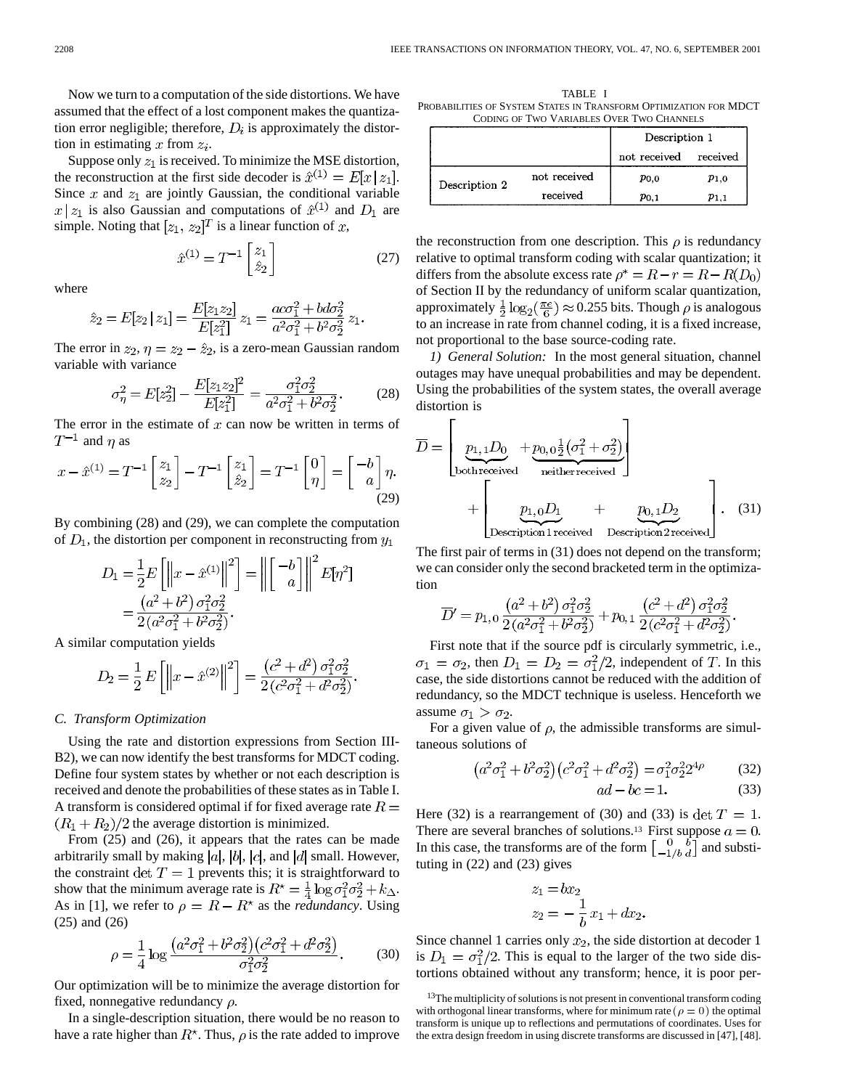Now we turn to a computation of the side distortions. We have assumed that the effect of a lost component makes the quantization error negligible; therefore,  $D_i$  is approximately the distortion in estimating x from  $z_i$ .

Suppose only  $z_1$  is received. To minimize the MSE distortion, the reconstruction at the first side decoder is  $\hat{x}^{(1)} = E[x \, | \, z_1].$ Since  $x$  and  $z_1$  are jointly Gaussian, the conditional variable  $x \mid z_1$  is also Gaussian and computations of  $\hat{x}^{(1)}$  and  $D_1$  are simple. Noting that  $[z_1, z_2]^T$  is a linear function of x,

 $\hat{x}^{(1)}=T^{-1}\begin{bmatrix} z_1\\ \hat{z}_2 \end{bmatrix}$ 

where

$$
\hat{z}_2 = E[z_2 \, | \, z_1] = \frac{E[z_1 z_2]}{E[z_1^2]} \, z_1 = \frac{a \sigma_1^2 + b \sigma_2^2}{a^2 \sigma_1^2 + b^2 \sigma_2^2} \, z_1.
$$

The error in  $z_2$ ,  $\eta = z_2 - \hat{z}_2$ , is a zero-mean Gaussian random variable with variance

$$
\sigma_{\eta}^{2} = E[z_{2}^{2}] - \frac{E[z_{1}z_{2}]^{2}}{E[z_{1}^{2}]} = \frac{\sigma_{1}^{2}\sigma_{2}^{2}}{a^{2}\sigma_{1}^{2} + b^{2}\sigma_{2}^{2}}.
$$
 (28)

(27)

The error in the estimate of  $x$  can now be written in terms of  $T^{-1}$  and  $\eta$  as

$$
x - \hat{x}^{(1)} = T^{-1} \begin{bmatrix} z_1 \\ z_2 \end{bmatrix} - T^{-1} \begin{bmatrix} z_1 \\ \hat{z}_2 \end{bmatrix} = T^{-1} \begin{bmatrix} 0 \\ \eta \end{bmatrix} = \begin{bmatrix} -b \\ a \end{bmatrix} \eta.
$$
\n(29)

By combining (28) and (29), we can complete the computation of  $D_1$ , the distortion per component in reconstructing from  $y_1$ 

$$
D_1 = \frac{1}{2} E \left[ \left\| x - \hat{x}^{(1)} \right\|^2 \right] = \left\| \left[ \begin{array}{c} -b \\ a \end{array} \right] \right\|^2 E[\eta^2]
$$
  
=  $\frac{(a^2 + b^2) \sigma_1^2 \sigma_2^2}{2(a^2 \sigma_1^2 + b^2 \sigma_2^2)}$ .

A similar computation yields

$$
D_2 = \frac{1}{2} E\left[ \left\| x - \hat{x}^{(2)} \right\|^2 \right] = \frac{\left( c^2 + d^2 \right) \sigma_1^2 \sigma_2^2}{2 \left( c^2 \sigma_1^2 + d^2 \sigma_2^2 \right)}.
$$

## *C. Transform Optimization*

Using the rate and distortion expressions from Section III-B2), we can now identify the best transforms for MDCT coding. Define four system states by whether or not each description is received and denote the probabilities of these states as in Table I. A transform is considered optimal if for fixed average rate  $R =$  $(R_1 + R_2)/2$  the average distortion is minimized.

From (25) and (26), it appears that the rates can be made arbitrarily small by making  $|a|$ ,  $|b|$ ,  $|c|$ , and  $|d|$  small. However, the constraint det  $T = 1$  prevents this; it is straightforward to show that the minimum average rate is  $R^* = \frac{1}{4} \log \sigma_1^2 \sigma_2^2 + k_{\Delta}$ . As in [1], we refer to  $\rho = R - R^*$  as the *redundancy*. Using (25) and (26)

$$
\rho = \frac{1}{4} \log \frac{\left(a^2 \sigma_1^2 + b^2 \sigma_2^2\right) \left(c^2 \sigma_1^2 + d^2 \sigma_2^2\right)}{\sigma_1^2 \sigma_2^2}.
$$
 (30)

Our optimization will be to minimize the average distortion for fixed, nonnegative redundancy  $\rho$ .

In a single-description situation, there would be no reason to have a rate higher than  $R^*$ . Thus,  $\rho$  is the rate added to improve

TABLE I PROBABILITIES OF SYSTEM STATES IN TRANSFORM OPTIMIZATION FOR MDCT CODING OF TWO VARIABLES OVER TWO CHANNELS

|               |              | Description 1 |           |
|---------------|--------------|---------------|-----------|
|               |              | not received  | received  |
| Description 2 | not received | $p_{0,0}$     | $p_{1,0}$ |
|               | received     | $p_{0.1}$     | $p_{1,1}$ |

the reconstruction from one description. This  $\rho$  is redundancy relative to optimal transform coding with scalar quantization; it differs from the absolute excess rate  $\rho^* = R - r = R - R(D_0)$ of Section II by the redundancy of uniform scalar quantization, approximately  $\frac{1}{2} \log_2(\frac{\pi e}{6}) \approx 0.255$  bits. Though  $\rho$  is analogous to an increase in rate from channel coding, it is a fixed increase, not proportional to the base source-coding rate.

*1) General Solution:* In the most general situation, channel outages may have unequal probabilities and may be dependent. Using the probabilities of the system states, the overall average distortion is

$$
\overline{D} = \begin{bmatrix} p_{1,1}D_0 + p_{0,0} \frac{1}{2} (\sigma_1^2 + \sigma_2^2) \\ \text{bothreceived} \\ + \begin{bmatrix} p_{1,0}D_1 + p_{0,1}D_2 \\ \text{Description1 received} \\ \text{Description1 received} \end{bmatrix} . \quad (31)
$$

The first pair of terms in (31) does not depend on the transform; we can consider only the second bracketed term in the optimization

$$
\overline{D}' = p_{1,0} \frac{\left(a^2 + b^2\right) \sigma_1^2 \sigma_2^2}{2 \left(a^2 \sigma_1^2 + b^2 \sigma_2^2\right)} + p_{0,1} \frac{\left(c^2 + d^2\right) \sigma_1^2 \sigma_2^2}{2 \left(c^2 \sigma_1^2 + d^2 \sigma_2^2\right)}
$$

First note that if the source pdf is circularly symmetric, i.e.,  $\sigma_1 = \sigma_2$ , then  $D_1 = D_2 = \sigma_1^2/2$ , independent of T. In this case, the side distortions cannot be reduced with the addition of redundancy, so the MDCT technique is useless. Henceforth we assume  $\sigma_1 > \sigma_2$ .

For a given value of  $\rho$ , the admissible transforms are simultaneous solutions of

$$
(a^2\sigma_1^2 + b^2\sigma_2^2)(c^2\sigma_1^2 + d^2\sigma_2^2) = \sigma_1^2\sigma_2^2 2^{4\rho}
$$
 (32)  
ad - bc = 1. (33)

Here (32) is a rearrangement of (30) and (33) is  $\det T = 1$ . There are several branches of solutions.<sup>13</sup> First suppose  $a = 0$ . In this case, the transforms are of the form  $\begin{bmatrix} 0 & b \\ -1/b & d \end{bmatrix}$  and substituting in (22) and (23) gives

$$
z_1 = bx_2
$$
  

$$
z_2 = -\frac{1}{b}x_1 + dx_2
$$

Since channel 1 carries only  $x_2$ , the side distortion at decoder 1 is  $D_1 = \sigma_1^2/2$ . This is equal to the larger of the two side distortions obtained without any transform; hence, it is poor per-

<sup>13</sup>The multiplicity of solutions is not present in conventional transform coding with orthogonal linear transforms, where for minimum rate ( $\rho = 0$ ) the optimal transform is unique up to reflections and permutations of coordinates. Uses for the extra design freedom in using discrete transforms are discussed in [47], [48].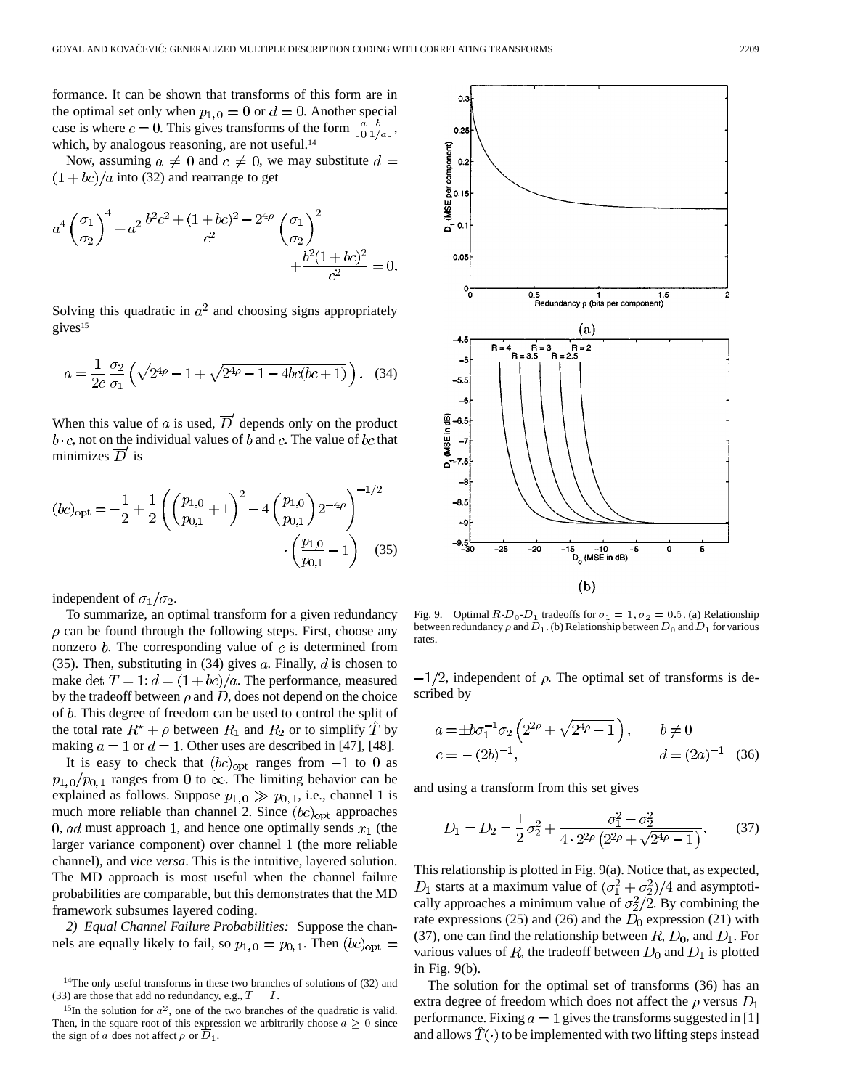formance. It can be shown that transforms of this form are in the optimal set only when  $p_{1,0} = 0$  or  $d = 0$ . Another special case is where  $c = 0$ . This gives transforms of the form  $\begin{bmatrix} a & b \\ 0 & 1/a \end{bmatrix}$ , which, by analogous reasoning, are not useful.<sup>14</sup>

Now, assuming  $a \neq 0$  and  $c \neq 0$ , we may substitute  $d =$  $(1+bc)/a$  into (32) and rearrange to get

$$
a^4 \left(\frac{\sigma_1}{\sigma_2}\right)^4 + a^2 \frac{b^2 c^2 + (1 + bc)^2 - 2^{4\rho}}{c^2} \left(\frac{\sigma_1}{\sigma_2}\right)^2 + \frac{b^2 (1 + bc)^2}{c^2} = 0.
$$

Solving this quadratic in  $a^2$  and choosing signs appropriately gives<sup>15</sup>

$$
a = \frac{1}{2c} \frac{\sigma_2}{\sigma_1} \left( \sqrt{2^{4\rho} - 1} + \sqrt{2^{4\rho} - 1 - 4bc(bc + 1)} \right). \tag{34}
$$

When this value of a is used,  $\overline{D}'$  depends only on the product  $b \cdot c$ , not on the individual values of b and c. The value of bc that minimizes  $\overline{D}$  is

$$
(bc)_{\text{opt}} = -\frac{1}{2} + \frac{1}{2} \left( \left( \frac{p_{1,0}}{p_{0,1}} + 1 \right)^2 - 4 \left( \frac{p_{1,0}}{p_{0,1}} \right) 2^{-4\rho} \right)^{-1/2} \cdot \left( \frac{p_{1,0}}{p_{0,1}} - 1 \right) \quad (35)
$$

independent of  $\sigma_1/\sigma_2$ .

To summarize, an optimal transform for a given redundancy  $\rho$  can be found through the following steps. First, choose any nonzero  $b$ . The corresponding value of  $c$  is determined from (35). Then, substituting in (34) gives  $a$ . Finally,  $d$  is chosen to make det  $T = 1$ :  $d = (1 + bc)/a$ . The performance, measured by the tradeoff between  $\rho$  and  $\overline{D}$ , does not depend on the choice of  $b$ . This degree of freedom can be used to control the split of the total rate  $R^* + \rho$  between  $R_1$  and  $R_2$  or to simplify T by making  $a = 1$  or  $d = 1$ . Other uses are described in [47], [48].

It is easy to check that  $(bc)_{opt}$  ranges from  $-1$  to 0 as  $p_{1.0}/p_{0.1}$  ranges from 0 to  $\infty$ . The limiting behavior can be explained as follows. Suppose  $p_{1,0} \gg p_{0,1}$ , i.e., channel 1 is much more reliable than channel 2. Since  $(bc)_{\text{opt}}$  approaches 0, ad must approach 1, and hence one optimally sends  $x_1$  (the larger variance component) over channel 1 (the more reliable channel), and *vice versa*. This is the intuitive, layered solution. The MD approach is most useful when the channel failure probabilities are comparable, but this demonstrates that the MD framework subsumes layered coding.

*2) Equal Channel Failure Probabilities:* Suppose the channels are equally likely to fail, so  $p_{1,0} = p_{0,1}$ . Then  $(bc)_{opt} =$ 



Fig. 9. Optimal  $R-D_0-D_1$  tradeoffs for  $\sigma_1 = 1$ ,  $\sigma_2 = 0.5$ . (a) Relationship between redundancy  $\rho$  and  $D_1$ . (b) Relationship between  $D_0$  and  $D_1$  for various rates.

 $-1/2$ , independent of  $\rho$ . The optimal set of transforms is described by

$$
a = \pm b\sigma_1^{-1}\sigma_2 \left(2^{2\rho} + \sqrt{2^{4\rho} - 1}\right), \qquad b \neq 0
$$
  

$$
c = -(2b)^{-1}, \qquad d = (2a)^{-1} \quad (36)
$$

and using a transform from this set gives

$$
D_1 = D_2 = \frac{1}{2}\sigma_2^2 + \frac{\sigma_1^2 - \sigma_2^2}{4 \cdot 2^{2\rho} \left(2^{2\rho} + \sqrt{2^{4\rho} - 1}\right)}.
$$
 (37)

This relationship is plotted in Fig. 9(a). Notice that, as expected,  $D_1$  starts at a maximum value of  $(\sigma_1^2 + \sigma_2^2)/4$  and asymptotically approaches a minimum value of  $\sigma_2^2/2$ . By combining the rate expressions (25) and (26) and the  $D_0$  expression (21) with (37), one can find the relationship between  $R$ ,  $D_0$ , and  $D_1$ . For various values of  $R$ , the tradeoff between  $D_0$  and  $D_1$  is plotted in Fig. 9(b).

The solution for the optimal set of transforms (36) has an extra degree of freedom which does not affect the  $\rho$  versus  $D_1$ performance. Fixing  $a = 1$  gives the transforms suggested in [1] and allows  $T(\cdot)$  to be implemented with two lifting steps instead

<sup>14</sup>The only useful transforms in these two branches of solutions of (32) and (33) are those that add no redundancy, e.g.,  $T = I$ .

<sup>&</sup>lt;sup>15</sup>In the solution for  $a^2$ , one of the two branches of the quadratic is valid. Then, in the square root of this expression we arbitrarily choose  $a \geq 0$  since the sign of a does not affect  $\rho$  or  $D_1$ .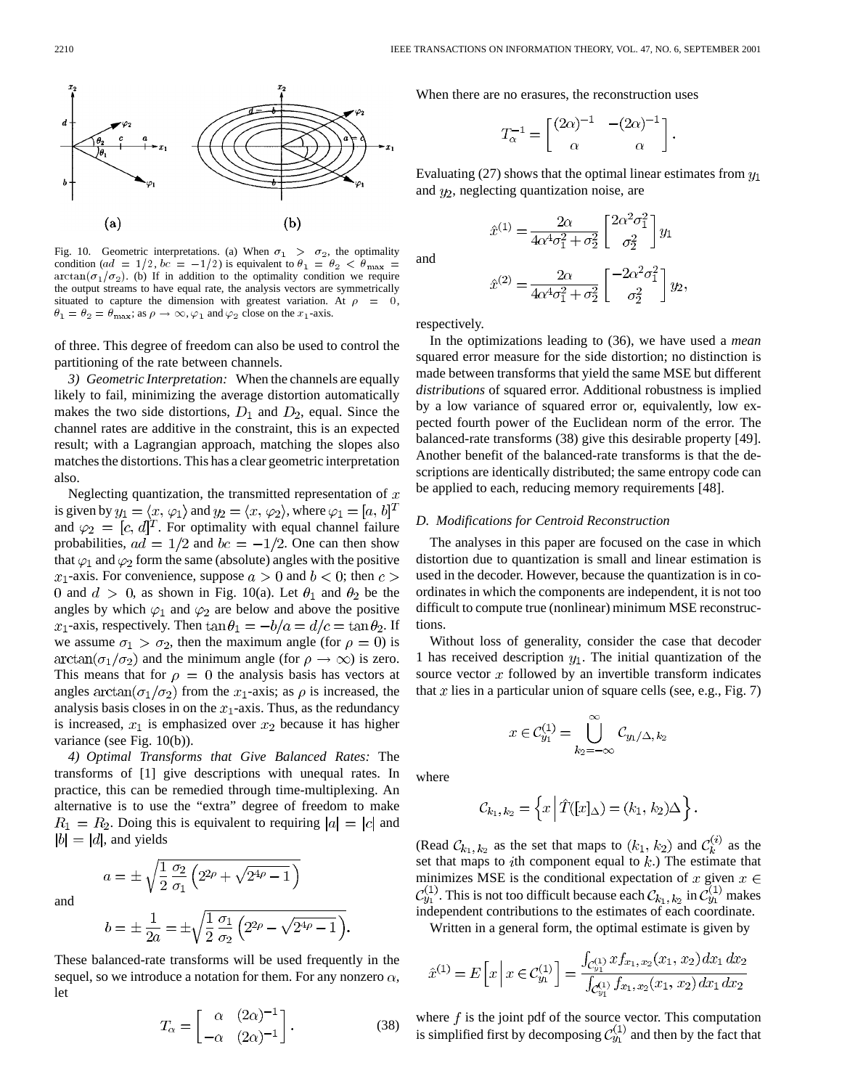

Fig. 10. Geometric interpretations. (a) When  $\sigma_1 > \sigma_2$ , the optimality  $arctan(\sigma_1/\sigma_2)$ . (b) If in addition to the optimality condition we require the output streams to have equal rate, the analysis vectors are symmetrically situated to capture the dimension with greatest variation. At  $\rho = 0$ ,  $\theta_1 = \theta_2 = \theta_{\text{max}}$ ; as  $\rho \to \infty$ ,  $\varphi_1$  and  $\varphi_2$  close on the  $x_1$ -axis.

of three. This degree of freedom can also be used to control the partitioning of the rate between channels.

*3) Geometric Interpretation:* When the channels are equally likely to fail, minimizing the average distortion automatically makes the two side distortions,  $D_1$  and  $D_2$ , equal. Since the channel rates are additive in the constraint, this is an expected result; with a Lagrangian approach, matching the slopes also matches the distortions. This has a clear geometric interpretation also.

Neglecting quantization, the transmitted representation of  $x$ is given by  $y_1 = \langle x, \varphi_1 \rangle$  and  $y_2 = \langle x, \varphi_2 \rangle$ , where  $\varphi_1 = [a, b]^T$ and  $\varphi_2 = [c, d]^T$ . For optimality with equal channel failure probabilities,  $ad = 1/2$  and  $bc = -1/2$ . One can then show that  $\varphi_1$  and  $\varphi_2$  form the same (absolute) angles with the positive  $x_1$ -axis. For convenience, suppose  $a > 0$  and  $b < 0$ ; then  $c > 0$ 0 and  $d > 0$ , as shown in Fig. 10(a). Let  $\theta_1$  and  $\theta_2$  be the angles by which  $\varphi_1$  and  $\varphi_2$  are below and above the positive  $x_1$ -axis, respectively. Then  $\tan \theta_1 = -b/a = d/c = \tan \theta_2$ . If we assume  $\sigma_1 > \sigma_2$ , then the maximum angle (for  $\rho = 0$ ) is  $arctan(\sigma_1/\sigma_2)$  and the minimum angle (for  $\rho \to \infty$ ) is zero. This means that for  $\rho = 0$  the analysis basis has vectors at angles  $arctan(\sigma_1/\sigma_2)$  from the  $x_1$ -axis; as  $\rho$  is increased, the analysis basis closes in on the  $x_1$ -axis. Thus, as the redundancy is increased,  $x_1$  is emphasized over  $x_2$  because it has higher variance (see Fig. 10(b)).

*4) Optimal Transforms that Give Balanced Rates:* The transforms of [1] give descriptions with unequal rates. In practice, this can be remedied through time-multiplexing. An alternative is to use the "extra" degree of freedom to make  $R_1 = R_2$ . Doing this is equivalent to requiring  $|a| = |c|$  and  $|b| = |d|$ , and yields

and

$$
b = \pm \frac{1}{2a} = \pm \sqrt{\frac{1}{2} \frac{\sigma_1}{\sigma_2} \left( 2^{2\rho} - \sqrt{2^{4\rho} - 1} \right)}.
$$

 $a = \pm \sqrt{\frac{1}{2} \frac{\sigma_2}{\sigma_1} \left( 2^{2\rho} + \sqrt{2^{4\rho} - 1} \right)}$ 

These balanced-rate transforms will be used frequently in the sequel, so we introduce a notation for them. For any nonzero  $\alpha$ , let

$$
T_{\alpha} = \begin{bmatrix} \alpha & (2\alpha)^{-1} \\ -\alpha & (2\alpha)^{-1} \end{bmatrix} . \tag{38}
$$

When there are no erasures, the reconstruction uses

$$
T_{\alpha}^{-1} = \begin{bmatrix} (2\alpha)^{-1} & -(2\alpha)^{-1} \\ \alpha & \alpha \end{bmatrix}.
$$

Evaluating (27) shows that the optimal linear estimates from  $y_1$ and  $y_2$ , neglecting quantization noise, are

$$
\hat{x}^{(1)} = \frac{2\alpha}{4\alpha^4 \sigma_1^2 + \sigma_2^2} \begin{bmatrix} 2\alpha^2 \sigma_1^2 \\ \sigma_2^2 \end{bmatrix} y_1
$$

and

$$
\hat{x}^{(2)} = \frac{2\alpha}{4\alpha^4 \sigma_1^2 + \sigma_2^2} \begin{bmatrix} -2\alpha^2 \sigma_1^2 \\ \sigma_2^2 \end{bmatrix} y_2,
$$

respectively.

In the optimizations leading to (36), we have used a *mean* squared error measure for the side distortion; no distinction is made between transforms that yield the same MSE but different *distributions* of squared error. Additional robustness is implied by a low variance of squared error or, equivalently, low expected fourth power of the Euclidean norm of the error. The balanced-rate transforms (38) give this desirable property [49]. Another benefit of the balanced-rate transforms is that the descriptions are identically distributed; the same entropy code can be applied to each, reducing memory requirements [48].

#### *D. Modifications for Centroid Reconstruction*

The analyses in this paper are focused on the case in which distortion due to quantization is small and linear estimation is used in the decoder. However, because the quantization is in coordinates in which the components are independent, it is not too difficult to compute true (nonlinear) minimum MSE reconstructions.

Without loss of generality, consider the case that decoder 1 has received description  $y_1$ . The initial quantization of the source vector  $x$  followed by an invertible transform indicates that x lies in a particular union of square cells (see, e.g., Fig. 7)

$$
x\in\mathcal{C}_{y_1}^{(1)}=\bigcup_{k_2=-\infty}^{\infty}\mathcal{C}_{y_1/\Delta,\,k_2}
$$

where

$$
\mathcal{C}_{k_1,k_2} = \left\{ x \mid \hat{T}([x]_{\Delta}) = (k_1, k_2) \Delta \right\}.
$$

(Read  $\mathcal{C}_{k_1,k_2}$  as the set that maps to  $(k_1, k_2)$  and  $\mathcal{C}_k^{(i)}$  as the set that maps to *i*th component equal to  $k$ .) The estimate that minimizes MSE is the conditional expectation of  $x$  given  $x \in$ . This is not too difficult because each  $\mathcal{C}_{k_1,k_2}$  in  $\mathcal{C}_{y_1}^{(1)}$  makes independent contributions to the estimates of each coordinate.

Written in a general form, the optimal estimate is given by

$$
\hat{x}^{(1)} = E\left[x \mid x \in C_{y_1}^{(1)}\right] = \frac{\int_{C_{y_1}^{(1)}} x f_{x_1, x_2}(x_1, x_2) dx_1 dx_2}{\int_{C_{y_1}^{(1)}} f_{x_1, x_2}(x_1, x_2) dx_1 dx_2}
$$

where  $f$  is the joint pdf of the source vector. This computation is simplified first by decomposing  $C_{y_1}^{(1)}$  and then by the fact that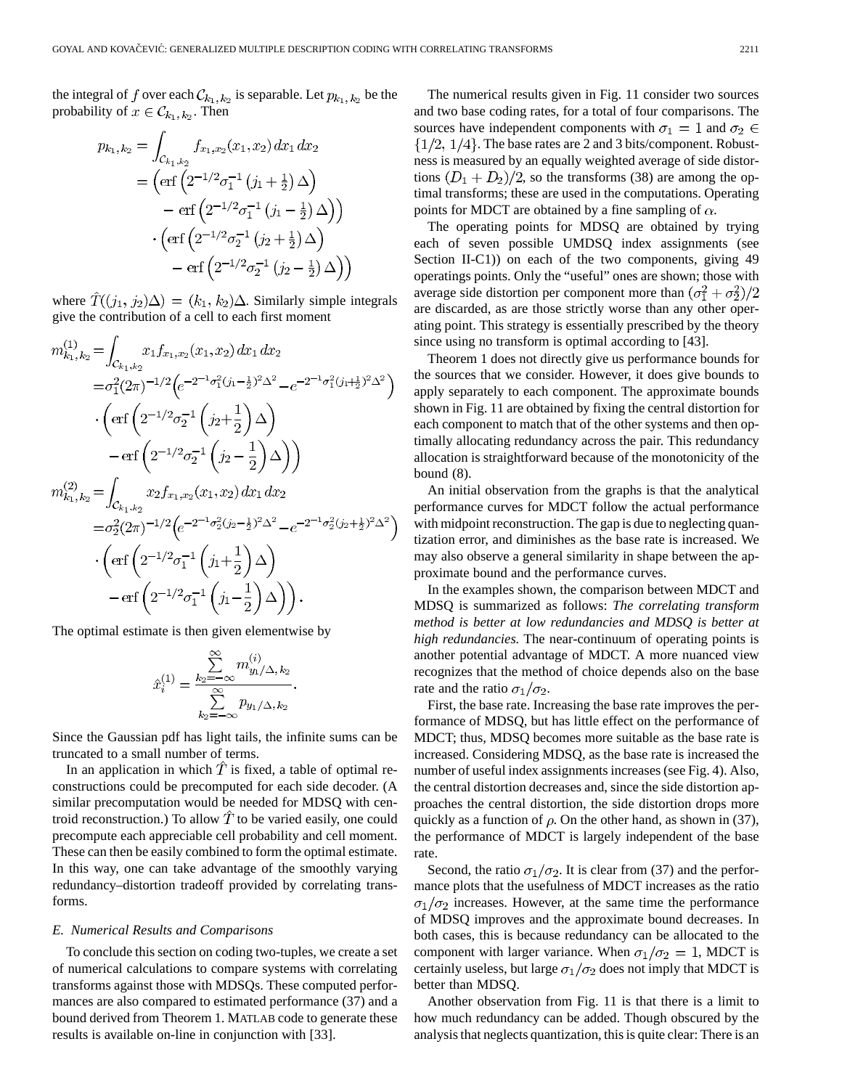the integral of f over each  $\mathcal{C}_{k_1, k_2}$  is separable. Let  $p_{k_1, k_2}$  be the probability of  $x \in C_{k_1, k_2}$ . Then

$$
p_{k_1,k_2} = \int_{\mathcal{C}_{k_1,k_2}} f_{x_1,x_2}(x_1,x_2) dx_1 dx_2
$$
  
= 
$$
\left( \text{erf} \left( 2^{-1/2} \sigma_1^{-1} \left( j_1 + \frac{1}{2} \right) \Delta \right) - \text{erf} \left( 2^{-1/2} \sigma_1^{-1} \left( j_1 - \frac{1}{2} \right) \Delta \right) \right)
$$

$$
\cdot \left( \text{erf} \left( 2^{-1/2} \sigma_2^{-1} \left( j_2 + \frac{1}{2} \right) \Delta \right) - \text{erf} \left( 2^{-1/2} \sigma_2^{-1} \left( j_2 - \frac{1}{2} \right) \Delta \right) \right)
$$

where  $\hat{T}((j_1, j_2)\Delta) = (k_1, k_2)\Delta$ . Similarly simple integrals give the contribution of a cell to each first moment

$$
m_{k_1, k_2}^{(1)} = \int_{\mathcal{C}_{k_1, k_2}} x_1 f_{x_1, x_2}(x_1, x_2) dx_1 dx_2
$$
  
\n
$$
= \sigma_1^2 (2\pi)^{-1/2} \Big( e^{-2^{-1}\sigma_1^2 (j_1 - \frac{1}{2})^2 \Delta^2} - e^{-2^{-1}\sigma_1^2 (j_1 + \frac{1}{2})^2 \Delta^2} \Big)
$$
  
\n
$$
\cdot \Big( \text{erf} \Big( 2^{-1/2} \sigma_2^{-1} \Big( j_2 + \frac{1}{2} \Big) \Delta \Big)
$$
  
\n
$$
- \text{erf} \Big( 2^{-1/2} \sigma_2^{-1} \Big( j_2 - \frac{1}{2} \Big) \Delta \Big)
$$
  
\n
$$
m_{k_1, k_2}^{(2)} = \int_{\mathcal{C}_{k_1, k_2}} x_2 f_{x_1, x_2}(x_1, x_2) dx_1 dx_2
$$
  
\n
$$
= \sigma_2^2 (2\pi)^{-1/2} \Big( e^{-2^{-1}\sigma_2^2 (j_2 - \frac{1}{2})^2 \Delta^2} - e^{-2^{-1}\sigma_2^2 (j_2 + \frac{1}{2})^2 \Delta^2} \Big)
$$
  
\n
$$
\cdot \Big( \text{erf} \Big( 2^{-1/2} \sigma_1^{-1} \Big( j_1 + \frac{1}{2} \Big) \Delta \Big)
$$
  
\n
$$
- \text{erf} \Big( 2^{-1/2} \sigma_1^{-1} \Big( j_1 - \frac{1}{2} \Big) \Delta \Big) \Big).
$$

The optimal estimate is then given elementwise by

$$
\hat{x}_i^{(1)} = \frac{\sum\limits_{k_2=-\infty}^{\infty} m_{y_1/\Delta,\,k_2}^{(i)}}{\sum\limits_{k_2=-\infty}^{\infty} p_{y_1/\Delta,\,k_2}}.
$$

Since the Gaussian pdf has light tails, the infinite sums can be truncated to a small number of terms.

In an application in which  $\hat{T}$  is fixed, a table of optimal reconstructions could be precomputed for each side decoder. (A similar precomputation would be needed for MDSQ with centroid reconstruction.) To allow  $\hat{T}$  to be varied easily, one could precompute each appreciable cell probability and cell moment. These can then be easily combined to form the optimal estimate. In this way, one can take advantage of the smoothly varying redundancy–distortion tradeoff provided by correlating transforms.

#### *E. Numerical Results and Comparisons*

To conclude this section on coding two-tuples, we create a set of numerical calculations to compare systems with correlating transforms against those with MDSQs. These computed performances are also compared to estimated performance (37) and a bound derived from Theorem 1. MATLAB code to generate these results is available on-line in conjunction with [33].

The numerical results given in Fig. 11 consider two sources and two base coding rates, for a total of four comparisons. The sources have independent components with  $\sigma_1 = 1$  and  $\sigma_2 \in$  $\{1/2, 1/4\}$ . The base rates are 2 and 3 bits/component. Robustness is measured by an equally weighted average of side distortions  $(D_1 + D_2)/2$ , so the transforms (38) are among the optimal transforms; these are used in the computations. Operating points for MDCT are obtained by a fine sampling of  $\alpha$ .

The operating points for MDSQ are obtained by trying each of seven possible UMDSQ index assignments (see Section II-C1) on each of the two components, giving 49 operatings points. Only the "useful" ones are shown; those with average side distortion per component more than  $(\sigma_1^2 + \sigma_2^2)/2$ are discarded, as are those strictly worse than any other operating point. This strategy is essentially prescribed by the theory since using no transform is optimal according to [43].

Theorem 1 does not directly give us performance bounds for the sources that we consider. However, it does give bounds to apply separately to each component. The approximate bounds shown in Fig. 11 are obtained by fixing the central distortion for each component to match that of the other systems and then optimally allocating redundancy across the pair. This redundancy allocation is straightforward because of the monotonicity of the bound (8).

An initial observation from the graphs is that the analytical performance curves for MDCT follow the actual performance with midpoint reconstruction. The gap is due to neglecting quantization error, and diminishes as the base rate is increased. We may also observe a general similarity in shape between the approximate bound and the performance curves.

In the examples shown, the comparison between MDCT and MDSQ is summarized as follows: *The correlating transform method is better at low redundancies and MDSQ is better at high redundancies.* The near-continuum of operating points is another potential advantage of MDCT. A more nuanced view recognizes that the method of choice depends also on the base rate and the ratio  $\sigma_1/\sigma_2$ .

First, the base rate. Increasing the base rate improves the performance of MDSQ, but has little effect on the performance of MDCT; thus, MDSQ becomes more suitable as the base rate is increased. Considering MDSQ, as the base rate is increased the number of useful index assignments increases (see Fig. 4). Also, the central distortion decreases and, since the side distortion approaches the central distortion, the side distortion drops more quickly as a function of  $\rho$ . On the other hand, as shown in (37), the performance of MDCT is largely independent of the base rate.

Second, the ratio  $\sigma_1/\sigma_2$ . It is clear from (37) and the performance plots that the usefulness of MDCT increases as the ratio  $\sigma_1/\sigma_2$  increases. However, at the same time the performance of MDSQ improves and the approximate bound decreases. In both cases, this is because redundancy can be allocated to the component with larger variance. When  $\sigma_1/\sigma_2 = 1$ , MDCT is certainly useless, but large  $\sigma_1/\sigma_2$  does not imply that MDCT is better than MDSQ.

Another observation from Fig. 11 is that there is a limit to how much redundancy can be added. Though obscured by the analysis that neglects quantization, this is quite clear: There is an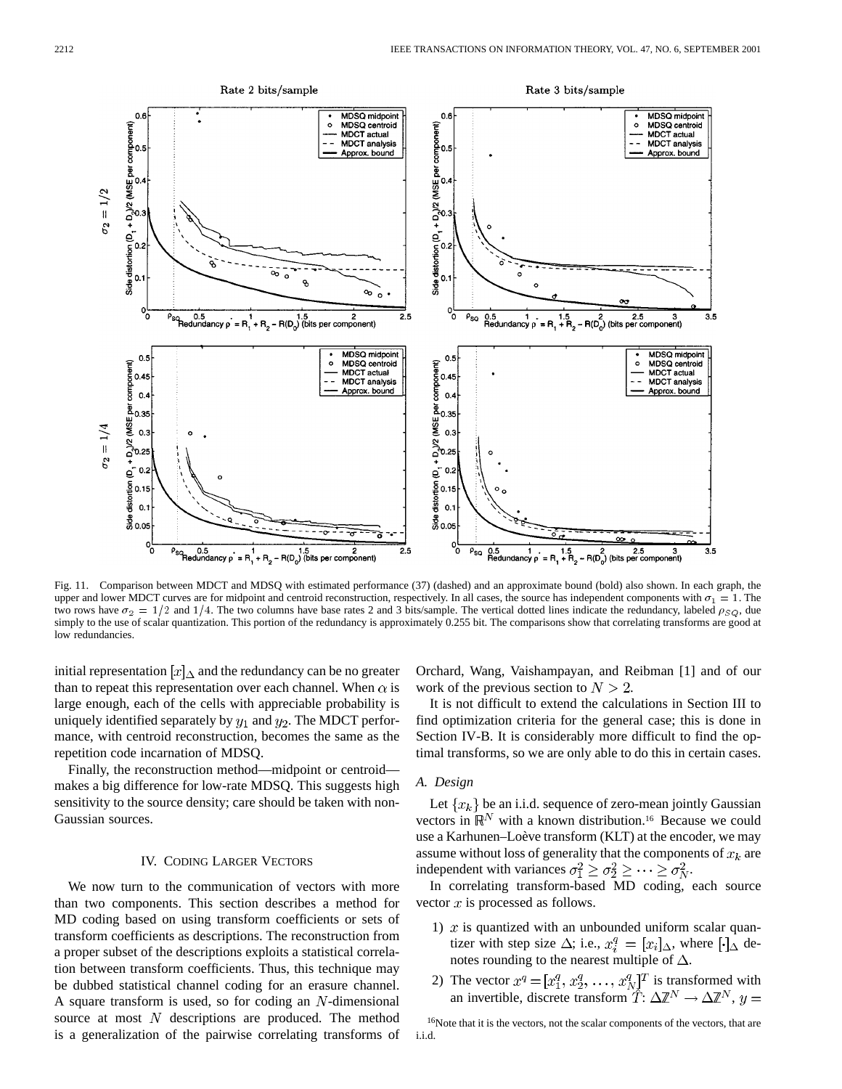

Fig. 11. Comparison between MDCT and MDSQ with estimated performance (37) (dashed) and an approximate bound (bold) also shown. In each graph, the upper and lower MDCT curves are for midpoint and centroid reconstruction, respectively. In all cases, the source has independent components with  $\sigma_1 = 1$ . The two rows have  $\sigma_2 = 1/2$  and 1/4. The two columns have base rates 2 and 3 bits/sample. The vertical dotted lines indicate the redundancy, labeled  $\rho_{SQ}$ , due simply to the use of scalar quantization. This portion of the redundancy is approximately 0.255 bit. The comparisons show that correlating transforms are good at low redundancies.

initial representation  $[x]_{\Delta}$  and the redundancy can be no greater than to repeat this representation over each channel. When  $\alpha$  is large enough, each of the cells with appreciable probability is uniquely identified separately by  $y_1$  and  $y_2$ . The MDCT performance, with centroid reconstruction, becomes the same as the repetition code incarnation of MDSQ.

Finally, the reconstruction method—midpoint or centroid makes a big difference for low-rate MDSQ. This suggests high sensitivity to the source density; care should be taken with non-Gaussian sources.

## IV. CODING LARGER VECTORS

We now turn to the communication of vectors with more than two components. This section describes a method for MD coding based on using transform coefficients or sets of transform coefficients as descriptions. The reconstruction from a proper subset of the descriptions exploits a statistical correlation between transform coefficients. Thus, this technique may be dubbed statistical channel coding for an erasure channel. A square transform is used, so for coding an  $N$ -dimensional source at most  $N$  descriptions are produced. The method is a generalization of the pairwise correlating transforms of Orchard, Wang, Vaishampayan, and Reibman [1] and of our work of the previous section to  $N > 2$ .

It is not difficult to extend the calculations in Section III to find optimization criteria for the general case; this is done in Section IV-B. It is considerably more difficult to find the optimal transforms, so we are only able to do this in certain cases.

#### *A. Design*

Let  $\{x_k\}$  be an i.i.d. sequence of zero-mean jointly Gaussian vectors in  $\mathbb{R}^N$  with a known distribution.<sup>16</sup> Because we could use a Karhunen–Loève transform (KLT) at the encoder, we may assume without loss of generality that the components of  $x_k$  are independent with variances  $\sigma_1^2 \ge \sigma_2^2 \ge \cdots \ge \sigma_N^2$ .

In correlating transform-based MD coding, each source vector  $x$  is processed as follows.

- 1)  $x$  is quantized with an unbounded uniform scalar quantizer with step size  $\Delta$ ; i.e.,  $x_i^q = [x_i]_{\Delta}$ , where  $[\cdot]_{\Delta}$  denotes rounding to the nearest multiple of  $\Delta$ .
- 2) The vector  $x^q = [x_1^q, x_2^q, \ldots, x_N^q]^T$  is transformed with an invertible, discrete transform  $\tilde{T}: \Delta \mathbb{Z}^N \to \Delta \mathbb{Z}^N$ ,

16Note that it is the vectors, not the scalar components of the vectors, that are i.i.d.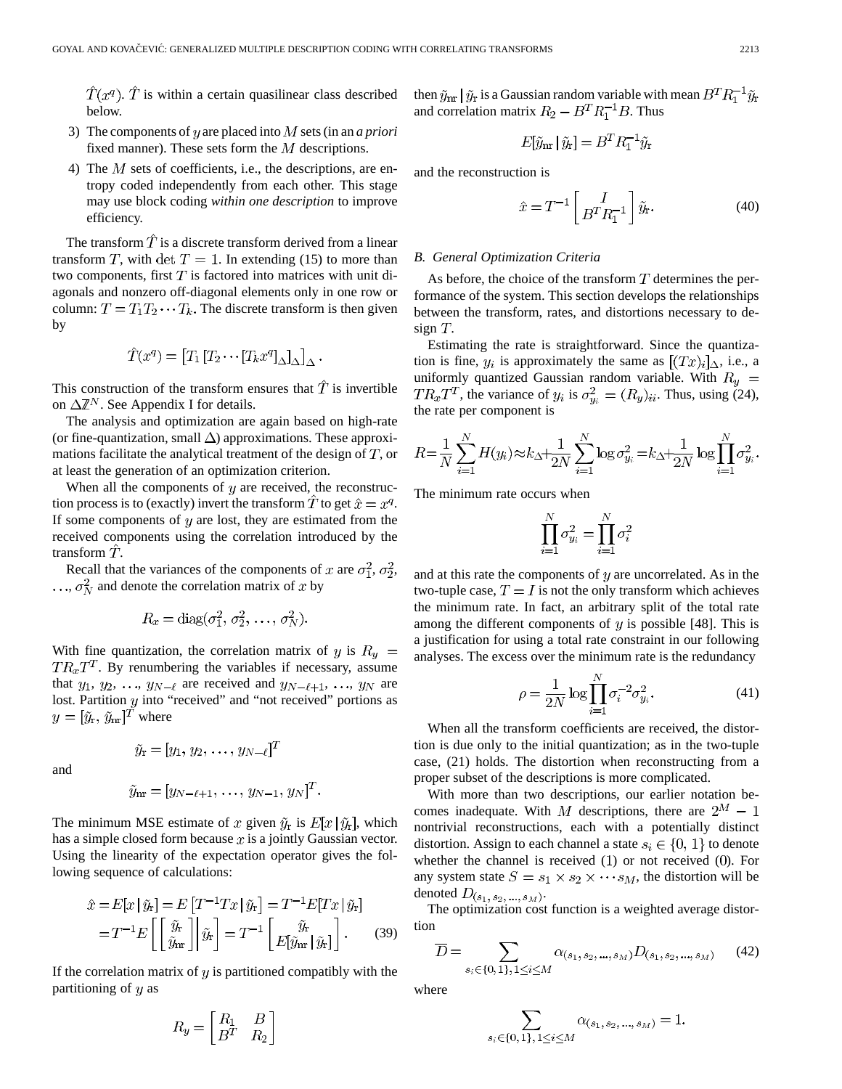$\hat{T}(x^q)$ .  $\hat{T}$  is within a certain quasilinear class described below.

- 3) The components of  $y$  are placed into  $M$  sets (in an  $a$  priori fixed manner). These sets form the  $M$  descriptions.
- 4) The  $M$  sets of coefficients, i.e., the descriptions, are entropy coded independently from each other. This stage may use block coding *within one description* to improve efficiency.

The transform  $\hat{T}$  is a discrete transform derived from a linear transform T, with det  $T = 1$ . In extending (15) to more than two components, first  $T$  is factored into matrices with unit diagonals and nonzero off-diagonal elements only in one row or column:  $T = T_1 T_2 \cdots T_k$ . The discrete transform is then given by

$$
\hat{T}(x^q) = [T_1 [T_2 \cdots [T_k x^q]_{\Delta}]_{\Delta}]_{\Delta}.
$$

This construction of the transform ensures that  $\hat{T}$  is invertible on  $\Delta \mathbb{Z}^N$ . See Appendix I for details.

The analysis and optimization are again based on high-rate (or fine-quantization, small  $\Delta$ ) approximations. These approximations facilitate the analytical treatment of the design of  $T$ , or at least the generation of an optimization criterion.

When all the components of  $y$  are received, the reconstruction process is to (exactly) invert the transform  $\ddot{T}$  to get  $\hat{x} = x^q$ . If some components of  $y$  are lost, they are estimated from the received components using the correlation introduced by the transform  $T$ .

Recall that the variances of the components of x are  $\sigma_1^2$ ,  $\sigma_2^2$ ,  $\ldots$ ,  $\sigma_N^2$  and denote the correlation matrix of x by

$$
R_x = \text{diag}(\sigma_1^2, \sigma_2^2, \dots, \sigma_N^2)
$$

With fine quantization, the correlation matrix of y is  $R_y =$  $TR_xT^T$ . By renumbering the variables if necessary, assume that  $y_1, y_2, \ldots, y_{N-\ell}$  are received and  $y_{N-\ell+1}, \ldots, y_N$  are lost. Partition  $y$  into "received" and "not received" portions as  $y=[\tilde{y}_{r}, \tilde{y}_{nr}]^{T}$  where

and

 $\ddot{\cdot}$ 

$$
\tilde{y}_{nr} = [y_{N-\ell+1}, \ldots, y_{N-1}, y_N]^T.
$$

 $\tilde{y}_{r} = [y_1, y_2, \ldots, y_{N-\ell}]^T$ 

The minimum MSE estimate of x given  $\tilde{y}_r$  is  $E[x|\tilde{y}_r]$ , which has a simple closed form because  $x$  is a jointly Gaussian vector. Using the linearity of the expectation operator gives the following sequence of calculations:

$$
\hat{\mathbf{r}} = E[x \mid \hat{y}_{\mathbf{r}}] = E[T^{-1}Tx \mid \hat{y}_{\mathbf{r}}] = T^{-1}E[Tx \mid \hat{y}_{\mathbf{r}}]
$$

$$
= T^{-1}E\left[\begin{bmatrix} \tilde{y}_{\mathbf{r}} \\ \tilde{y}_{\mathbf{r}} \end{bmatrix} \middle| \tilde{y}_{\mathbf{r}}\right] = T^{-1}\begin{bmatrix} \tilde{y}_{\mathbf{r}} \\ E[\tilde{y}_{\mathbf{r}} \mid \tilde{y}_{\mathbf{r}}] \end{bmatrix}.
$$
(39)

If the correlation matrix of  $y$  is partitioned compatibly with the partitioning of  $y$  as

$$
R_y = \begin{bmatrix} R_1 & B \\ B^T & R_2 \end{bmatrix}
$$

then  $\widetilde{y}_{\text{nr}}\,|\,\widetilde{y}_{\text{r}}$  is a Gaussian random variable with mean and correlation matrix  $R_2 - B^T R_1^{-1} B$ . Thus

$$
E[\tilde{y}_{nr} | \tilde{y}_r] = B^T R_1^{-1} \tilde{y}_r
$$

and the reconstruction is

$$
\hat{x} = T^{-1} \begin{bmatrix} I \\ B^T R_1^{-1} \end{bmatrix} \tilde{y}_r.
$$
 (40)

## *B. General Optimization Criteria*

As before, the choice of the transform  $T$  determines the performance of the system. This section develops the relationships between the transform, rates, and distortions necessary to design  $T$ .

Estimating the rate is straightforward. Since the quantization is fine,  $y_i$  is approximately the same as  $[(Tx)_i]_{\Delta}$ , i.e., a uniformly quantized Gaussian random variable. With  $R_y =$  $TR_xT^T$ , the variance of  $y_i$  is  $\sigma_{y_i}^2 = (R_y)_{ii}$ . Thus, using (24), the rate per component is

$$
R = \frac{1}{N} \sum_{i=1}^{N} H(y_i) \approx k_{\Delta} + \frac{1}{2N} \sum_{i=1}^{N} \log \sigma_{y_i}^2 = k_{\Delta} + \frac{1}{2N} \log \prod_{i=1}^{N} \sigma_{y_i}^2.
$$

The minimum rate occurs when

$$
\prod_{i=1}^{N} \sigma_{y_i}^2 = \prod_{i=1}^{N} \sigma_i^2
$$

and at this rate the components of  $y$  are uncorrelated. As in the two-tuple case,  $T = I$  is not the only transform which achieves the minimum rate. In fact, an arbitrary split of the total rate among the different components of  $\eta$  is possible [48]. This is a justification for using a total rate constraint in our following analyses. The excess over the minimum rate is the redundancy

$$
\rho = \frac{1}{2N} \log \prod_{i=1}^{N} \sigma_i^{-2} \sigma_{y_i}^2.
$$
\n(41)

When all the transform coefficients are received, the distortion is due only to the initial quantization; as in the two-tuple case, (21) holds. The distortion when reconstructing from a proper subset of the descriptions is more complicated.

With more than two descriptions, our earlier notation becomes inadequate. With M descriptions, there are  $2^M - 1$ nontrivial reconstructions, each with a potentially distinct distortion. Assign to each channel a state  $s_i \in \{0, 1\}$  to denote whether the channel is received  $(1)$  or not received  $(0)$ . For any system state  $S = s_1 \times s_2 \times \cdots s_M$ , the distortion will be denoted  $D_{(s_1,\,s_2,\,\ldots,\,s_M)}.$ 

The optimization cost function is a weighted average distortion

$$
\overline{D} = \sum_{s_i \in \{0, 1\}, 1 \le i \le M} \alpha_{(s_1, s_2, ..., s_M)} D_{(s_1, s_2, ..., s_M)}
$$
(42)

where

$$
\sum_{s_i \in \{0,1\}, 1 \leq i \leq M} \alpha_{(s_1, s_2, ..., s_M)} = 1
$$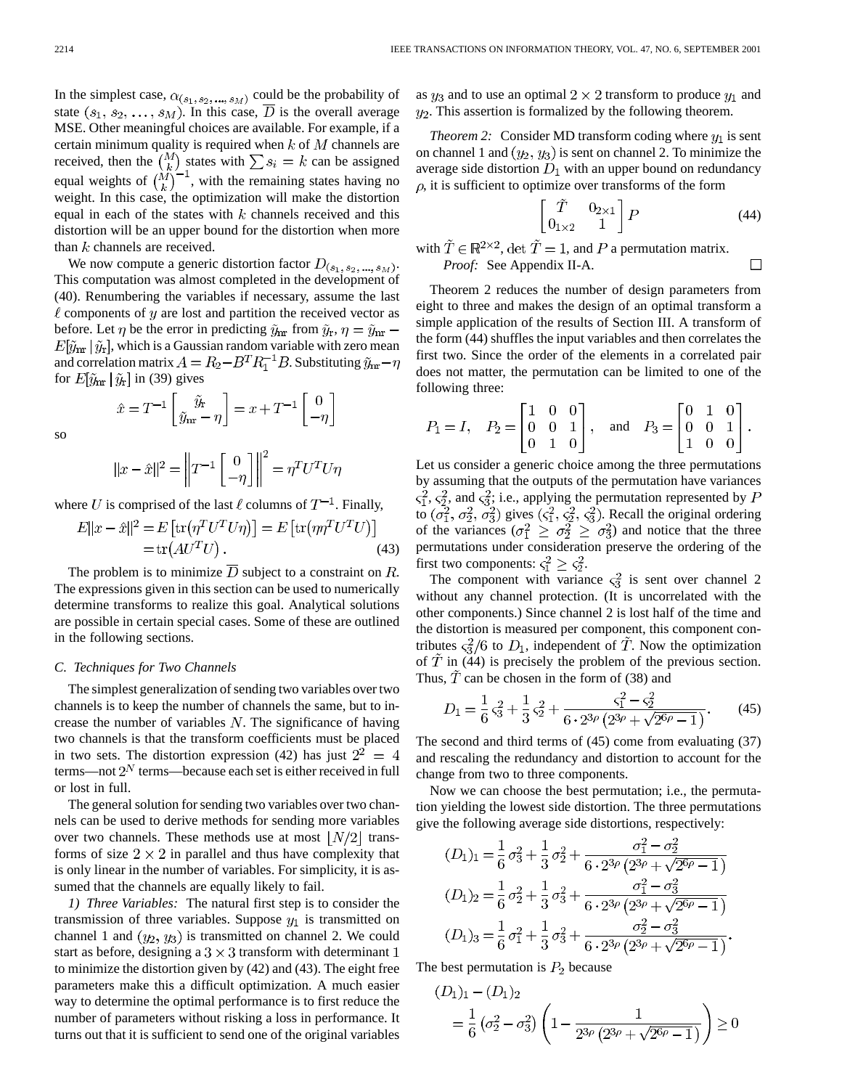In the simplest case,  $\alpha_{(s_1, s_2, \dots, s_M)}$  could be the probability of state  $(s_1, s_2, \ldots, s_M)$ . In this case,  $\overline{D}$  is the overall average MSE. Other meaningful choices are available. For example, if a certain minimum quality is required when  $k$  of  $M$  channels are received, then the  $\binom{M}{k}$  states with  $\sum s_i = k$  can be assigned equal weights of  $\binom{M}{k}$ , with the remaining states having no weight. In this case, the optimization will make the distortion equal in each of the states with  $k$  channels received and this distortion will be an upper bound for the distortion when more than  $k$  channels are received.

We now compute a generic distortion factor  $D_{(s_1, s_2, ..., s_M)}$ . This computation was almost completed in the development of (40). Renumbering the variables if necessary, assume the last  $\ell$  components of  $y$  are lost and partition the received vector as before. Let  $\eta$  be the error in predicting  $\tilde{y}_{nr}$  from  $\tilde{y}_r$ ,  $\eta = \tilde{y}_{nr}$  –  $E[\tilde{y}_{nr} | \tilde{y}_r]$ , which is a Gaussian random variable with zero mean and correlation matrix  $A = R_2 - B^T R_1^{-1} B$ . Substituting  $\tilde{y}_{nr} - \eta$ for  $E[\tilde{y}_{nr} | \tilde{y}_r]$  in (39) gives

so

$$
||x - \hat{x}||^2 = \left||T^{-1}\begin{bmatrix} 0 \\ -\eta \end{bmatrix}\right||^2 = \eta^T U^T U \eta
$$

 $\hat{x}=T^{-1}\left[\begin{matrix}\tilde{y}_{\mathrm{r}} \\ \tilde{y}_{\mathrm{nr}}-\eta\end{matrix}\right]=x+T^{-1}\left[\begin{matrix}0 \\ -\eta\end{matrix}\right]$ 

where U is comprised of the last  $\ell$  columns of  $T^{-1}$ . Finally,

$$
E||x - \hat{x}||^2 = E\left[\text{tr}(\eta^T U^T U \eta)\right] = E\left[\text{tr}(\eta \eta^T U^T U)\right]
$$

$$
= \text{tr}(A U^T U). \tag{43}
$$

The problem is to minimize  $\overline{D}$  subject to a constraint on  $R$ . The expressions given in this section can be used to numerically determine transforms to realize this goal. Analytical solutions are possible in certain special cases. Some of these are outlined in the following sections.

#### *C. Techniques for Two Channels*

The simplest generalization of sending two variables over two channels is to keep the number of channels the same, but to increase the number of variables  $N$ . The significance of having two channels is that the transform coefficients must be placed in two sets. The distortion expression (42) has just  $2^2 = 4$ terms—not  $2^N$  terms—because each set is either received in full or lost in full.

The general solution for sending two variables over two channels can be used to derive methods for sending more variables over two channels. These methods use at most  $\lfloor N/2 \rfloor$  transforms of size  $2 \times 2$  in parallel and thus have complexity that is only linear in the number of variables. For simplicity, it is assumed that the channels are equally likely to fail.

*1) Three Variables:* The natural first step is to consider the transmission of three variables. Suppose  $y_1$  is transmitted on channel 1 and  $(y_2, y_3)$  is transmitted on channel 2. We could start as before, designing a  $3 \times 3$  transform with determinant 1 to minimize the distortion given by (42) and (43). The eight free parameters make this a difficult optimization. A much easier way to determine the optimal performance is to first reduce the number of parameters without risking a loss in performance. It turns out that it is sufficient to send one of the original variables as  $y_3$  and to use an optimal  $2 \times 2$  transform to produce  $y_1$  and  $y_2$ . This assertion is formalized by the following theorem.

*Theorem 2:* Consider MD transform coding where  $y_1$  is sent on channel 1 and  $(y_2, y_3)$  is sent on channel 2. To minimize the average side distortion  $D_1$  with an upper bound on redundancy  $\rho$ , it is sufficient to optimize over transforms of the form

$$
\begin{bmatrix} T & 0_{2\times 1} \\ 0_{1\times 2} & 1 \end{bmatrix} P \tag{44}
$$

 $\Box$ 

with  $\tilde{T} \in \mathbb{R}^{2 \times 2}$ , det  $\tilde{T} = 1$ , and P a permutation matrix. *Proof:* See Appendix II-A.

Theorem 2 reduces the number of design parameters from eight to three and makes the design of an optimal transform a simple application of the results of Section III. A transform of the form (44) shuffles the input variables and then correlates the first two. Since the order of the elements in a correlated pair does not matter, the permutation can be limited to one of the following three:

$$
P_1 = I
$$
,  $P_2 = \begin{bmatrix} 1 & 0 & 0 \\ 0 & 0 & 1 \\ 0 & 1 & 0 \end{bmatrix}$ , and  $P_3 = \begin{bmatrix} 0 & 1 & 0 \\ 0 & 0 & 1 \\ 1 & 0 & 0 \end{bmatrix}$ .

Let us consider a generic choice among the three permutations by assuming that the outputs of the permutation have variances ,  $\varsigma_2^2$ , and  $\varsigma_3^2$ ; i.e., applying the permutation represented by to  $(\sigma_1^2, \sigma_2^2, \sigma_3^2)$  gives  $(\varsigma_1^2, \varsigma_2^2, \varsigma_3^2)$ . Recall the original ordering of the variances  $(\sigma_1^2 \geq \sigma_2^2 \geq \sigma_3^2)$  and notice that the three permutations under consideration preserve the ordering of the first two components:  $\varsigma_1^2 \geq \varsigma_2^2$ .

The component with variance  $\varsigma_3^2$  is sent over channel 2 without any channel protection. (It is uncorrelated with the other components.) Since channel 2 is lost half of the time and the distortion is measured per component, this component contributes  $\varsigma_3^2/6$  to  $D_1$ , independent of  $\widetilde{T}$ . Now the optimization of  $\hat{T}$  in (44) is precisely the problem of the previous section. Thus,  $\hat{T}$  can be chosen in the form of (38) and

$$
D_1 = \frac{1}{6}\varsigma_3^2 + \frac{1}{3}\varsigma_2^2 + \frac{\varsigma_1^2 - \varsigma_2^2}{6 \cdot 2^{3\rho} \left(2^{3\rho} + \sqrt{2^{6\rho} - 1}\right)}.
$$
 (45)

The second and third terms of (45) come from evaluating (37) and rescaling the redundancy and distortion to account for the change from two to three components.

Now we can choose the best permutation; i.e., the permutation yielding the lowest side distortion. The three permutations give the following average side distortions, respectively:

$$
(D_1)_1 = \frac{1}{6}\sigma_3^2 + \frac{1}{3}\sigma_2^2 + \frac{\sigma_1^2 - \sigma_2^2}{6 \cdot 2^{3\rho} \left(2^{3\rho} + \sqrt{2^{6\rho} - 1}\right)}
$$
  
\n
$$
(D_1)_2 = \frac{1}{6}\sigma_2^2 + \frac{1}{3}\sigma_3^2 + \frac{\sigma_1^2 - \sigma_3^2}{6 \cdot 2^{3\rho} \left(2^{3\rho} + \sqrt{2^{6\rho} - 1}\right)}
$$
  
\n
$$
(D_1)_3 = \frac{1}{6}\sigma_1^2 + \frac{1}{3}\sigma_3^2 + \frac{\sigma_2^2 - \sigma_3^2}{6 \cdot 2^{3\rho} \left(2^{3\rho} + \sqrt{2^{6\rho} - 1}\right)}
$$

The best permutation is  $P_2$  because

$$
(D_1)_1 - (D_1)_2
$$
  
=  $\frac{1}{6} (\sigma_2^2 - \sigma_3^2) \left( 1 - \frac{1}{2^{3\rho} (2^{3\rho} + \sqrt{2^{6\rho} - 1})} \right) \ge 0$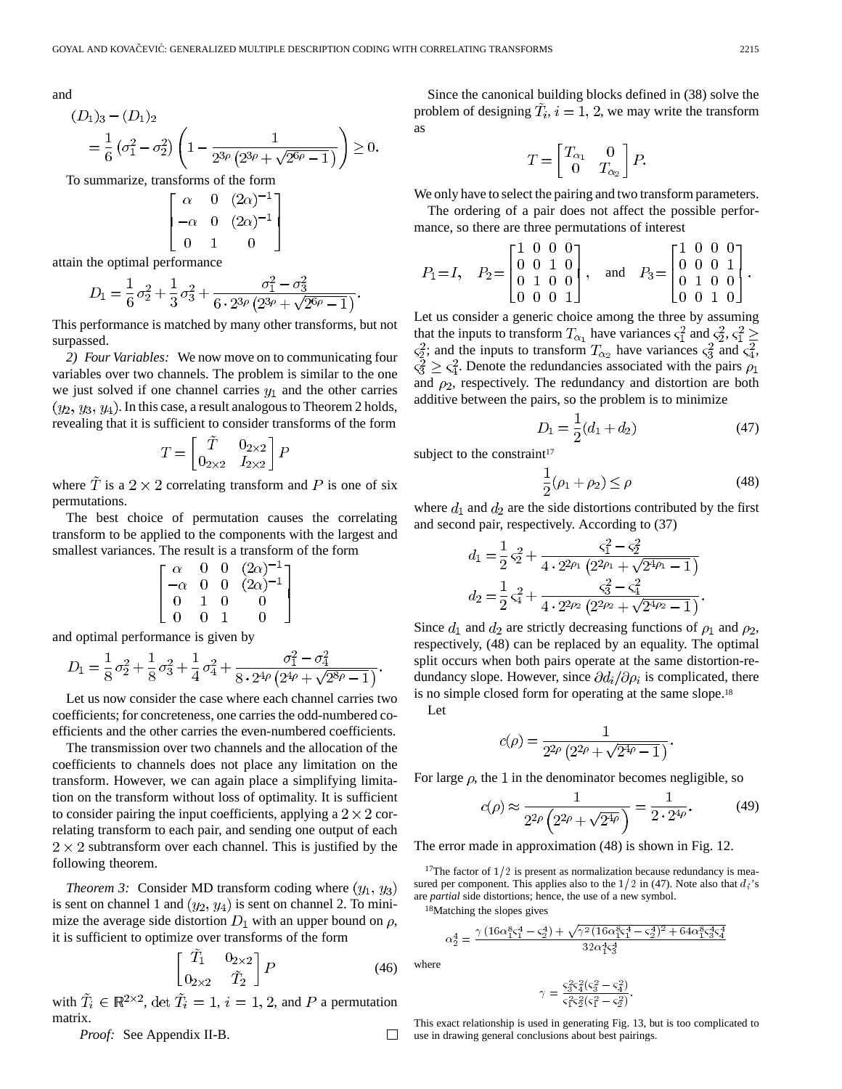and

(.

$$
D_1)_3 - (D_1)_2
$$
  
=  $\frac{1}{6} \left( \sigma_1^2 - \sigma_2^2 \right) \left( 1 - \frac{1}{2^{3\rho} \left( 2^{3\rho} + \sqrt{2^{6\rho} - 1} \right)} \right) \ge 0.$   
commarize transforms of the form

To summarize, transforms of the form  $\blacksquare$  $6.76 \times 17$ 

$$
\begin{bmatrix} \alpha & 0 & (2\alpha)^{-1} \\ -\alpha & 0 & (2\alpha)^{-1} \\ 0 & 1 & 0 \end{bmatrix}
$$

attain the optimal performance

$$
D_1 = \frac{1}{6}\sigma_2^2 + \frac{1}{3}\sigma_3^2 + \frac{\sigma_1^2 - \sigma_3^2}{6 \cdot 2^{3\rho} \left(2^{3\rho} + \sqrt{2^{6\rho} - 1}\right)}.
$$

This performance is matched by many other transforms, but not surpassed.

*2) Four Variables:* We now move on to communicating four variables over two channels. The problem is similar to the one we just solved if one channel carries  $y_1$  and the other carries  $(y_2, y_3, y_4)$ . In this case, a result analogous to Theorem 2 holds, revealing that it is sufficient to consider transforms of the form

$$
T = \begin{bmatrix} \tilde{T} & 0_{2 \times 2} \\ 0_{2 \times 2} & I_{2 \times 2} \end{bmatrix} P
$$

where  $\tilde{T}$  is a 2 × 2 correlating transform and P is one of six permutations.

The best choice of permutation causes the correlating transform to be applied to the components with the largest and smallest variances. The result is a transform of the form

$$
\begin{bmatrix}\n\alpha & 0 & 0 & (2\alpha)^{-1} \\
-\alpha & 0 & 0 & (2\alpha)^{-1} \\
0 & 1 & 0 & 0 \\
0 & 0 & 1 & 0\n\end{bmatrix}
$$

and optimal performance is given by

$$
D_1 = \frac{1}{8}\sigma_2^2 + \frac{1}{8}\sigma_3^2 + \frac{1}{4}\sigma_4^2 + \frac{\sigma_1^2 - \sigma_4^2}{8 \cdot 2^{4\rho} \left(2^{4\rho} + \sqrt{2^{8\rho} - 1}\right)}.
$$

Let us now consider the case where each channel carries two coefficients; for concreteness, one carries the odd-numbered coefficients and the other carries the even-numbered coefficients.

The transmission over two channels and the allocation of the coefficients to channels does not place any limitation on the transform. However, we can again place a simplifying limitation on the transform without loss of optimality. It is sufficient to consider pairing the input coefficients, applying a  $2 \times 2$  correlating transform to each pair, and sending one output of each  $2 \times 2$  subtransform over each channel. This is justified by the following theorem.

*Theorem 3:* Consider MD transform coding where  $(y_1, y_3)$ is sent on channel 1 and  $(y_2, y_4)$  is sent on channel 2. To minimize the average side distortion  $D_1$  with an upper bound on  $\rho$ , it is sufficient to optimize over transforms of the form

$$
\begin{bmatrix} \tilde{T}_1 & 0_{2 \times 2} \\ 0_{2 \times 2} & \tilde{T}_2 \end{bmatrix} P \tag{46}
$$

with  $\tilde{T}_i \in \mathbb{R}^{2 \times 2}$ , det  $\tilde{T}_i = 1$ ,  $i = 1, 2$ , and P a permutation matrix.

*Proof:* See Appendix II-B. 
$$
\Box
$$

Since the canonical building blocks defined in (38) solve the problem of designing  $\tilde{T}_i$ ,  $i = 1, 2$ , we may write the transform as

$$
T = \begin{bmatrix} T_{\alpha_1} & 0 \\ 0 & T_{\alpha_2} \end{bmatrix} P.
$$

We only have to select the pairing and two transform parameters.

The ordering of a pair does not affect the possible performance, so there are three permutations of interest

$$
P_1 = I, \quad P_2 = \begin{bmatrix} 1 & 0 & 0 & 0 \\ 0 & 0 & 1 & 0 \\ 0 & 1 & 0 & 0 \\ 0 & 0 & 0 & 1 \end{bmatrix}, \quad \text{and} \quad P_3 = \begin{bmatrix} 1 & 0 & 0 & 0 \\ 0 & 0 & 0 & 1 \\ 0 & 1 & 0 & 0 \\ 0 & 0 & 1 & 0 \end{bmatrix}.
$$

Let us consider a generic choice among the three by assuming that the inputs to transform  $T_{\alpha_1}$  have variances  $\varsigma_1^2$  and  $\varsigma_2^2$ ,  $\varsigma_1^2 \geq$  $\varsigma_2^2$ ; and the inputs to transform  $T_{\alpha_2}$  have variances  $\varsigma_3^2$  and  $\varsigma_4^2$ ,  $\varsigma_3^2 \geq \varsigma_4^2$ . Denote the redundancies associated with the pairs  $\rho_1$ and  $\rho_2$ , respectively. The redundancy and distortion are both additive between the pairs, so the problem is to minimize

$$
D_1 = \frac{1}{2}(d_1 + d_2) \tag{47}
$$

subject to the constraint<sup>17</sup>

$$
\frac{1}{2}(\rho_1 + \rho_2) \le \rho \tag{48}
$$

where  $d_1$  and  $d_2$  are the side distortions contributed by the first and second pair, respectively. According to (37)

$$
d_1 = \frac{1}{2} \zeta_2^2 + \frac{\zeta_1^2 - \zeta_2^2}{4 \cdot 2^{2\rho_1} \left(2^{2\rho_1} + \sqrt{2^{4\rho_1} - 1}\right)}
$$
  

$$
d_2 = \frac{1}{2} \zeta_4^2 + \frac{\zeta_3^2 - \zeta_4^2}{4 \cdot 2^{2\rho_2} \left(2^{2\rho_2} + \sqrt{2^{4\rho_2} - 1}\right)}
$$

Since  $d_1$  and  $d_2$  are strictly decreasing functions of  $\rho_1$  and  $\rho_2$ , respectively, (48) can be replaced by an equality. The optimal split occurs when both pairs operate at the same distortion-redundancy slope. However, since  $\partial d_i/\partial \rho_i$  is complicated, there is no simple closed form for operating at the same slope.18

Let

$$
c(\rho)=\frac{1}{2^{2\rho}\left(2^{2\rho}+\sqrt{2^{4\rho}-1}\right)}.
$$

For large  $\rho$ , the 1 in the denominator becomes negligible, so

$$
c(\rho) \approx \frac{1}{2^{2\rho} \left(2^{2\rho} + \sqrt{2^{4\rho}}\right)} = \frac{1}{2 \cdot 2^{4\rho}}.
$$
 (49)

The error made in approximation (48) is shown in Fig. 12.

<sup>17</sup>The factor of  $1/2$  is present as normalization because redundancy is measured per component. This applies also to the  $1/2$  in (47). Note also that  $d_i$ 's are *partial* side distortions; hence, the use of a new symbol.<br>
<sup>18</sup>Matching the slopes gives<br>  $\alpha_2^4 = \frac{\gamma (16\alpha_1^8\zeta_1^4 - \zeta_2^4) + \sqrt{\gamma^2 (16\alpha_1^8\zeta_1^4 - \zeta_2^4)^2 + 64\alpha_1^8\zeta_3^4\zeta_3^4}}{32.444}$ 

18Matching the slopes gives

$$
\alpha_2^4 = \frac{\gamma \left(16 \alpha_1^8 \varsigma_1^4 - \varsigma_2^4\right) + \sqrt{\gamma^2 \left(16 \alpha_1^8 \varsigma_1^4 - \varsigma_2^4\right)^2 + 64 \alpha_1^8 \varsigma_3^4 \varsigma_4^4}{32 \alpha_1^4 \varsigma_3^4}
$$

where

$$
\begin{array}{c} 32 \alpha_1^4 \varsigma_3^4 \\ \\ \gamma = \frac{\varsigma_3^2 \varsigma_4^2 \left(\varsigma_3^2 - \varsigma_4^2\right)}{\varsigma_1^2 \varsigma_2^2 \left(\varsigma_1^2 - \varsigma_2^2\right)} . \end{array}
$$

This exact relationship is used in generating Fig. 13, but is too complicated to use in drawing general conclusions about best pairings.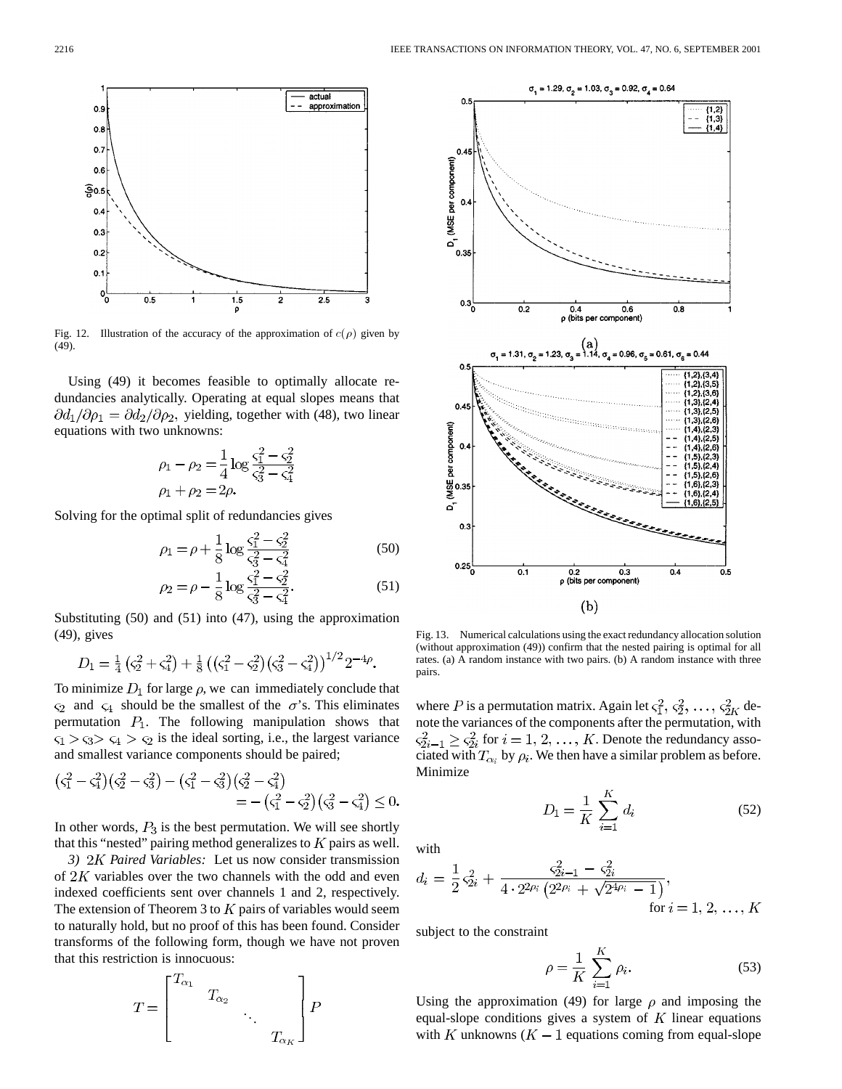

Fig. 12. Illustration of the accuracy of the approximation of  $c(\rho)$  given by (49).

Using (49) it becomes feasible to optimally allocate redundancies analytically. Operating at equal slopes means that  $\partial d_1/\partial \rho_1 = \partial d_2/\partial \rho_2$ , yielding, together with (48), two linear equations with two unknowns:

$$
\rho_1 - \rho_2 = \frac{1}{4} \log \frac{\varsigma_1^2 - \varsigma_2^2}{\varsigma_3^2 - \varsigma_4^2}
$$
  

$$
\rho_1 + \rho_2 = 2\rho.
$$

Solving for the optimal split of redundancies gives

$$
\rho_1 = \rho + \frac{1}{8} \log \frac{\varsigma_1^2 - \varsigma_2^2}{\varsigma_3^2 - \varsigma_4^2}
$$
\n(50)

$$
\rho_2 = \rho - \frac{1}{8} \log \frac{\varsigma_1^2 - \varsigma_2^2}{\varsigma_3^2 - \varsigma_4^2}.
$$
 (51)

Substituting (50) and (51) into (47), using the approximation (49), gives

$$
D_1 = \frac{1}{4} \left( \varsigma_2^2 + \varsigma_4^2 \right) + \frac{1}{8} \left( \left( \varsigma_1^2 - \varsigma_2^2 \right) \left( \varsigma_3^2 - \varsigma_4^2 \right) \right)^{1/2} 2^{-4\rho}.
$$

To minimize  $D_1$  for large  $\rho$ , we can immediately conclude that  $\varsigma_2$  and  $\varsigma_4$  should be the smallest of the  $\sigma$ 's. This eliminates permutation  $P_1$ . The following manipulation shows that  $\varsigma_1 > \varsigma_3$   $\varsigma_4 > \varsigma_2$  is the ideal sorting, i.e., the largest variance and smallest variance components should be paired;

$$
\begin{aligned} \left(\varsigma_1^2 - \varsigma_4^2\right) \left(\varsigma_2^2 - \varsigma_3^2\right) - \left(\varsigma_1^2 - \varsigma_3^2\right) \left(\varsigma_2^2 - \varsigma_4^2\right) \\ &= -\left(\varsigma_1^2 - \varsigma_2^2\right) \left(\varsigma_3^2 - \varsigma_4^2\right) \le 0. \end{aligned}
$$

In other words,  $P_3$  is the best permutation. We will see shortly that this "nested" pairing method generalizes to  $K$  pairs as well.

*3) Paired Variables:* Let us now consider transmission of  $2K$  variables over the two channels with the odd and even indexed coefficients sent over channels 1 and 2, respectively. The extension of Theorem 3 to  $K$  pairs of variables would seem to naturally hold, but no proof of this has been found. Consider transforms of the following form, though we have not proven that this restriction is innocuous:

$$
T = \begin{bmatrix} T_{\alpha_1} & & & \\ & T_{\alpha_2} & & \\ & & \ddots & \\ & & & T_{\alpha_K} \end{bmatrix} P
$$



Fig. 13. Numerical calculations using the exact redundancy allocation solution (without approximation (49)) confirm that the nested pairing is optimal for all rates. (a) A random instance with two pairs. (b) A random instance with three pairs.

where P is a permutation matrix. Again let  $\zeta_1^2, \zeta_2^2, \ldots, \zeta_{2K}^2$  denote the variances of the components after the permutation, with  $\varsigma_{2i-1}^2 \geq \varsigma_{2i}^2$  for  $i = 1, 2, ..., K$ . Denote the redundancy associated with  $T_{\alpha_i}$  by  $\rho_i$ . We then have a similar problem as before. Minimize

$$
D_1 = \frac{1}{K} \sum_{i=1}^{K} d_i
$$
 (52)

with

$$
d_i = \frac{1}{2} \zeta_{2i}^2 + \frac{\zeta_{2i-1}^2 - \zeta_{2i}^2}{4 \cdot 2^{2\rho_i} \left(2^{2\rho_i} + \sqrt{2^{4\rho_i} - 1}\right)},
$$
  
for  $i = 1, 2, ..., K$ 

subject to the constraint

$$
\rho = \frac{1}{K} \sum_{i=1}^{K} \rho_i.
$$
\n
$$
(53)
$$

Using the approximation (49) for large  $\rho$  and imposing the equal-slope conditions gives a system of  $K$  linear equations with K unknowns  $(K - 1)$  equations coming from equal-slope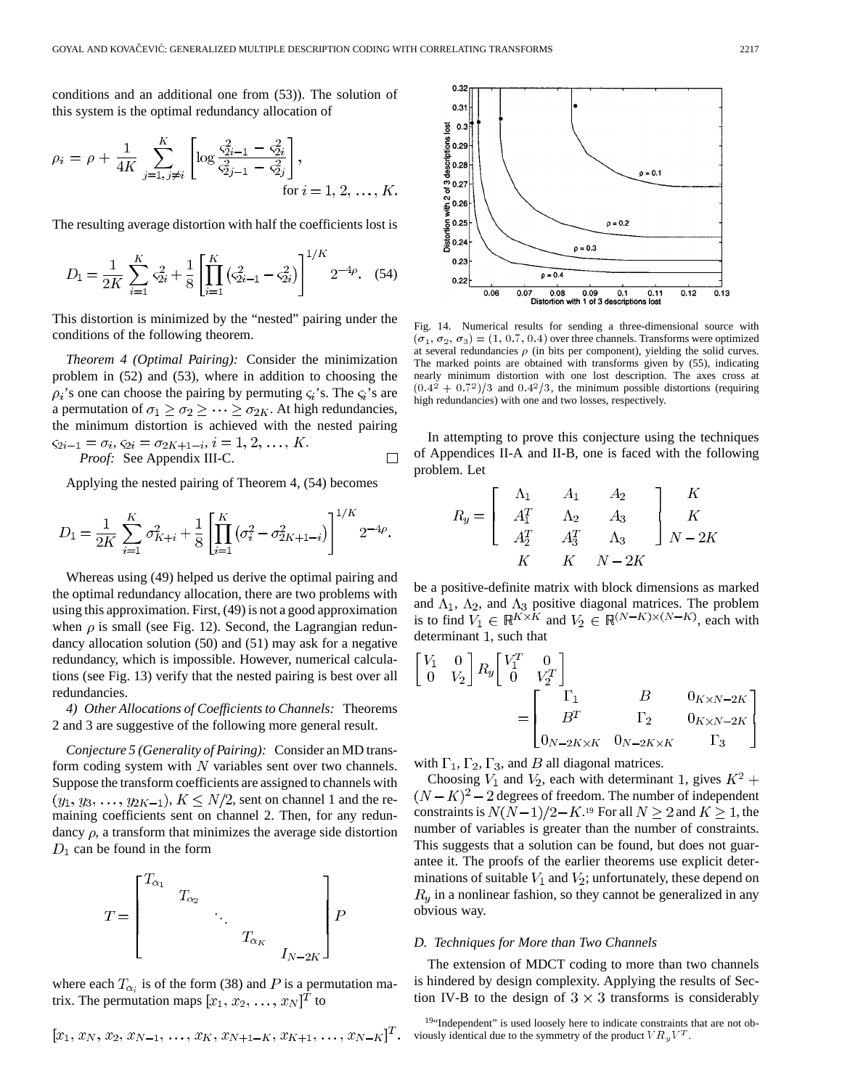conditions and an additional one from (53)). The solution of this system is the optimal redundancy allocation of

$$
\rho_i = \rho + \frac{1}{4K} \sum_{j=1, j \neq i}^{K} \left[ \log \frac{\varsigma_{2i-1}^2 - \varsigma_{2i}^2}{\varsigma_{2j-1}^2 - \varsigma_{2j}^2} \right],
$$
  
for  $i = 1, 2, ..., K$ .

The resulting average distortion with half the coefficients lost is

$$
D_1 = \frac{1}{2K} \sum_{i=1}^{K} \varsigma_{2i}^2 + \frac{1}{8} \left[ \prod_{i=1}^{K} \left( \varsigma_{2i-1}^2 - \varsigma_{2i}^2 \right) \right]^{1/K} 2^{-4\rho}.
$$
 (54)

This distortion is minimized by the "nested" pairing under the conditions of the following theorem.

*Theorem 4 (Optimal Pairing):* Consider the minimization problem in (52) and (53), where in addition to choosing the  $\rho_i$ 's one can choose the pairing by permuting  $\varsigma_i$ 's. The  $\varsigma_i$ 's are a permutation of  $\sigma_1 \geq \sigma_2 \geq \cdots \geq \sigma_{2K}$ . At high redundancies, the minimum distortion is achieved with the nested pairing  $\varsigma_{2i-1} = \sigma_i, \, \varsigma_{2i} = \sigma_{2K+1-i}, i = 1, 2, \ldots, K.$ *Proof:* See Appendix III-C.  $\Box$ 

Applying the nested pairing of Theorem 4, (54) becomes

$$
D_1 = \frac{1}{2K} \sum_{i=1}^K \sigma_{K+i}^2 + \frac{1}{8} \left[ \prod_{i=1}^K \left( \sigma_i^2 - \sigma_{2K+1-i}^2 \right) \right]^{1/K} 2^{-4\rho}.
$$

Whereas using (49) helped us derive the optimal pairing and the optimal redundancy allocation, there are two problems with using this approximation. First, (49) is not a good approximation when  $\rho$  is small (see Fig. 12). Second, the Lagrangian redundancy allocation solution (50) and (51) may ask for a negative redundancy, which is impossible. However, numerical calculations (see Fig. 13) verify that the nested pairing is best over all redundancies.

*4) Other Allocations of Coefficients to Channels:* Theorems 2 and 3 are suggestive of the following more general result.

*Conjecture 5 (Generality of Pairing):* Consider an MD transform coding system with  $N$  variables sent over two channels. Suppose the transform coefficients are assigned to channels with  $(y_1, y_3, \ldots, y_{2K-1}), K \leq N/2$ , sent on channel 1 and the remaining coefficients sent on channel 2. Then, for any redundancy  $\rho$ , a transform that minimizes the average side distortion  $D_1$  can be found in the form



where each  $T_{\alpha_i}$  is of the form (38) and P is a permutation matrix. The permutation maps  $[x_1, x_2, \ldots, x_N]^T$  to

$$
[x_1, x_N, x_2, x_{N-1}, \ldots, x_K, x_{N+1-K}, x_{K+1}, \ldots, x_{N-K}]^T.
$$



Fig. 14. Numerical results for sending a three-dimensional source with  $(\sigma_1, \sigma_2, \sigma_3) = (1, 0.7, 0.4)$  over three channels. Transforms were optimized at several redundancies  $\rho$  (in bits per component), yielding the solid curves. The marked points are obtained with transforms given by (55), indicating nearly minimum distortion with one lost description. The axes cross at  $(0.4^2 + 0.7^2)/3$  and  $(0.4^2/3)$ , the minimum possible distortions (requiring high redundancies) with one and two losses, respectively.

In attempting to prove this conjecture using the techniques of Appendices II-A and II-B, one is faced with the following problem. Let

$$
R_{y} = \begin{bmatrix} \Lambda_{1} & A_{1} & A_{2} \\ A_{1}^{T} & \Lambda_{2} & A_{3} \\ A_{2}^{T} & A_{3}^{T} & \Lambda_{3} \end{bmatrix} \begin{bmatrix} K \\ K \\ N-2K \end{bmatrix}
$$

$$
K \begin{bmatrix} K & N-2K \end{bmatrix}
$$

be a positive-definite matrix with block dimensions as marked and  $\Lambda_1$ ,  $\Lambda_2$ , and  $\Lambda_3$  positive diagonal matrices. The problem is to find  $V_1 \in \mathbb{R}^{K \times K}$  and  $V_2 \in \mathbb{R}^{(N-K)\times(N-K)}$ , each with determinant 1, such that

$$
\begin{bmatrix} V_1 & 0 \ 0 & V_2 \end{bmatrix} R_y \begin{bmatrix} V_1^T & 0 \ 0 & V_2^T \end{bmatrix}
$$
  
= 
$$
\begin{bmatrix} \Gamma_1 & B & 0_{K \times N - 2K} \\ B^T & \Gamma_2 & 0_{K \times N - 2K} \\ 0_{N - 2K \times K} & 0_{N - 2K \times K} & \Gamma_3 \end{bmatrix}
$$

with  $\Gamma_1$ ,  $\Gamma_2$ ,  $\Gamma_3$ , and *B* all diagonal matrices.

Choosing  $V_1$  and  $V_2$ , each with determinant 1, gives  $K^2$  +  $(N - K)^2 - 2$  degrees of freedom. The number of independent constraints is  $N(N-1)/2-K$ .<sup>19</sup> For all  $N \ge 2$  and  $K \ge 1$ , the number of variables is greater than the number of constraints. This suggests that a solution can be found, but does not guarantee it. The proofs of the earlier theorems use explicit determinations of suitable  $V_1$  and  $V_2$ ; unfortunately, these depend on  $R_y$  in a nonlinear fashion, so they cannot be generalized in any obvious way.

#### *D. Techniques for More than Two Channels*

The extension of MDCT coding to more than two channels is hindered by design complexity. Applying the results of Section IV-B to the design of  $3 \times 3$  transforms is considerably

<sup>&</sup>lt;sup>19"</sup>Independent" is used loosely here to indicate constraints that are not obviously identical due to the symmetry of the product  ${\cal V}{\cal R}_y{\cal V}^T.$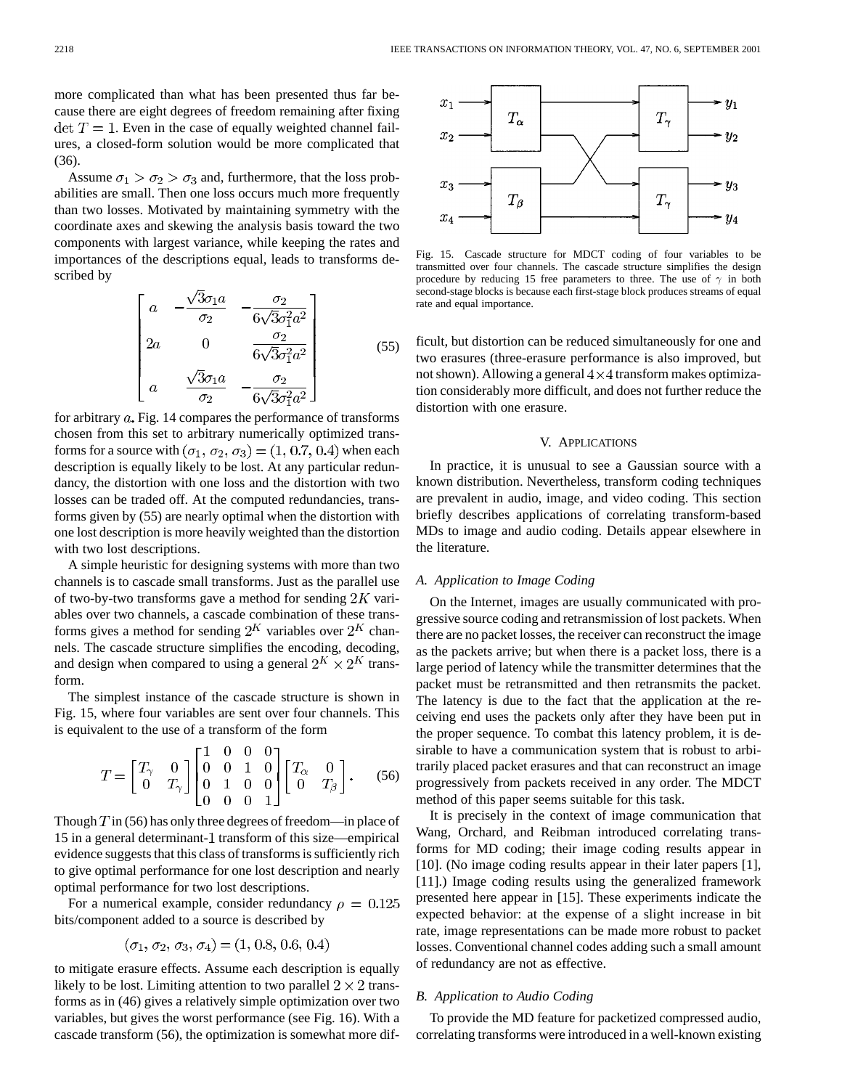more complicated than what has been presented thus far because there are eight degrees of freedom remaining after fixing  $\det T = 1$ . Even in the case of equally weighted channel failures, a closed-form solution would be more complicated that (36).

Assume  $\sigma_1 > \sigma_2 > \sigma_3$  and, furthermore, that the loss probabilities are small. Then one loss occurs much more frequently than two losses. Motivated by maintaining symmetry with the coordinate axes and skewing the analysis basis toward the two components with largest variance, while keeping the rates and importances of the descriptions equal, leads to transforms described by

$$
\begin{bmatrix}\n a & -\frac{\sqrt{3}\sigma_1 a}{\sigma_2} & -\frac{\sigma_2}{6\sqrt{3}\sigma_1^2 a^2} \\
 2a & 0 & \frac{\sigma_2}{6\sqrt{3}\sigma_1^2 a^2} \\
 a & \frac{\sqrt{3}\sigma_1 a}{\sigma_2} & -\frac{\sigma_2}{6\sqrt{3}\sigma_1^2 a^2}\n \end{bmatrix}\n \tag{55}
$$

for arbitrary  $a$ . Fig. 14 compares the performance of transforms chosen from this set to arbitrary numerically optimized transforms for a source with  $(\sigma_1, \sigma_2, \sigma_3) = (1, 0.7, 0.4)$  when each description is equally likely to be lost. At any particular redundancy, the distortion with one loss and the distortion with two losses can be traded off. At the computed redundancies, transforms given by (55) are nearly optimal when the distortion with one lost description is more heavily weighted than the distortion with two lost descriptions.

A simple heuristic for designing systems with more than two channels is to cascade small transforms. Just as the parallel use of two-by-two transforms gave a method for sending  $2K$  variables over two channels, a cascade combination of these transforms gives a method for sending  $2^K$  variables over  $2^K$  channels. The cascade structure simplifies the encoding, decoding, and design when compared to using a general  $2^K \times 2^K$  transform.

The simplest instance of the cascade structure is shown in Fig. 15, where four variables are sent over four channels. This is equivalent to the use of a transform of the form

$$
T = \begin{bmatrix} T_{\gamma} & 0 \\ 0 & T_{\gamma} \end{bmatrix} \begin{bmatrix} 1 & 0 & 0 & 0 \\ 0 & 0 & 1 & 0 \\ 0 & 1 & 0 & 0 \\ 0 & 0 & 0 & 1 \end{bmatrix} \begin{bmatrix} T_{\alpha} & 0 \\ 0 & T_{\beta} \end{bmatrix}.
$$
 (56)

Though  $T$  in (56) has only three degrees of freedom—in place of 15 in a general determinant-1 transform of this size—empirical evidence suggests that this class of transforms is sufficiently rich to give optimal performance for one lost description and nearly optimal performance for two lost descriptions.

For a numerical example, consider redundancy  $\rho = 0.125$ bits/component added to a source is described by

$$
(\sigma_1, \sigma_2, \sigma_3, \sigma_4) = (1, 0.8, 0.6, 0.4)
$$

to mitigate erasure effects. Assume each description is equally likely to be lost. Limiting attention to two parallel  $2 \times 2$  transforms as in (46) gives a relatively simple optimization over two variables, but gives the worst performance (see Fig. 16). With a cascade transform (56), the optimization is somewhat more dif-



Fig. 15. Cascade structure for MDCT coding of four variables to be transmitted over four channels. The cascade structure simplifies the design procedure by reducing 15 free parameters to three. The use of  $\gamma$  in both second-stage blocks is because each first-stage block produces streams of equal rate and equal importance.

ficult, but distortion can be reduced simultaneously for one and two erasures (three-erasure performance is also improved, but not shown). Allowing a general  $4 \times 4$  transform makes optimization considerably more difficult, and does not further reduce the distortion with one erasure.

#### V. APPLICATIONS

In practice, it is unusual to see a Gaussian source with a known distribution. Nevertheless, transform coding techniques are prevalent in audio, image, and video coding. This section briefly describes applications of correlating transform-based MDs to image and audio coding. Details appear elsewhere in the literature.

## *A. Application to Image Coding*

On the Internet, images are usually communicated with progressive source coding and retransmission of lost packets. When there are no packet losses, the receiver can reconstruct the image as the packets arrive; but when there is a packet loss, there is a large period of latency while the transmitter determines that the packet must be retransmitted and then retransmits the packet. The latency is due to the fact that the application at the receiving end uses the packets only after they have been put in the proper sequence. To combat this latency problem, it is desirable to have a communication system that is robust to arbitrarily placed packet erasures and that can reconstruct an image progressively from packets received in any order. The MDCT method of this paper seems suitable for this task.

It is precisely in the context of image communication that Wang, Orchard, and Reibman introduced correlating transforms for MD coding; their image coding results appear in [10]. (No image coding results appear in their later papers [1], [11].) Image coding results using the generalized framework presented here appear in [15]. These experiments indicate the expected behavior: at the expense of a slight increase in bit rate, image representations can be made more robust to packet losses. Conventional channel codes adding such a small amount of redundancy are not as effective.

#### *B. Application to Audio Coding*

To provide the MD feature for packetized compressed audio, correlating transforms were introduced in a well-known existing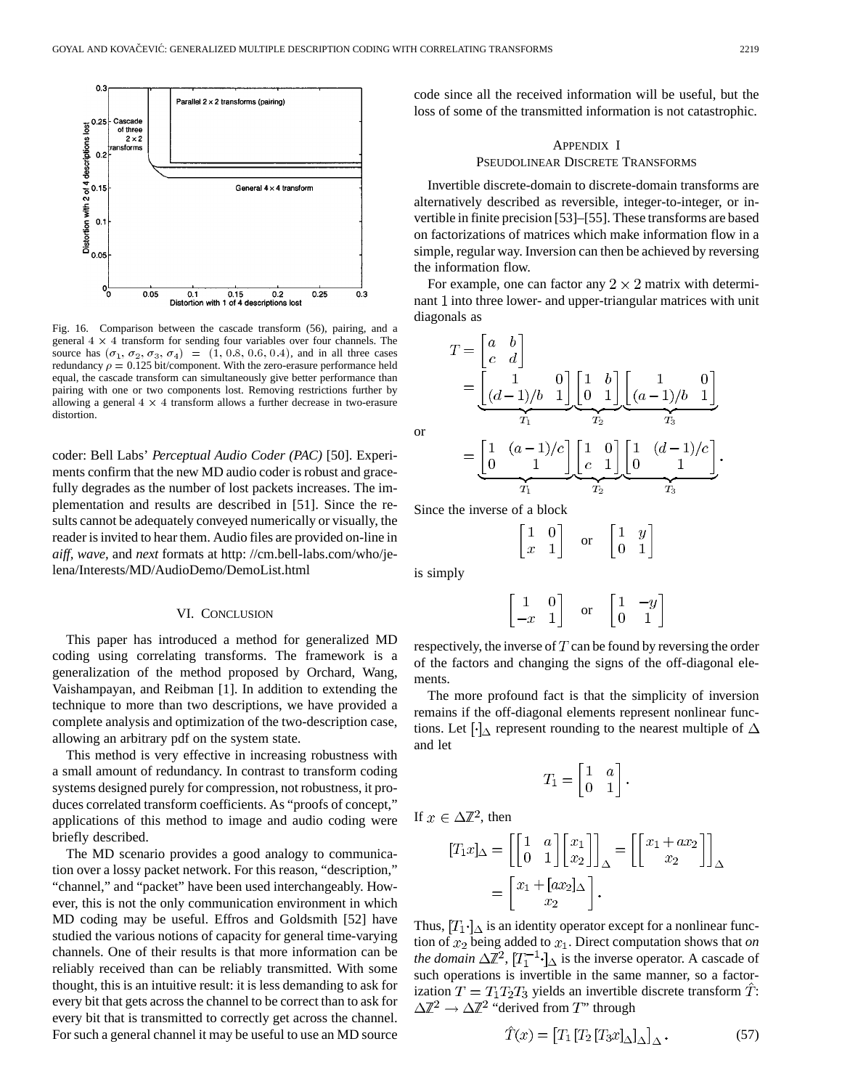

Fig. 16. Comparison between the cascade transform (56), pairing, and a general  $4 \times 4$  transform for sending four variables over four channels. The source has  $(\sigma_1, \sigma_2, \sigma_3, \sigma_4) = (1, 0.8, 0.6, 0.4)$ , and in all three cases redundancy  $\rho = 0.125$  bit/component. With the zero-erasure performance held equal, the cascade transform can simultaneously give better performance than pairing with one or two components lost. Removing restrictions further by allowing a general  $4 \times 4$  transform allows a further decrease in two-erasure distortion.

coder: Bell Labs' *Perceptual Audio Coder (PAC)* [50]. Experiments confirm that the new MD audio coder is robust and gracefully degrades as the number of lost packets increases. The implementation and results are described in [51]. Since the results cannot be adequately conveyed numerically or visually, the reader is invited to hear them. Audio files are provided on-line in *aiff, wave,* and *next* formats at http: //cm.bell-labs.com/who/jelena/Interests/MD/AudioDemo/DemoList.html

## VI. CONCLUSION

This paper has introduced a method for generalized MD coding using correlating transforms. The framework is a generalization of the method proposed by Orchard, Wang, Vaishampayan, and Reibman [1]. In addition to extending the technique to more than two descriptions, we have provided a complete analysis and optimization of the two-description case, allowing an arbitrary pdf on the system state.

This method is very effective in increasing robustness with a small amount of redundancy. In contrast to transform coding systems designed purely for compression, not robustness, it produces correlated transform coefficients. As "proofs of concept," applications of this method to image and audio coding were briefly described.

The MD scenario provides a good analogy to communication over a lossy packet network. For this reason, "description," "channel," and "packet" have been used interchangeably. However, this is not the only communication environment in which MD coding may be useful. Effros and Goldsmith [52] have studied the various notions of capacity for general time-varying channels. One of their results is that more information can be reliably received than can be reliably transmitted. With some thought, this is an intuitive result: it is less demanding to ask for every bit that gets across the channel to be correct than to ask for every bit that is transmitted to correctly get across the channel. For such a general channel it may be useful to use an MD source code since all the received information will be useful, but the loss of some of the transmitted information is not catastrophic.

# APPENDIX I PSEUDOLINEAR DISCRETE TRANSFORMS

Invertible discrete-domain to discrete-domain transforms are alternatively described as reversible, integer-to-integer, or invertible in finite precision [53]–[55]. These transforms are based on factorizations of matrices which make information flow in a simple, regular way. Inversion can then be achieved by reversing the information flow.

For example, one can factor any  $2 \times 2$  matrix with determinant 1 into three lower- and upper-triangular matrices with unit diagonals as

$$
T = \begin{bmatrix} a & b \\ c & d \end{bmatrix}
$$
  
= 
$$
\underbrace{\begin{bmatrix} 1 & 0 \\ (d-1)/b & 1 \end{bmatrix}}_{T_1} \underbrace{\begin{bmatrix} 1 & b \\ 0 & 1 \end{bmatrix}}_{T_2} \underbrace{\begin{bmatrix} 1 & 0 \\ (a-1)/b & 1 \end{bmatrix}}_{T_3}
$$
  
= 
$$
\underbrace{\begin{bmatrix} 1 & (a-1)/c \\ 0 & 1 \end{bmatrix}}_{T_1} \underbrace{\begin{bmatrix} 1 & 0 \\ c & 1 \end{bmatrix}}_{T_2} \underbrace{\begin{bmatrix} 1 & (d-1)/c \\ 0 & 1 \end{bmatrix}}_{T_3}
$$

Since the inverse of a block

$$
\begin{bmatrix} 1 & 0 \\ x & 1 \end{bmatrix} \quad \text{or} \quad \begin{bmatrix} 1 & y \\ 0 & 1 \end{bmatrix}
$$

is simply

or

$$
\begin{bmatrix} 1 & 0 \ -x & 1 \end{bmatrix}
$$
 or 
$$
\begin{bmatrix} 1 & -y \ 0 & 1 \end{bmatrix}
$$

respectively, the inverse of  $T$  can be found by reversing the order of the factors and changing the signs of the off-diagonal elements.

The more profound fact is that the simplicity of inversion remains if the off-diagonal elements represent nonlinear functions. Let  $\lceil \cdot \rceil_{\Delta}$  represent rounding to the nearest multiple of  $\Delta$ and let

$$
T_1 = \begin{bmatrix} 1 & a \\ 0 & 1 \end{bmatrix}.
$$

If  $x \in \Delta \mathbb{Z}^2$ , then

$$
[T_1x]_\Delta = \left[ \begin{bmatrix} 1 & a \\ 0 & 1 \end{bmatrix} \begin{bmatrix} x_1 \\ x_2 \end{bmatrix} \right]_\Delta = \left[ \begin{bmatrix} x_1 + ax_2 \\ x_2 \end{bmatrix} \right]_\Delta
$$

$$
= \begin{bmatrix} x_1 + [ax_2]_\Delta \\ x_2 \end{bmatrix}.
$$

Thus,  $[T_1 \cdot]_{\Delta}$  is an identity operator except for a nonlinear function of  $x_2$  being added to  $x_1$ . Direct computation shows that *on the domain*  $\Delta \mathbb{Z}^2$ ,  $[T_1^{-1} \cdot]_{\Delta}$  is the inverse operator. A cascade of such operations is invertible in the same manner, so a factorization  $T = T_1 T_2 T_3$  yields an invertible discrete transform  $\hat{T}$ :  $\Delta \mathbb{Z}^2 \to \Delta \mathbb{Z}^2$  "derived from T" through

$$
\hat{T}(x) = \left[T_1 \left[T_2 \left[T_3 x\right]_{\Delta}\right]_{\Delta}.\right. \tag{57}
$$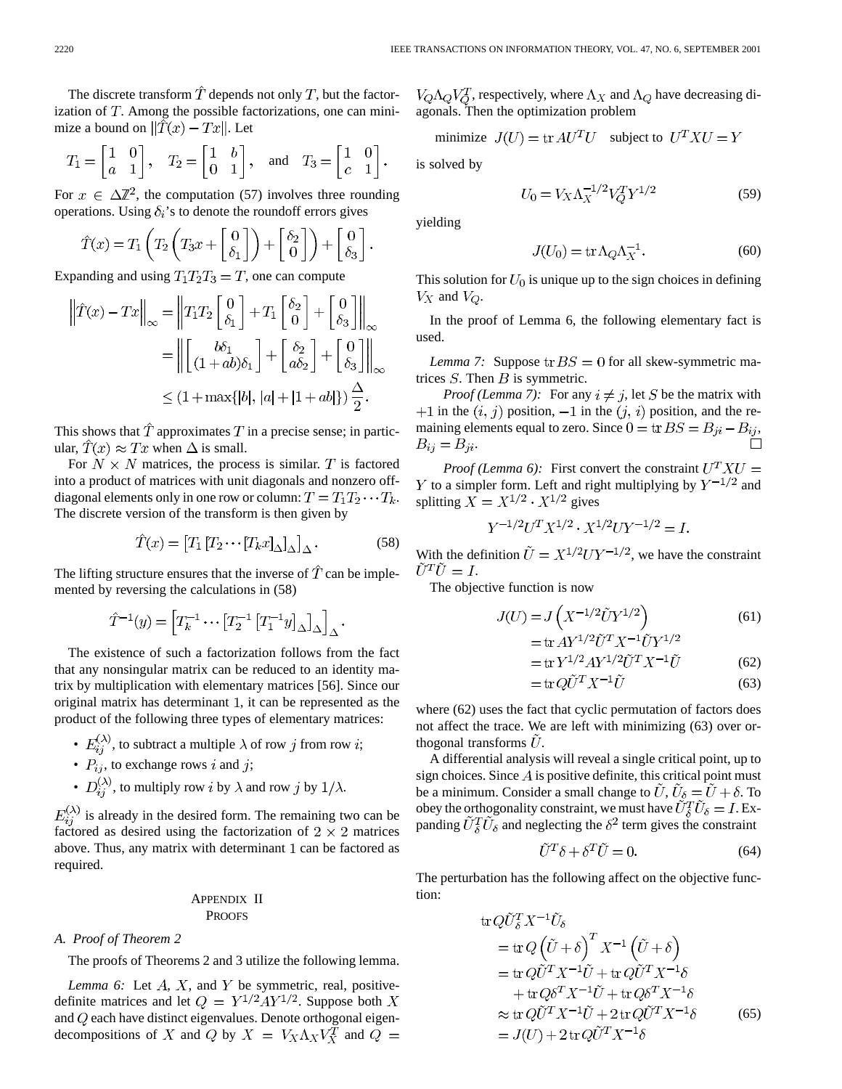The discrete transform  $\hat{T}$  depends not only T, but the factorization of  $T$ . Among the possible factorizations, one can minimize a bound on  $\|\hat{T}(x) - Tx\|$ . Let

$$
T_1 = \begin{bmatrix} 1 & 0 \\ a & 1 \end{bmatrix}
$$
,  $T_2 = \begin{bmatrix} 1 & b \\ 0 & 1 \end{bmatrix}$ , and  $T_3 = \begin{bmatrix} 1 & 0 \\ c & 1 \end{bmatrix}$ .

For  $x \in \Delta \mathbb{Z}^2$ , the computation (57) involves three rounding operations. Using  $\delta_i$ 's to denote the roundoff errors gives

$$
\hat{T}(x) = T_1 \left( T_2 \left( T_3 x + \begin{bmatrix} 0 \\ \delta_1 \end{bmatrix} \right) + \begin{bmatrix} \delta_2 \\ 0 \end{bmatrix} \right) + \begin{bmatrix} 0 \\ \delta_3 \end{bmatrix}
$$

Expanding and using  $T_1 T_2 T_3 = T$ , one can compute

$$
\left\| \hat{T}(x) - Tx \right\|_{\infty} = \left\| T_1 T_2 \begin{bmatrix} 0 \\ \delta_1 \end{bmatrix} + T_1 \begin{bmatrix} \delta_2 \\ 0 \end{bmatrix} + \begin{bmatrix} 0 \\ \delta_3 \end{bmatrix} \right\|_{\infty}
$$

$$
= \left\| \begin{bmatrix} b\delta_1 \\ (1+ab)\delta_1 \end{bmatrix} + \begin{bmatrix} \delta_2 \\ a\delta_2 \end{bmatrix} + \begin{bmatrix} 0 \\ \delta_3 \end{bmatrix} \right\|_{\infty}
$$

$$
\leq (1 + \max\{|b|, |a| + |1+ab|\}) \frac{\Delta}{2}.
$$

This shows that  $\hat{T}$  approximates  $T$  in a precise sense; in particular,  $\hat{T}(x) \approx Tx$  when  $\Delta$  is small.

For  $N \times N$  matrices, the process is similar. T is factored into a product of matrices with unit diagonals and nonzero offdiagonal elements only in one row or column:  $T = T_1 T_2 \cdots T_k$ . The discrete version of the transform is then given by

$$
\hat{T}(x) = \left[T_1 \left[T_2 \cdots \left[T_k x\right]_{\Delta}\right]_{\Delta}\right].\tag{58}
$$

The lifting structure ensures that the inverse of  $\hat{T}$  can be implemented by reversing the calculations in (58)

$$
\hat{T}^{-1}(y)=\left[T_k^{-1}\cdots\left[T_2^{-1}\left[T_1^{-1}y\right]_\Delta\right]_\Delta\right]_\Delta.
$$

The existence of such a factorization follows from the fact that any nonsingular matrix can be reduced to an identity matrix by multiplication with elementary matrices [56]. Since our original matrix has determinant 1, it can be represented as the product of the following three types of elementary matrices:

- $E_{ii}^{(\lambda)}$ , to subtract a multiple  $\lambda$  of row j from row i;
- $P_{ij}$ , to exchange rows i and j;
- $D_{ii}^{(\lambda)}$ , to multiply row *i* by  $\lambda$  and row *j* by  $1/\lambda$ .

 $E_{ii}^{(\lambda)}$  is already in the desired form. The remaining two can be factored as desired using the factorization of  $2 \times 2$  matrices above. Thus, any matrix with determinant 1 can be factored as required.

## APPENDIX II PROOFS

#### *A. Proof of Theorem 2*

The proofs of Theorems 2 and 3 utilize the following lemma.

*Lemma 6:* Let  $A$ ,  $X$ , and  $Y$  be symmetric, real, positivedefinite matrices and let  $Q = Y^{1/2}AY^{1/2}$ . Suppose both X and  $Q$  each have distinct eigenvalues. Denote orthogonal eigendecompositions of X and Q by  $X = V_X \Lambda_X V_X^T$  and  $Q =$ 

 $V_Q \Lambda_Q V_Q^T$ , respectively, where  $\Lambda_X$  and  $\Lambda_Q$  have decreasing diagonals. Then the optimization problem

minimize 
$$
J(U) = \text{tr} AU^T U
$$
 subject to  $U^T X U = Y$ 

is solved by

$$
U_0 = V_X \Lambda_X^{-1/2} V_Q^T Y^{1/2}
$$
 (59)

yielding

$$
J(U_0) = \text{tr}\,\Lambda_Q \Lambda_X^{-1}.\tag{60}
$$

This solution for  $U_0$  is unique up to the sign choices in defining  $V_X$  and  $V_Q$ .

In the proof of Lemma 6, the following elementary fact is used.

*Lemma 7:* Suppose  $tr BS = 0$  for all skew-symmetric matrices  $S$ . Then  $B$  is symmetric.

*Proof (Lemma 7):* For any  $i \neq j$ , let S be the matrix with +1 in the  $(i, j)$  position, -1 in the  $(j, i)$  position, and the remaining elements equal to zero. Since  $0 = \text{tr} BS = B_{ji} - B_{ij}$ ,  $B_{ij} = B_{ji}.$ 

*Proof (Lemma 6):* First convert the constraint  $U^T X U =$ Y to a simpler form. Left and right multiplying by  $Y^{-1/2}$  and splitting  $X = X^{1/2} \cdot X^{1/2}$  gives

$$
Y^{-1/2}U^T X^{1/2} \cdot X^{1/2} U Y^{-1/2} = I.
$$

With the definition  $\tilde{U} = X^{1/2} U Y^{-1/2}$ , we have the constraint  $\tilde{U}^T \tilde{U} = I.$ 

The objective function is now

$$
J(U) = J\left(X^{-1/2}\tilde{U}Y^{1/2}\right)
$$
(61)

$$
= \text{tr} A Y^{1/2} U^T X^{-1} U Y^{1/2}
$$
  
+
$$
= \text{tr} V^{1/2} A Y^{1/2} \tilde{t}^T U V^{-1} \tilde{t}^T
$$
 (62)

$$
=\text{tr}\,Y^{1/2}AY^{1/2}U^{T}X^{-1}U\tag{62}
$$

$$
= tr\, QU^T X^{-1} U \tag{63}
$$

where (62) uses the fact that cyclic permutation of factors does not affect the trace. We are left with minimizing (63) over orthogonal transforms  $\ddot{U}$ .

A differential analysis will reveal a single critical point, up to sign choices. Since  $\vec{A}$  is positive definite, this critical point must be a minimum. Consider a small change to  $\hat{U}$ ,  $\hat{U}_{\delta} = \hat{U} + \delta$ . To obey the orthogonality constraint, we must have  $\tilde{U}_{\delta}^T \tilde{U}_{\delta} = I$ . Expanding  $\tilde{U}_{\delta}^T \tilde{U}_{\delta}$  and neglecting the  $\delta^2$  term gives the constraint

$$
\tilde{U}^T \delta + \delta^T \tilde{U} = 0. \tag{64}
$$

The perturbation has the following affect on the objective function:

$$
\text{tr}\,Q\tilde{U}_{\delta}^{T}X^{-1}\tilde{U}_{\delta}
$$
\n
$$
= \text{tr}\,Q\left(\tilde{U} + \delta\right)^{T}X^{-1}\left(\tilde{U} + \delta\right)
$$
\n
$$
= \text{tr}\,Q\tilde{U}^{T}X^{-1}\tilde{U} + \text{tr}\,Q\tilde{U}^{T}X^{-1}\delta
$$
\n
$$
+ \text{tr}\,Q\delta^{T}X^{-1}\tilde{U} + \text{tr}\,Q\delta^{T}X^{-1}\delta
$$
\n
$$
\approx \text{tr}\,Q\tilde{U}^{T}X^{-1}\tilde{U} + 2\,\text{tr}\,Q\tilde{U}^{T}X^{-1}\delta
$$
\n
$$
= J(U) + 2\,\text{tr}\,Q\tilde{U}^{T}X^{-1}\delta
$$
\n(65)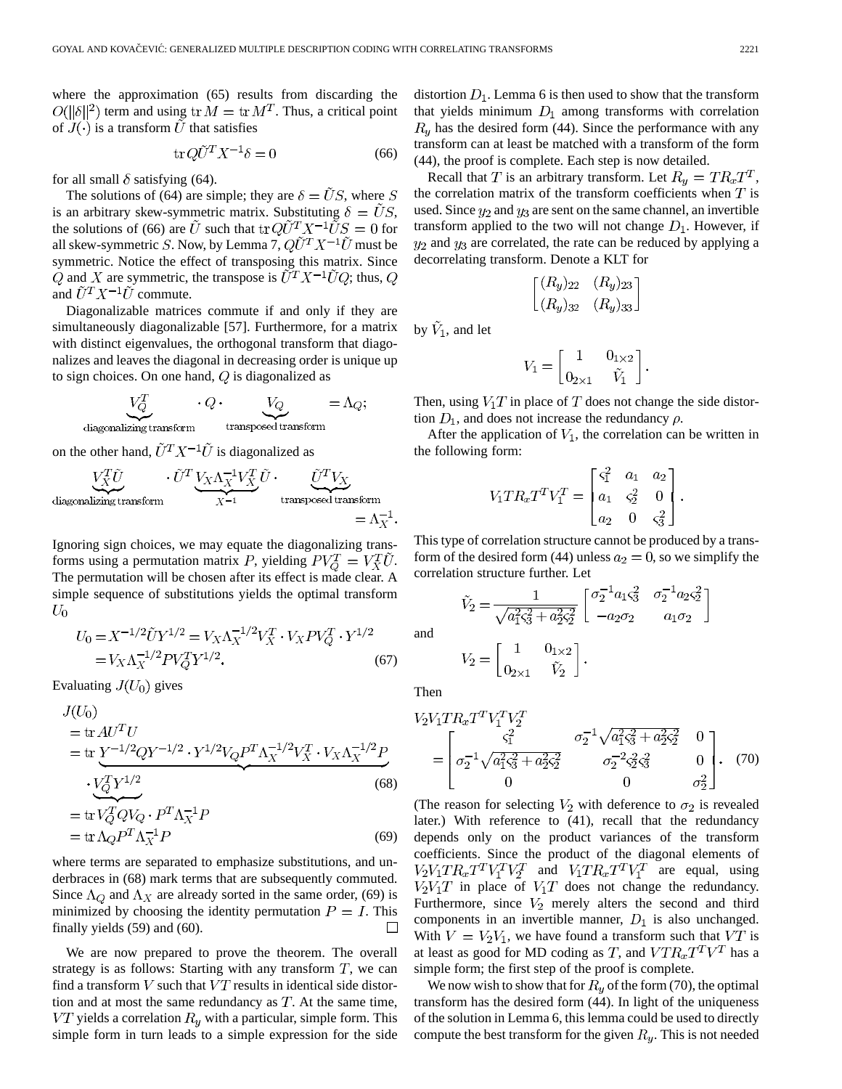where the approximation (65) results from discarding the  $O(||\delta||^2)$  term and using  $tr M = tr M^T$ . Thus, a critical point of  $J(\cdot)$  is a transform  $\tilde{U}$  that satisfies

$$
\operatorname{tr} Q\tilde{U}^T X^{-1} \delta = 0 \tag{66}
$$

for all small  $\delta$  satisfying (64).

The solutions of (64) are simple; they are  $\delta = \tilde{U}S$ , where S is an arbitrary skew-symmetric matrix. Substituting  $\delta = \tilde{U}S$ , the solutions of (66) are  $\tilde{U}$  such that  ${\rm tr} Q \tilde{U}^T X^{-1} \tilde{U} S = 0$  for all skew-symmetric S. Now, by Lemma 7,  $Q\tilde{U}^T X^{-1}\tilde{U}$  must be symmetric. Notice the effect of transposing this matrix. Since Q and X are symmetric, the transpose is  $\tilde{U}^T X^{-1} \tilde{U} Q$ ; thus, Q and  $\tilde{U}^T X^{-1} \tilde{U}$  commute.

Diagonalizable matrices commute if and only if they are simultaneously diagonalizable [57]. Furthermore, for a matrix with distinct eigenvalues, the orthogonal transform that diagonalizes and leaves the diagonal in decreasing order is unique up to sign choices. On one hand,  $Q$  is diagonalized as

$$
\underbrace{V_Q^T}_{\text{diagonalizing transform}} \cdot Q \cdot \underbrace{V_Q}_{\text{transposed transform}} = \Lambda_Q;
$$

on the other hand,  $\tilde{U}^T X^{-1} \tilde{U}$  is diagonalized as

$$
\underbrace{V_X^T \tilde{U}}_{\text{diagonalizing transform}} \cdot \underbrace{\tilde{U}^T \underbrace{V_X \Lambda_X^{-1} V_X^T}_{X^{-1}} \tilde{U} \cdot \underbrace{\tilde{U}^T V_X}_{\text{transposed transform}}}{\text{transposed transform}} \\ = \Lambda_X^{-1}
$$

Ignoring sign choices, we may equate the diagonalizing transforms using a permutation matrix P, yielding  $PV_0^T = V_X^T U$ . The permutation will be chosen after its effect is made clear. A simple sequence of substitutions yields the optimal transform  $U_0$ 

$$
U_0 = X^{-1/2} \tilde{U} Y^{1/2} = V_X \Lambda_X^{-1/2} V_X^T \cdot V_X P V_Q^T \cdot Y^{1/2}
$$
  
=  $V_X \Lambda_X^{-1/2} P V_Q^T Y^{1/2}$ . (67)

Evaluating  $J(U_0)$  gives

$$
J(U_0)
$$
  
= tr  $AU^TU$   
= tr  $Y^{-1/2}QY^{-1/2} \cdot Y^{1/2}V_QP^T\Lambda_X^{-1/2}V_X^T \cdot V_X\Lambda_X^{-1/2}P$   

$$
\cdot \frac{V_Q^T Y^{1/2}}{V_Q^T V_Q^T V_Q \cdot P^T \Lambda_X^{-1}P}
$$
  
= tr  $\Lambda_Q P^T \Lambda_X^{-1}P$  (69)

where terms are separated to emphasize substitutions, and underbraces in (68) mark terms that are subsequently commuted. Since  $\Lambda_Q$  and  $\Lambda_X$  are already sorted in the same order, (69) is minimized by choosing the identity permutation  $P = I$ . This finally yields (59) and (60).  $\Box$ 

We are now prepared to prove the theorem. The overall strategy is as follows: Starting with any transform  $T$ , we can find a transform  $V$  such that  $VT$  results in identical side distortion and at most the same redundancy as  $T$ . At the same time,  $VT$  yields a correlation  $R_y$  with a particular, simple form. This simple form in turn leads to a simple expression for the side distortion  $D_1$ . Lemma 6 is then used to show that the transform that yields minimum  $D_1$  among transforms with correlation  $R_y$  has the desired form (44). Since the performance with any transform can at least be matched with a transform of the form (44), the proof is complete. Each step is now detailed.

Recall that T is an arbitrary transform. Let  $R_y = TR_xT^T$ , the correlation matrix of the transform coefficients when  $T$  is used. Since  $y_2$  and  $y_3$  are sent on the same channel, an invertible transform applied to the two will not change  $D_1$ . However, if  $y_2$  and  $y_3$  are correlated, the rate can be reduced by applying a decorrelating transform. Denote a KLT for

$$
\begin{bmatrix}\n(R_y)_{22} & (R_y)_{23} \\
(R_y)_{32} & (R_y)_{33}\n\end{bmatrix}
$$

by  $V_1$ , and let

$$
V_1 = \begin{bmatrix} 1 & 0_{1 \times 2} \\ 0_{2 \times 1} & \tilde{V}_1 \end{bmatrix}.
$$

Then, using  $V_1T$  in place of T does not change the side distortion  $D_1$ , and does not increase the redundancy  $\rho$ .

After the application of  $V_1$ , the correlation can be written in the following form:

$$
V_1TR_xT^TV_1^T = \begin{bmatrix} \varsigma_1^2 & a_1 & a_2 \\ a_1 & \varsigma_2^2 & 0 \\ a_2 & 0 & \varsigma_3^2 \end{bmatrix}
$$

This type of correlation structure cannot be produced by a transform of the desired form (44) unless  $a_2 = 0$ , so we simplify the correlation structure further. Let

$$
\tilde{V}_2 = \frac{1}{\sqrt{a_1^2 \varsigma_3^2 + a_2^2 \varsigma_2^2}} \begin{bmatrix} \sigma_2^{-1} a_1 \varsigma_3^2 & \sigma_2^{-1} a_2 \varsigma_2^2 \\ -a_2 \sigma_2 & a_1 \sigma_2 \end{bmatrix}
$$

$$
V_2 = \begin{bmatrix} 1 & 0_{1 \times 2} \\ 0_{2 \times 1} & \tilde{V}_2 \end{bmatrix}.
$$

Then

and

$$
V_2 V_1 T R_x T^T V_1^T V_2^T
$$
  
= 
$$
\begin{bmatrix} \varsigma_1^2 & \sigma_2^{-1} \sqrt{a_1^2 \varsigma_3^2 + a_2^2 \varsigma_2^2} & 0 \\ \sigma_2^{-1} \sqrt{a_1^2 \varsigma_3^2 + a_2^2 \varsigma_2^2} & \sigma_2^{-2} \varsigma_2^2 \varsigma_3^2 & 0 \\ 0 & 0 & \sigma_2^2 \end{bmatrix} .
$$
 (70)

(The reason for selecting  $V_2$  with deference to  $\sigma_2$  is revealed later.) With reference to (41), recall that the redundancy depends only on the product variances of the transform coefficients. Since the product of the diagonal elements of  $V_2V_1TR_xT^T V_1^T V_2^T$  and  $V_1TR_xT^T V_1^T$  are equal, using  $V_2V_1T$  in place of  $V_1T$  does not change the redundancy. Furthermore, since  $V_2$  merely alters the second and third components in an invertible manner,  $D_1$  is also unchanged. With  $V = V_2 V_1$ , we have found a transform such that VT is at least as good for MD coding as T, and  $VTR_xT^T V^T$  has a simple form; the first step of the proof is complete.

We now wish to show that for  $R_u$  of the form (70), the optimal transform has the desired form (44). In light of the uniqueness of the solution in Lemma 6, this lemma could be used to directly compute the best transform for the given  $R_y$ . This is not needed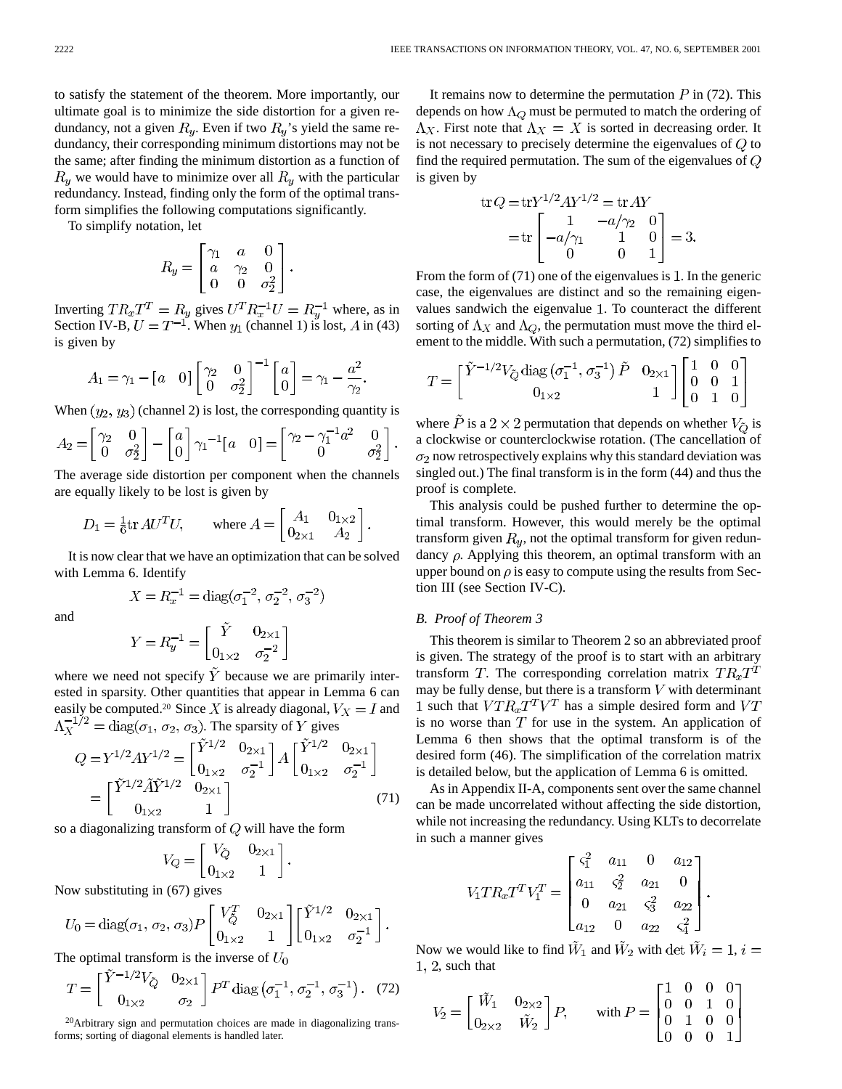to satisfy the statement of the theorem. More importantly, our ultimate goal is to minimize the side distortion for a given redundancy, not a given  $R_y$ . Even if two  $R_y$ 's yield the same redundancy, their corresponding minimum distortions may not be the same; after finding the minimum distortion as a function of  $R_y$  we would have to minimize over all  $R_y$  with the particular redundancy. Instead, finding only the form of the optimal transform simplifies the following computations significantly.

To simplify notation, let

$$
R_y = \begin{bmatrix} \gamma_1 & a & 0 \\ a & \gamma_2 & 0 \\ 0 & 0 & \sigma_2^2 \end{bmatrix}.
$$

Inverting  $TR_xT^T = R_y$  gives  $U^T R_x^{-1} U = R_y^{-1}$  where, as in Section IV-B,  $U = T^{-1}$ . When  $y_1$  (channel 1) is lost, A in (43) is given by

$$
A_1 = \gamma_1 - \begin{bmatrix} a & 0 \end{bmatrix} \begin{bmatrix} \gamma_2 & 0 \\ 0 & \sigma_2^2 \end{bmatrix}^{-1} \begin{bmatrix} a \\ 0 \end{bmatrix} = \gamma_1 - \frac{a^2}{\gamma_2}.
$$

When  $(y_2, y_3)$  (channel 2) is lost, the corresponding quantity is

$$
A_2 = \begin{bmatrix} \gamma_2 & 0 \\ 0 & \sigma_2^2 \end{bmatrix} - \begin{bmatrix} a \\ 0 \end{bmatrix} \gamma_1^{-1} \begin{bmatrix} a & 0 \end{bmatrix} = \begin{bmatrix} \gamma_2 - \gamma_1^{-1} a^2 & 0 \\ 0 & \sigma_2^2 \end{bmatrix}.
$$

The average side distortion per component when the channels are equally likely to be lost is given by

$$
D_1 = \frac{1}{6} \text{tr} \, AU^T U, \qquad \text{where } A = \begin{bmatrix} A_1 & 0_{1 \times 2} \\ 0_{2 \times 1} & A_2 \end{bmatrix}.
$$

It is now clear that we have an optimization that can be solved with Lemma 6. Identify

$$
X = R_x^{-1} = \text{diag}(\sigma_1^{-2}, \sigma_2^{-2}, \sigma_3^{-2})
$$

and

$$
Y = R_y^{-1} = \begin{bmatrix} \dot{Y} & 0_{2 \times 1} \\ 0_{1 \times 2} & \sigma_2^{-2} \end{bmatrix}
$$

where we need not specify  $\tilde{Y}$  because we are primarily interested in sparsity. Other quantities that appear in Lemma 6 can easily be computed.<sup>20</sup> Since X is already diagonal,  $V_X = I$  and  $\Lambda_X^{-1/2} = \text{diag}(\sigma_1, \sigma_2, \sigma_3)$ . The sparsity of Y gives

$$
Q = Y^{1/2} A Y^{1/2} = \begin{bmatrix} \tilde{Y}^{1/2} & 0_{2 \times 1} \\ 0_{1 \times 2} & \sigma_2^{-1} \end{bmatrix} A \begin{bmatrix} \tilde{Y}^{1/2} & 0_{2 \times 1} \\ 0_{1 \times 2} & \sigma_2^{-1} \end{bmatrix}
$$

$$
= \begin{bmatrix} \tilde{Y}^{1/2} \tilde{A} \tilde{Y}^{1/2} & 0_{2 \times 1} \\ 0_{1 \times 2} & 1 \end{bmatrix}
$$
(71)

so a diagonalizing transform of  $Q$  will have the form

$$
V_Q = \begin{bmatrix} V_{\tilde{Q}} & 0_{2 \times 1} \\ 0_{1 \times 2} & 1 \end{bmatrix}.
$$

Now substituting in (67) gives

$$
U_0 = \text{diag}(\sigma_1, \sigma_2, \sigma_3) P \begin{bmatrix} V_Q^T & 0_{2 \times 1} \\ 0_{1 \times 2} & 1 \end{bmatrix} \begin{bmatrix} \tilde{Y}^{1/2} & 0_{2 \times 1} \\ 0_{1 \times 2} & \sigma_2^{-1} \end{bmatrix}.
$$

The optimal transform is the inverse of  $U_0$ 

$$
T = \begin{bmatrix} Y^{-1/2}V_{\tilde{Q}} & 0_{2 \times 1} \\ 0_{1 \times 2} & \sigma_2 \end{bmatrix} P^T \text{diag}(\sigma_1^{-1}, \sigma_2^{-1}, \sigma_3^{-1}). \quad (72)
$$

20Arbitrary sign and permutation choices are made in diagonalizing transforms; sorting of diagonal elements is handled later.

It remains now to determine the permutation  $P$  in (72). This depends on how  $\Lambda_Q$  must be permuted to match the ordering of  $\Lambda_X$ . First note that  $\Lambda_X = X$  is sorted in decreasing order. It is not necessary to precisely determine the eigenvalues of  $Q$  to find the required permutation. The sum of the eigenvalues of  $Q$ is given by

$$
\text{tr } Q = \text{tr} Y^{1/2} A Y^{1/2} = \text{tr } A Y
$$

$$
= \text{tr} \begin{bmatrix} 1 & -a/\gamma_2 & 0 \\ -a/\gamma_1 & 1 & 0 \\ 0 & 0 & 1 \end{bmatrix} = 3
$$

From the form of  $(71)$  one of the eigenvalues is 1. In the generic case, the eigenvalues are distinct and so the remaining eigenvalues sandwich the eigenvalue 1. To counteract the different sorting of  $\Lambda_X$  and  $\Lambda_Q$ , the permutation must move the third element to the middle. With such a permutation, (72) simplifies to

$$
T = \begin{bmatrix} \tilde{Y}^{-1/2}V_{\tilde{Q}} \text{ diag}\left(\sigma_1^{-1}, \sigma_3^{-1}\right) \tilde{P} & 0_{2\times 1} \\ 0_{1\times 2} & 1 \end{bmatrix} \begin{bmatrix} 1 & 0 & 0 \\ 0 & 0 & 1 \\ 0 & 1 & 0 \end{bmatrix}
$$

where  $\tilde{P}$  is a 2 × 2 permutation that depends on whether  $V_{\tilde{Q}}$  is a clockwise or counterclockwise rotation. (The cancellation of  $\sigma_2$  now retrospectively explains why this standard deviation was singled out.) The final transform is in the form (44) and thus the proof is complete.

This analysis could be pushed further to determine the optimal transform. However, this would merely be the optimal transform given  $R_y$ , not the optimal transform for given redundancy  $\rho$ . Applying this theorem, an optimal transform with an upper bound on  $\rho$  is easy to compute using the results from Section III (see Section IV-C).

## *B. Proof of Theorem 3*

This theorem is similar to Theorem 2 so an abbreviated proof is given. The strategy of the proof is to start with an arbitrary transform T. The corresponding correlation matrix  $TR_xT^T$ may be fully dense, but there is a transform  $V$  with determinant 1 such that  $VTR_xT^T V^T$  has a simple desired form and  $VT$ is no worse than  $T$  for use in the system. An application of Lemma 6 then shows that the optimal transform is of the desired form (46). The simplification of the correlation matrix is detailed below, but the application of Lemma 6 is omitted.

As in Appendix II-A, components sent over the same channel can be made uncorrelated without affecting the side distortion, while not increasing the redundancy. Using KLTs to decorrelate in such a manner gives

$$
V_1TR_xT^TV_1^T = \begin{bmatrix} \varsigma_1^2 & a_{11} & 0 & a_{12} \\ a_{11} & \varsigma_2^2 & a_{21} & 0 \\ 0 & a_{21} & \varsigma_3^2 & a_{22} \\ a_{12} & 0 & a_{22} & \varsigma_4^2 \end{bmatrix}
$$

Now we would like to find  $\tilde{W}_1$  and  $\tilde{W}_2$  with det  $\tilde{W}_i = 1$ ,  $i =$  $1, 2$ , such that

$$
V_2 = \begin{bmatrix} \tilde{W}_1 & 0_{2 \times 2} \\ 0_{2 \times 2} & \tilde{W}_2 \end{bmatrix} P, \quad \text{with } P = \begin{bmatrix} 1 & 0 & 0 & 0 \\ 0 & 0 & 1 & 0 \\ 0 & 1 & 0 & 0 \\ 0 & 0 & 0 & 1 \end{bmatrix}
$$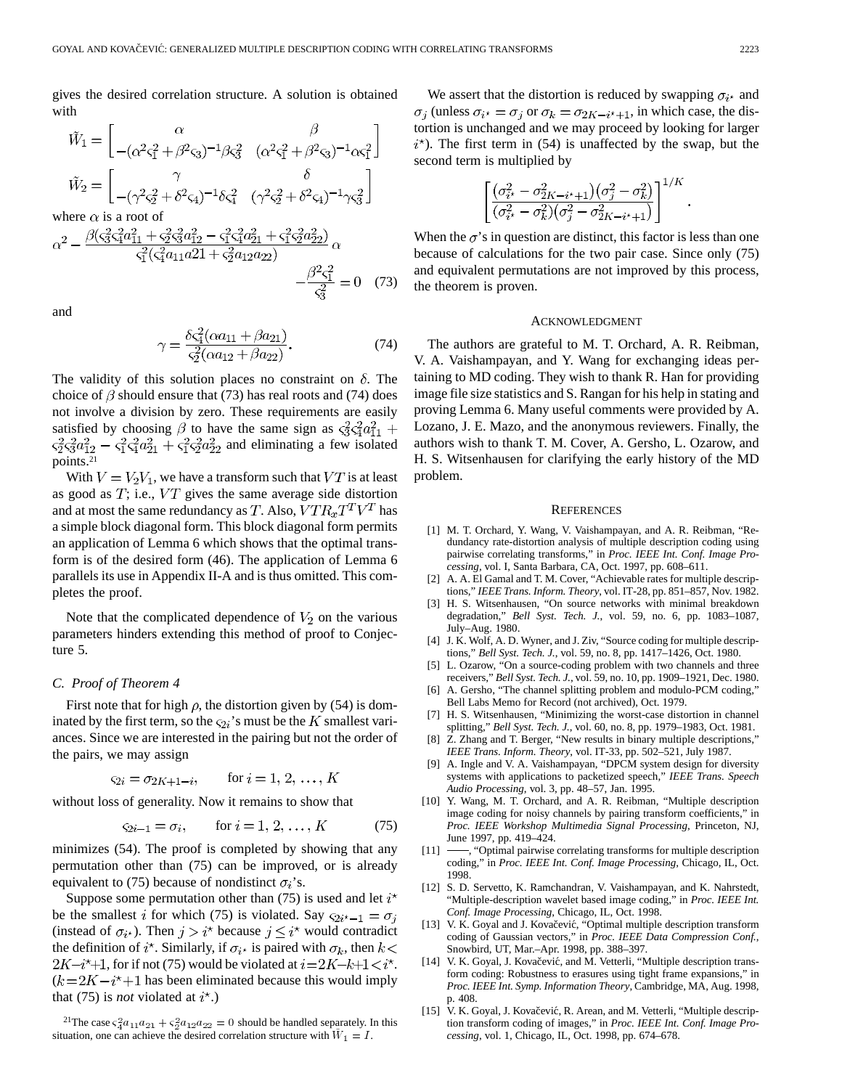gives the desired correlation structure. A solution is obtained with

$$
\tilde{W}_1 = \begin{bmatrix}\n\alpha & \beta \\
-(\alpha^2 \zeta_1^2 + \beta^2 \zeta_3)^{-1} \beta \zeta_3^2 & (\alpha^2 \zeta_1^2 + \beta^2 \zeta_3)^{-1} \alpha \zeta_1^2\n\end{bmatrix}
$$
\n
$$
\tilde{W}_2 = \begin{bmatrix}\n\gamma & \delta \\
-(\gamma^2 \zeta_2^2 + \delta^2 \zeta_4)^{-1} \delta \zeta_4^2 & (\gamma^2 \zeta_2^2 + \delta^2 \zeta_4)^{-1} \gamma \zeta_3^2\n\end{bmatrix}
$$

where  $\alpha$  is a root of

$$
\alpha^{2} - \frac{\beta(\varsigma_{3}^{2}\varsigma_{4}^{2}a_{11}^{2} + \varsigma_{2}^{2}\varsigma_{3}^{2}a_{12}^{2} - \varsigma_{1}^{2}\varsigma_{4}^{2}a_{21}^{2} + \varsigma_{1}^{2}\varsigma_{2}^{2}a_{22}^{2})}{\varsigma_{1}^{2}(\varsigma_{4}^{2}a_{11}a_{21} + \varsigma_{2}^{2}a_{12}a_{22})} \alpha + \frac{\beta^{2}\varsigma_{1}^{2}}{\varsigma_{3}^{2}} = 0 \quad (73)
$$

and

$$
\gamma = \frac{\delta \varsigma_4^2 (\alpha a_{11} + \beta a_{21})}{\varsigma_2^2 (\alpha a_{12} + \beta a_{22})}.
$$
\n(74)

The validity of this solution places no constraint on  $\delta$ . The choice of  $\beta$  should ensure that (73) has real roots and (74) does not involve a division by zero. These requirements are easily satisfied by choosing  $\beta$  to have the same sign as  $\zeta_3^2 \zeta_4^2 a_{11}^2$  +  $\zeta_2^2 \zeta_3^2 a_{12}^2 - \zeta_1^2 \zeta_4^2 a_{21}^2 + \zeta_1^2 \zeta_2^2 a_{22}^2$  and eliminating a few isolated points.21

With  $V = V_2 V_1$ , we have a transform such that VT is at least as good as  $T$ ; i.e.,  $VT$  gives the same average side distortion and at most the same redundancy as T. Also,  $VTR_xT^T V^T$  has a simple block diagonal form. This block diagonal form permits an application of Lemma 6 which shows that the optimal transform is of the desired form (46). The application of Lemma 6 parallels its use in Appendix II-A and is thus omitted. This completes the proof.

Note that the complicated dependence of  $V_2$  on the various parameters hinders extending this method of proof to Conjecture 5.

#### *C. Proof of Theorem 4*

First note that for high  $\rho$ , the distortion given by (54) is dominated by the first term, so the  $\varsigma_{2i}$ 's must be the K smallest variances. Since we are interested in the pairing but not the order of the pairs, we may assign

$$
\varsigma_{2i} = \sigma_{2K+1-i}
$$
, for  $i = 1, 2, ..., K$ 

without loss of generality. Now it remains to show that

$$
\varsigma_{2i-1} = \sigma_i, \qquad \text{for } i = 1, 2, \dots, K \tag{75}
$$

minimizes (54). The proof is completed by showing that any permutation other than (75) can be improved, or is already equivalent to (75) because of nondistinct  $\sigma_i$ 's.

Suppose some permutation other than (75) is used and let  $i^*$ be the smallest i for which (75) is violated. Say  $\varsigma_{2i^*-1} = \sigma_i$ (instead of  $\sigma_{i^*}$ ). Then  $j > i^*$  because  $j \leq i^*$  would contradict the definition of  $i^*$ . Similarly, if  $\sigma_{i^*}$  is paired with  $\sigma_k$ , then  $k$  <  $2K-i+1$ , for if not (75) would be violated at  $i=2K-k+1 < i<sup>*</sup>$ .  $(k = 2K - i<sup>*</sup> + 1$  has been eliminated because this would imply that (75) is *not* violated at  $i^*$ .)

<sup>21</sup>The case  $\zeta_4^2 a_{11} a_{21} + \zeta_2^2 a_{12} a_{22} = 0$  should be handled separately. In this situation, one can achieve the desired correlation structure with  $\bar{W}_1 = I$ .

We assert that the distortion is reduced by swapping  $\sigma_{i^*}$  and  $\sigma_j$  (unless  $\sigma_{i^*} = \sigma_j$  or  $\sigma_k = \sigma_{2K-i^*+1}$ , in which case, the distortion is unchanged and we may proceed by looking for larger  $i^*$ ). The first term in (54) is unaffected by the swap, but the second term is multiplied by

$$
\left[\frac{\left(\sigma_{i^\star}^2-\sigma_{2K-i^\star+1}^2\right)\left(\sigma_{j}^2-\sigma_{k}^2\right)}{( \sigma_{i^\star}^2-\sigma_{k}^2)(\sigma_{j}^2-\sigma_{2K-i^\star+1}^2)}\right]^{1/K}.
$$

When the  $\sigma$ 's in question are distinct, this factor is less than one because of calculations for the two pair case. Since only (75) and equivalent permutations are not improved by this process, the theorem is proven.

#### ACKNOWLEDGMENT

The authors are grateful to M. T. Orchard, A. R. Reibman, V. A. Vaishampayan, and Y. Wang for exchanging ideas pertaining to MD coding. They wish to thank R. Han for providing image file size statistics and S. Rangan for his help in stating and proving Lemma 6. Many useful comments were provided by A. Lozano, J. E. Mazo, and the anonymous reviewers. Finally, the authors wish to thank T. M. Cover, A. Gersho, L. Ozarow, and H. S. Witsenhausen for clarifying the early history of the MD problem.

#### **REFERENCES**

- [1] M. T. Orchard, Y. Wang, V. Vaishampayan, and A. R. Reibman, "Redundancy rate-distortion analysis of multiple description coding using pairwise correlating transforms," in *Proc. IEEE Int. Conf. Image Processing*, vol. I, Santa Barbara, CA, Oct. 1997, pp. 608–611.
- [2] A. A. El Gamal and T. M. Cover, "Achievable rates for multiple descriptions," *IEEE Trans. Inform. Theory*, vol. IT-28, pp. 851–857, Nov. 1982.
- [3] H. S. Witsenhausen, "On source networks with minimal breakdown degradation," *Bell Syst. Tech. J.*, vol. 59, no. 6, pp. 1083–1087, July–Aug. 1980.
- [4] J. K. Wolf, A. D. Wyner, and J. Ziv, "Source coding for multiple descriptions," *Bell Syst. Tech. J.*, vol. 59, no. 8, pp. 1417–1426, Oct. 1980.
- [5] L. Ozarow, "On a source-coding problem with two channels and three receivers," *Bell Syst. Tech. J.*, vol. 59, no. 10, pp. 1909–1921, Dec. 1980.
- [6] A. Gersho, "The channel splitting problem and modulo-PCM coding," Bell Labs Memo for Record (not archived), Oct. 1979.
- [7] H. S. Witsenhausen, "Minimizing the worst-case distortion in channel splitting," *Bell Syst. Tech. J.*, vol. 60, no. 8, pp. 1979–1983, Oct. 1981.
- [8] Z. Zhang and T. Berger, "New results in binary multiple descriptions," *IEEE Trans. Inform. Theory*, vol. IT-33, pp. 502–521, July 1987.
- [9] A. Ingle and V. A. Vaishampayan, "DPCM system design for diversity systems with applications to packetized speech," *IEEE Trans. Speech Audio Processing*, vol. 3, pp. 48–57, Jan. 1995.
- [10] Y. Wang, M. T. Orchard, and A. R. Reibman, "Multiple description image coding for noisy channels by pairing transform coefficients," in *Proc. IEEE Workshop Multimedia Signal Processing*, Princeton, NJ, June 1997, pp. 419–424.
- [11]  $\longrightarrow$ , "Optimal pairwise correlating transforms for multiple description coding," in *Proc. IEEE Int. Conf. Image Processing*, Chicago, IL, Oct. 1998.
- [12] S. D. Servetto, K. Ramchandran, V. Vaishampayan, and K. Nahrstedt, "Multiple-description wavelet based image coding," in *Proc. IEEE Int. Conf. Image Processing*, Chicago, IL, Oct. 1998.
- [13] V. K. Goyal and J. Kovačević, "Optimal multiple description transform coding of Gaussian vectors," in *Proc. IEEE Data Compression Conf.*, Snowbird, UT, Mar.–Apr. 1998, pp. 388–397.
- [14] V. K. Goyal, J. Kovačević, and M. Vetterli, "Multiple description transform coding: Robustness to erasures using tight frame expansions," in *Proc. IEEE Int. Symp. Information Theory*, Cambridge, MA, Aug. 1998, p. 408.
- [15] V. K. Goyal, J. Kovačević, R. Arean, and M. Vetterli, "Multiple description transform coding of images," in *Proc. IEEE Int. Conf. Image Processing*, vol. 1, Chicago, IL, Oct. 1998, pp. 674–678.